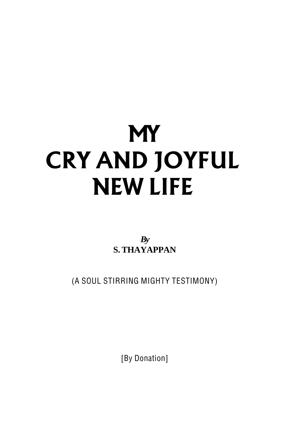# **MY CRY AND JOYFUL NEW LIFE**

*By* **S. THAYAPPAN**

(A SOUL STIRRING MIGHTY TESTIMONY)

[By Donation]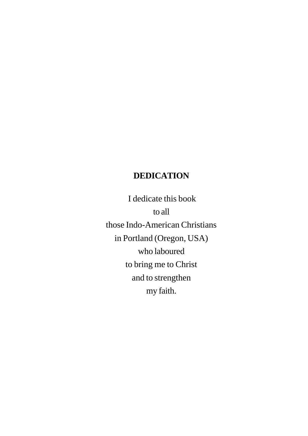# **DEDICATION**

 I dedicate this book to all those Indo-American Christians in Portland (Oregon, USA) who laboured to bring me to Christ and to strengthen my faith.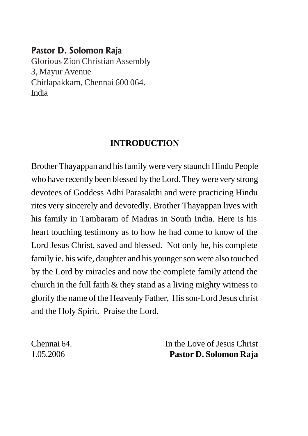# Pastor D. Solomon Raja

Glorious Zion Christian Assembly 3, Mayur Avenue Chitlapakkam, Chennai 600 064. India

# **INTRODUCTION**

Brother Thayappan and his family were very staunch Hindu People who have recently been blessed by the Lord. They were very strong devotees of Goddess Adhi Parasakthi and were practicing Hindu rites very sincerely and devotedly. Brother Thayappan lives with his family in Tambaram of Madras in South India. Here is his heart touching testimony as to how he had come to know of the Lord Jesus Christ, saved and blessed. Not only he, his complete family ie. his wife, daughter and his younger son were also touched by the Lord by miracles and now the complete family attend the church in the full faith  $&$  they stand as a living mighty witness to glorify the name of the Heavenly Father, His son-Lord Jesus christ and the Holy Spirit. Praise the Lord.

Chennai 64. In the Love of Jesus Christ 1.05.2006 **Pastor D. Solomon Raja**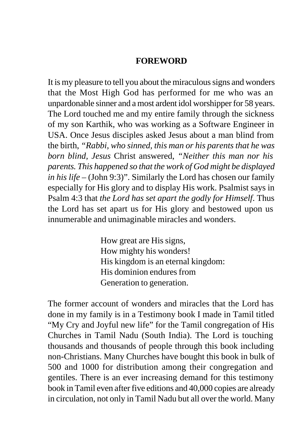#### **FOREWORD**

It is my pleasure to tell you about the miraculous signs and wonders that the Most High God has performed for me who was an unpardonable sinner and a most ardent idol worshipper for 58 years. The Lord touched me and my entire family through the sickness of my son Karthik, who was working as a Software Engineer in USA. Once Jesus disciples asked Jesus about a man blind from the birth, *"Rabbi, who sinned, this man or his parents that he was born blind, Jesus* Christ answered, *"Neither this man nor his parents. This happened so that the work of God might be displayed in his life* – (John 9:3)". Similarly the Lord has chosen our family especially for His glory and to display His work. Psalmist says in Psalm 4:3 that *the Lord has set apart the godly for Himself*. Thus the Lord has set apart us for His glory and bestowed upon us innumerable and unimaginable miracles and wonders.

> How great are His signs, How mighty his wonders! His kingdom is an eternal kingdom: His dominion endures from Generation to generation.

The former account of wonders and miracles that the Lord has done in my family is in a Testimony book I made in Tamil titled "My Cry and Joyful new life" for the Tamil congregation of His Churches in Tamil Nadu (South India). The Lord is touching thousands and thousands of people through this book including non-Christians. Many Churches have bought this book in bulk of 500 and 1000 for distribution among their congregation and gentiles. There is an ever increasing demand for this testimony book in Tamil even after five editions and 40,000 copies are already in circulation, not only in Tamil Nadu but all over the world. Many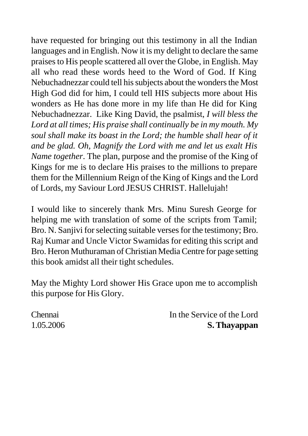have requested for bringing out this testimony in all the Indian languages and in English. Now it is my delight to declare the same praises to His people scattered all over the Globe, in English. May all who read these words heed to the Word of God. If King Nebuchadnezzar could tell his subjects about the wonders the Most High God did for him, I could tell HIS subjects more about His wonders as He has done more in my life than He did for King Nebuchadnezzar. Like King David, the psalmist, *I will bless the Lord at all times; His praise shall continually be in my mouth. My soul shall make its boast in the Lord; the humble shall hear of it and be glad. Oh, Magnify the Lord with me and let us exalt His Name together*. The plan, purpose and the promise of the King of Kings for me is to declare His praises to the millions to prepare them for the Millennium Reign of the King of Kings and the Lord of Lords, my Saviour Lord JESUS CHRIST. Hallelujah!

I would like to sincerely thank Mrs. Minu Suresh George for helping me with translation of some of the scripts from Tamil; Bro. N. Sanjivi for selecting suitable verses for the testimony; Bro. Raj Kumar and Uncle Victor Swamidas for editing this script and Bro. Heron Muthuraman of Christian Media Centre for page setting this book amidst all their tight schedules.

May the Mighty Lord shower His Grace upon me to accomplish this purpose for His Glory.

Chennai In the Service of the Lord 1.05.2006 **S. Thayappan**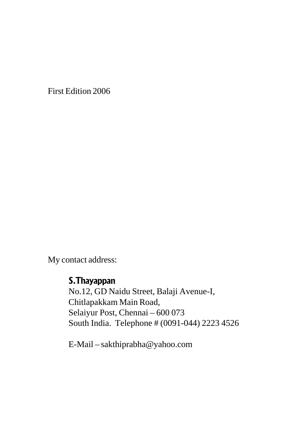First Edition 2006

My contact address:

## S.Thayappan

No.12, GD Naidu Street, Balaji Avenue-I, Chitlapakkam Main Road, Selaiyur Post, Chennai – 600 073 South India. Telephone # (0091-044) 2223 4526

E-Mail – sakthiprabha@yahoo.com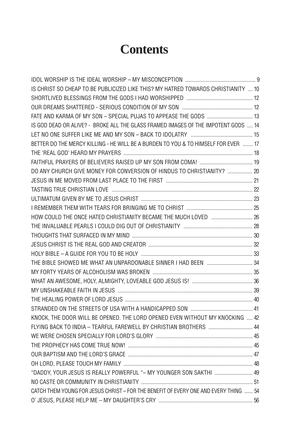# **Contents**

| IS CHRIST SO CHEAP TO BE PUBLICIZED LIKE THIS? MY HATRED TOWARDS CHRISTIANITY  10    |  |
|--------------------------------------------------------------------------------------|--|
|                                                                                      |  |
|                                                                                      |  |
| FATE AND KARMA OF MY SON - SPECIAL PUJAS TO APPEASE THE GODS  13                     |  |
| IS GOD DEAD OR ALIVE? - BROKE ALL THE GLASS FRAMED IMAGES OF THE IMPOTENT GODS  14   |  |
|                                                                                      |  |
| BETTER DO THE MERCY KILLING - HE WILL BE A BURDEN TO YOU & TO HIMSELF FOR EVER  17   |  |
|                                                                                      |  |
|                                                                                      |  |
| DO ANY CHURCH GIVE MONEY FOR CONVERSION OF HINDUS TO CHRISTIANITY?  20               |  |
|                                                                                      |  |
|                                                                                      |  |
|                                                                                      |  |
|                                                                                      |  |
| HOW COULD THE ONCE HATED CHRISTIANITY BECAME THE MUCH LOVED  26                      |  |
|                                                                                      |  |
|                                                                                      |  |
|                                                                                      |  |
|                                                                                      |  |
| THE BIBLE SHOWED ME WHAT AN UNPARDONABLE SINNER I HAD BEEN  34                       |  |
|                                                                                      |  |
|                                                                                      |  |
|                                                                                      |  |
|                                                                                      |  |
|                                                                                      |  |
| KNOCK. THE DOOR WILL BE OPENED. THE LORD OPENED EVEN WITHOUT MY KNOCKING  42         |  |
| FLYING BACK TO INDIA - TEARFUL FAREWELL BY CHRISTIAN BROTHERS 44                     |  |
|                                                                                      |  |
|                                                                                      |  |
|                                                                                      |  |
|                                                                                      |  |
| "DADDY, YOUR JESUS IS REALLY POWERFUL "- MY YOUNGER SON SAKTHI  49                   |  |
|                                                                                      |  |
| CATCH THEM YOUNG FOR JESUS CHRIST - FOR THE BENEFIT OF EVERY ONE AND EVERY THING  54 |  |
|                                                                                      |  |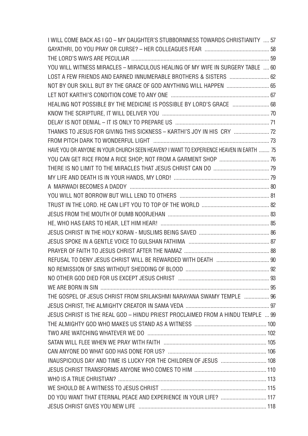| I WILL COME BACK AS I GO – MY DAUGHTER'S STUBBORNNESS TOWARDS CHRISTIANITY  57          |  |
|-----------------------------------------------------------------------------------------|--|
|                                                                                         |  |
|                                                                                         |  |
| YOU WILL WITNESS MIRACLES - MIRACULOUS HEALING OF MY WIFE IN SURGERY TABLE  60          |  |
| LOST A FEW FRIENDS AND EARNED INNUMERABLE BROTHERS & SISTERS  62                        |  |
| NOT BY OUR SKILL BUT BY THE GRACE OF GOD ANYTHING WILL HAPPEN  65                       |  |
|                                                                                         |  |
| HEALING NOT POSSIBLE BY THE MEDICINE IS POSSIBLE BY LORD'S GRACE  68                    |  |
|                                                                                         |  |
|                                                                                         |  |
| THANKS TO JESUS FOR GIVING THIS SICKNESS - KARTHI'S JOY IN HIS CRY  72                  |  |
|                                                                                         |  |
| HAVE YOU OR ANYONE IN YOUR CHURCH SEEN HEAVEN? I WANT TO EXPERIENCE HEAVEN IN EARTH  75 |  |
|                                                                                         |  |
|                                                                                         |  |
|                                                                                         |  |
|                                                                                         |  |
|                                                                                         |  |
|                                                                                         |  |
|                                                                                         |  |
|                                                                                         |  |
|                                                                                         |  |
|                                                                                         |  |
|                                                                                         |  |
|                                                                                         |  |
|                                                                                         |  |
|                                                                                         |  |
|                                                                                         |  |
| THE GOSPEL OF JESUS CHRIST FROM SRILAKSHMI NARAYANA SWAMY TEMPLE  96                    |  |
|                                                                                         |  |
| JESUS CHRIST IS THE REAL GOD - HINDU PRIEST PROCLAIMED FROM A HINDU TEMPLE  99          |  |
|                                                                                         |  |
|                                                                                         |  |
|                                                                                         |  |
|                                                                                         |  |
|                                                                                         |  |
|                                                                                         |  |
|                                                                                         |  |
|                                                                                         |  |
| DO YOU WANT THAT ETERNAL PEACE AND EXPERIENCE IN YOUR LIFE?  117                        |  |
|                                                                                         |  |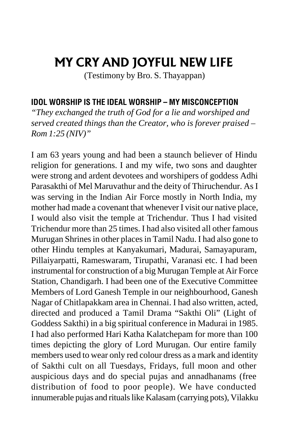# <span id="page-8-0"></span>MY CRY AND JOYFUL NEW LIFE

(Testimony by Bro. S. Thayappan)

#### IDOL WORSHIP IS THE IDEAL WORSHIP – MY MISCONCEPTION

*"They exchanged the truth of God for a lie and worshiped and served created things than the Creator, who is forever praised – Rom 1:25 (NIV)"*

I am 63 years young and had been a staunch believer of Hindu religion for generations. I and my wife, two sons and daughter were strong and ardent devotees and worshipers of goddess Adhi Parasakthi of Mel Maruvathur and the deity of Thiruchendur. As I was serving in the Indian Air Force mostly in North India, my mother had made a covenant that whenever I visit our native place, I would also visit the temple at Trichendur. Thus I had visited Trichendur more than 25 times. I had also visited all other famous Murugan Shrines in other places in Tamil Nadu. I had also gone to other Hindu temples at Kanyakumari, Madurai, Samayapuram, Pillaiyarpatti, Rameswaram, Tirupathi, Varanasi etc. I had been instrumental for construction of a big Murugan Temple at Air Force Station, Chandigarh. I had been one of the Executive Committee Members of Lord Ganesh Temple in our neighbourhood, Ganesh Nagar of Chitlapakkam area in Chennai. I had also written, acted, directed and produced a Tamil Drama "Sakthi Oli" (Light of Goddess Sakthi) in a big spiritual conference in Madurai in 1985. I had also performed Hari Katha Kalatchepam for more than 100 times depicting the glory of Lord Murugan. Our entire family members used to wear only red colour dress as a mark and identity of Sakthi cult on all Tuesdays, Fridays, full moon and other auspicious days and do special pujas and annadhanams (free distribution of food to poor people). We have conducted innumerable pujas and rituals like Kalasam (carrying pots), Vilakku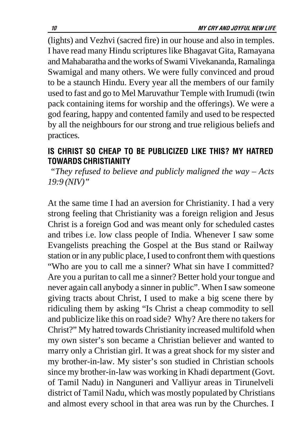<span id="page-9-0"></span>(lights) and Vezhvi (sacred fire) in our house and also in temples. I have read many Hindu scriptures like Bhagavat Gita, Ramayana and Mahabaratha and the works of Swami Vivekananda, Ramalinga Swamigal and many others. We were fully convinced and proud to be a staunch Hindu. Every year all the members of our family used to fast and go to Mel Maruvathur Temple with Irumudi (twin pack containing items for worship and the offerings). We were a god fearing, happy and contented family and used to be respected by all the neighbours for our strong and true religious beliefs and practices.

## IS CHRIST SO CHEAP TO BE PUBLICIZED LIKE THIS? MY HATRED TOWARDS CHRISTIANITY

 *"They refused to believe and publicly maligned the way – Acts 19:9 (NIV)"*

At the same time I had an aversion for Christianity. I had a very strong feeling that Christianity was a foreign religion and Jesus Christ is a foreign God and was meant only for scheduled castes and tribes i.e. low class people of India. Whenever I saw some Evangelists preaching the Gospel at the Bus stand or Railway station or in any public place, I used to confront them with questions "Who are you to call me a sinner? What sin have I committed? Are you a puritan to call me a sinner? Better hold your tongue and never again call anybody a sinner in public". When I saw someone giving tracts about Christ, I used to make a big scene there by ridiculing them by asking "Is Christ a cheap commodity to sell and publicize like this on road side? Why? Are there no takers for Christ?" My hatred towards Christianity increased multifold when my own sister's son became a Christian believer and wanted to marry only a Christian girl. It was a great shock for my sister and my brother-in-law. My sister's son studied in Christian schools since my brother-in-law was working in Khadi department (Govt. of Tamil Nadu) in Nanguneri and Valliyur areas in Tirunelveli district of Tamil Nadu, which was mostly populated by Christians and almost every school in that area was run by the Churches. I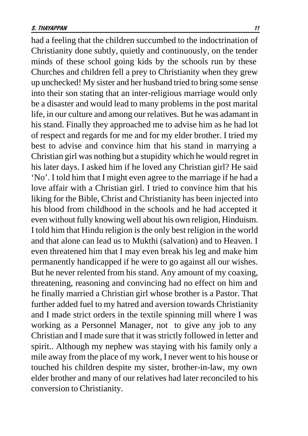had a feeling that the children succumbed to the indoctrination of Christianity done subtly, quietly and continuously, on the tender minds of these school going kids by the schools run by these Churches and children fell a prey to Christianity when they grew up unchecked! My sister and her husband tried to bring some sense into their son stating that an inter-religious marriage would only be a disaster and would lead to many problems in the post marital life, in our culture and among our relatives. But he was adamant in his stand. Finally they approached me to advise him as he had lot of respect and regards for me and for my elder brother. I tried my best to advise and convince him that his stand in marrying a Christian girl was nothing but a stupidity which he would regret in his later days. I asked him if he loved any Christian girl? He said 'No'. I told him that I might even agree to the marriage if he had a love affair with a Christian girl. I tried to convince him that his liking for the Bible, Christ and Christianity has been injected into his blood from childhood in the schools and he had accepted it even without fully knowing well about his own religion, Hinduism. I told him that Hindu religion is the only best religion in the world and that alone can lead us to Mukthi (salvation) and to Heaven. I even threatened him that I may even break his leg and make him permanently handicapped if he were to go against all our wishes. But he never relented from his stand. Any amount of my coaxing, threatening, reasoning and convincing had no effect on him and he finally married a Christian girl whose brother is a Pastor. That further added fuel to my hatred and aversion towards Christianity and I made strict orders in the textile spinning mill where I was working as a Personnel Manager, not to give any job to any Christian and I made sure that it was strictly followed in letter and spirit.. Although my nephew was staying with his family only a mile away from the place of my work, I never went to his house or touched his children despite my sister, brother-in-law, my own elder brother and many of our relatives had later reconciled to his conversion to Christianity.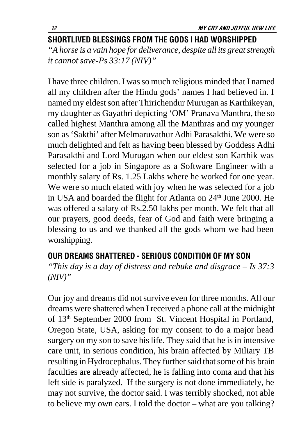# <span id="page-11-0"></span>SHORTLIVED BLESSINGS FROM THE GODS I HAD WORSHIPPED

*"A horse is a vain hope for deliverance, despite all its great strength it cannot save-Ps 33:17 (NIV)"*

I have three children. I was so much religious minded that I named all my children after the Hindu gods' names I had believed in. I named my eldest son after Thirichendur Murugan as Karthikeyan, my daughter as Gayathri depicting 'OM' Pranava Manthra, the so called highest Manthra among all the Manthras and my younger son as 'Sakthi' after Melmaruvathur Adhi Parasakthi. We were so much delighted and felt as having been blessed by Goddess Adhi Parasakthi and Lord Murugan when our eldest son Karthik was selected for a job in Singapore as a Software Engineer with a monthly salary of Rs. 1.25 Lakhs where he worked for one year. We were so much elated with joy when he was selected for a job in USA and boarded the flight for Atlanta on 24<sup>th</sup> June 2000. He was offered a salary of Rs.2.50 lakhs per month. We felt that all our prayers, good deeds, fear of God and faith were bringing a blessing to us and we thanked all the gods whom we had been worshipping.

# OUR DREAMS SHATTERED - SERIOUS CONDITION OF MY SON

*"This day is a day of distress and rebuke and disgrace – Is 37:3 (NIV)"*

Our joy and dreams did not survive even for three months. All our dreams were shattered when I received a phone call at the midnight of 13<sup>th</sup> September 2000 from St. Vincent Hospital in Portland, Oregon State, USA, asking for my consent to do a major head surgery on my son to save his life. They said that he is in intensive care unit, in serious condition, his brain affected by Miliary TB resulting in Hydrocephalus. They further said that some of his brain faculties are already affected, he is falling into coma and that his left side is paralyzed. If the surgery is not done immediately, he may not survive, the doctor said. I was terribly shocked, not able to believe my own ears. I told the doctor – what are you talking?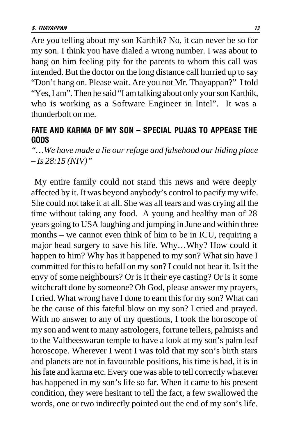<span id="page-12-0"></span>Are you telling about my son Karthik? No, it can never be so for my son. I think you have dialed a wrong number. I was about to hang on him feeling pity for the parents to whom this call was intended. But the doctor on the long distance call hurried up to say "Don't hang on. Please wait. Are you not Mr. Thayappan?" I told "Yes, I am". Then he said "I am talking about only your son Karthik, who is working as a Software Engineer in Intel". It was a thunderbolt on me.

#### FATE AND KARMA OF MY SON – SPECIAL PUJAS TO APPEASE THE GODS

*"…We have made a lie our refuge and falsehood our hiding place – Is 28:15 (NIV)"*

 My entire family could not stand this news and were deeply affected by it. It was beyond anybody's control to pacify my wife. She could not take it at all. She was all tears and was crying all the time without taking any food. A young and healthy man of 28 years going to USA laughing and jumping in June and within three months – we cannot even think of him to be in ICU, requiring a major head surgery to save his life. Why…Why? How could it happen to him? Why has it happened to my son? What sin have I committed for this to befall on my son? I could not bear it. Is it the envy of some neighbours? Or is it their eye casting? Or is it some witchcraft done by someone? Oh God, please answer my prayers, I cried. What wrong have I done to earn this for my son? What can be the cause of this fateful blow on my son? I cried and prayed. With no answer to any of my questions, I took the horoscope of my son and went to many astrologers, fortune tellers, palmists and to the Vaitheeswaran temple to have a look at my son's palm leaf horoscope. Wherever I went I was told that my son's birth stars and planets are not in favourable positions, his time is bad, it is in his fate and karma etc. Every one was able to tell correctly whatever has happened in my son's life so far. When it came to his present condition, they were hesitant to tell the fact, a few swallowed the words, one or two indirectly pointed out the end of my son's life.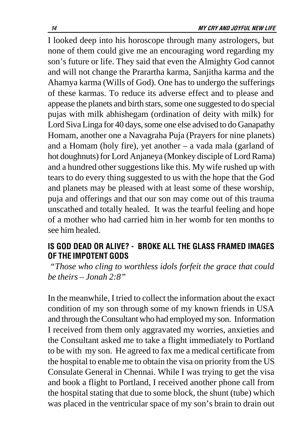<span id="page-13-0"></span>I looked deep into his horoscope through many astrologers, but none of them could give me an encouraging word regarding my son's future or life. They said that even the Almighty God cannot and will not change the Prarartha karma, Sanjitha karma and the Ahamya karma (Wills of God). One has to undergo the sufferings of these karmas. To reduce its adverse effect and to please and appease the planets and birth stars, some one suggested to do special pujas with milk abhishegam (ordination of deity with milk) for Lord Siva Linga for 40 days, some one else advised to do Ganapathy Homam, another one a Navagraha Puja (Prayers for nine planets) and a Homam (holy fire), yet another – a vada mala (garland of hot doughnuts) for Lord Anjaneya (Monkey disciple of Lord Rama) and a hundred other suggestions like this. My wife rushed up with tears to do every thing suggested to us with the hope that the God and planets may be pleased with at least some of these worship, puja and offerings and that our son may come out of this trauma unscathed and totally healed. It was the tearful feeling and hope of a mother who had carried him in her womb for ten months to see him healed.

## IS GOD DEAD OR ALIVE? - BROKE ALL THE GLASS FRAMED IMAGES OF THE IMPOTENT GODS

*"Those who cling to worthless idols forfeit the grace that could be theirs – Jonah 2:8"*

In the meanwhile, I tried to collect the information about the exact condition of my son through some of my known friends in USA and through the Consultant who had employed my son. Information I received from them only aggravated my worries, anxieties and the Consultant asked me to take a flight immediately to Portland to be with my son. He agreed to fax me a medical certificate from the hospital to enable me to obtain the visa on priority from the US Consulate General in Chennai. While I was trying to get the visa and book a flight to Portland, I received another phone call from the hospital stating that due to some block, the shunt (tube) which was placed in the ventricular space of my son's brain to drain out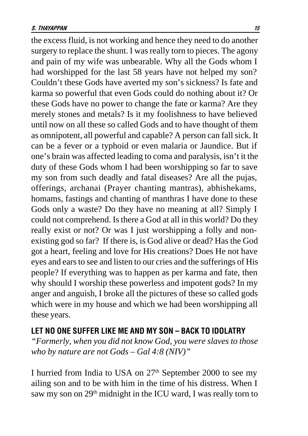<span id="page-14-0"></span>the excess fluid, is not working and hence they need to do another surgery to replace the shunt. I was really torn to pieces. The agony and pain of my wife was unbearable. Why all the Gods whom I had worshipped for the last 58 years have not helped my son? Couldn't these Gods have averted my son's sickness? Is fate and karma so powerful that even Gods could do nothing about it? Or these Gods have no power to change the fate or karma? Are they merely stones and metals? Is it my foolishness to have believed until now on all these so called Gods and to have thought of them as omnipotent, all powerful and capable? A person can fall sick. It can be a fever or a typhoid or even malaria or Jaundice. But if one's brain was affected leading to coma and paralysis, isn't it the duty of these Gods whom I had been worshipping so far to save my son from such deadly and fatal diseases? Are all the pujas, offerings, archanai (Prayer chanting mantras), abhishekams, homams, fastings and chanting of manthras I have done to these Gods only a waste? Do they have no meaning at all? Simply I could not comprehend. Is there a God at all in this world? Do they really exist or not? Or was I just worshipping a folly and nonexisting god so far? If there is, is God alive or dead? Has the God got a heart, feeling and love for His creations? Does He not have eyes and ears to see and listen to our cries and the sufferings of His people? If everything was to happen as per karma and fate, then why should I worship these powerless and impotent gods? In my anger and anguish, I broke all the pictures of these so called gods which were in my house and which we had been worshipping all these years.

#### Let no one suffer like me and my son – back to idolatry

*"Formerly, when you did not know God, you were slaves to those who by nature are not Gods – Gal 4:8 (NIV)"*

I hurried from India to USA on  $27<sup>th</sup>$  September 2000 to see my ailing son and to be with him in the time of his distress. When I saw my son on 29<sup>th</sup> midnight in the ICU ward, I was really torn to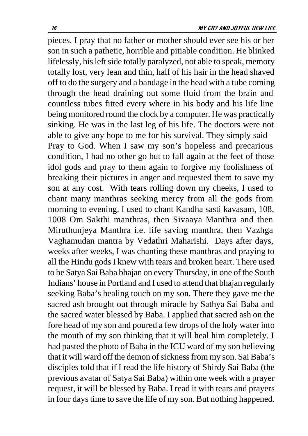pieces. I pray that no father or mother should ever see his or her son in such a pathetic, horrible and pitiable condition. He blinked lifelessly, his left side totally paralyzed, not able to speak, memory totally lost, very lean and thin, half of his hair in the head shaved off to do the surgery and a bandage in the head with a tube coming through the head draining out some fluid from the brain and countless tubes fitted every where in his body and his life line being monitored round the clock by a computer. He was practically sinking. He was in the last leg of his life. The doctors were not able to give any hope to me for his survival. They simply said – Pray to God. When I saw my son's hopeless and precarious condition, I had no other go but to fall again at the feet of those idol gods and pray to them again to forgive my foolishness of breaking their pictures in anger and requested them to save my son at any cost. With tears rolling down my cheeks, I used to chant many manthras seeking mercy from all the gods from morning to evening. I used to chant Kandha sasti kavasam, 108, 1008 Om Sakthi manthras, then Sivaaya Manthra and then Miruthunjeya Manthra i.e. life saving manthra, then Vazhga Vaghamudan mantra by Vedathri Maharishi. Days after days, weeks after weeks, I was chanting these manthras and praying to all the Hindu gods I knew with tears and broken heart. There used to be Satya Sai Baba bhajan on every Thursday, in one of the South Indians' house in Portland and I used to attend that bhajan regularly seeking Baba's healing touch on my son. There they gave me the sacred ash brought out through miracle by Sathya Sai Baba and the sacred water blessed by Baba. I applied that sacred ash on the fore head of my son and poured a few drops of the holy water into the mouth of my son thinking that it will heal him completely. I had pasted the photo of Baba in the ICU ward of my son believing that it will ward off the demon of sickness from my son. Sai Baba's disciples told that if I read the life history of Shirdy Sai Baba (the previous avatar of Satya Sai Baba) within one week with a prayer request, it will be blessed by Baba. I read it with tears and prayers in four days time to save the life of my son. But nothing happened.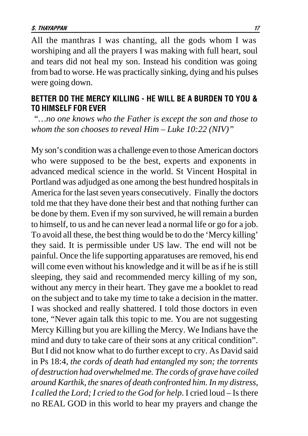<span id="page-16-0"></span>All the manthras I was chanting, all the gods whom I was worshiping and all the prayers I was making with full heart, soul and tears did not heal my son. Instead his condition was going from bad to worse. He was practically sinking, dying and his pulses were going down.

#### BETTER DO THE MERCY KILLING - HE WILL BE A BURDEN TO YOU & TO HIMSELF FOR EVER

*"…no one knows who the Father is except the son and those to whom the son chooses to reveal Him – Luke 10:22 (NIV)"*

My son's condition was a challenge even to those American doctors who were supposed to be the best, experts and exponents in advanced medical science in the world. St Vincent Hospital in Portland was adjudged as one among the best hundred hospitals in America for the last seven years consecutively. Finally the doctors told me that they have done their best and that nothing further can be done by them. Even if my son survived, he will remain a burden to himself, to us and he can never lead a normal life or go for a job. To avoid all these, the best thing would be to do the 'Mercy killing' they said. It is permissible under US law. The end will not be painful. Once the life supporting apparatuses are removed, his end will come even without his knowledge and it will be as if he is still sleeping, they said and recommended mercy killing of my son, without any mercy in their heart. They gave me a booklet to read on the subject and to take my time to take a decision in the matter. I was shocked and really shattered. I told those doctors in even tone, "Never again talk this topic to me. You are not suggesting Mercy Killing but you are killing the Mercy. We Indians have the mind and duty to take care of their sons at any critical condition". But I did not know what to do further except to cry. As David said in Ps 18:4, *the cords of death had entangled my son; the torrents of destruction had overwhelmed me. The cords of grave have coiled around Karthik, the snares of death confronted him. In my distress, I called the Lord; I cried to the God for help*. I cried loud – Is there no REAL GOD in this world to hear my prayers and change the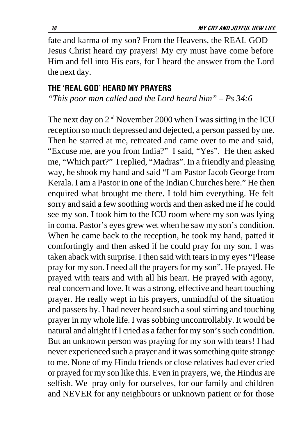<span id="page-17-0"></span>fate and karma of my son? From the Heavens, the REAL GOD – Jesus Christ heard my prayers! My cry must have come before Him and fell into His ears, for I heard the answer from the Lord the next day.

#### THE 'REAL GOD' HEARD MY PRAYERS

*"This poor man called and the Lord heard him" – Ps 34:6*

The next day on  $2<sup>nd</sup>$  November 2000 when I was sitting in the ICU reception so much depressed and dejected, a person passed by me. Then he starred at me, retreated and came over to me and said, "Excuse me, are you from India?" I said, "Yes". He then asked me, "Which part?" I replied, "Madras". In a friendly and pleasing way, he shook my hand and said "I am Pastor Jacob George from Kerala. I am a Pastor in one of the Indian Churches here." He then enquired what brought me there. I told him everything. He felt sorry and said a few soothing words and then asked me if he could see my son. I took him to the ICU room where my son was lying in coma. Pastor's eyes grew wet when he saw my son's condition. When he came back to the reception, he took my hand, patted it comfortingly and then asked if he could pray for my son. I was taken aback with surprise. I then said with tears in my eyes "Please pray for my son. I need all the prayers for my son". He prayed. He prayed with tears and with all his heart. He prayed with agony, real concern and love. It was a strong, effective and heart touching prayer. He really wept in his prayers, unmindful of the situation and passers by. I had never heard such a soul stirring and touching prayer in my whole life. I was sobbing uncontrollably. It would be natural and alright if I cried as a father for my son's such condition. But an unknown person was praying for my son with tears! I had never experienced such a prayer and it was something quite strange to me. None of my Hindu friends or close relatives had ever cried or prayed for my son like this. Even in prayers, we, the Hindus are selfish. We pray only for ourselves, for our family and children and NEVER for any neighbours or unknown patient or for those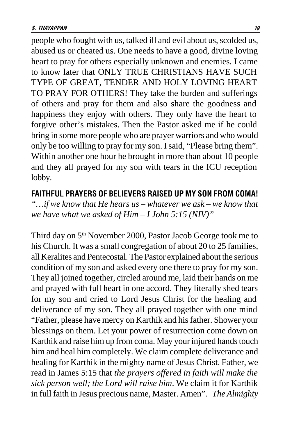<span id="page-18-0"></span>people who fought with us, talked ill and evil about us, scolded us, abused us or cheated us. One needs to have a good, divine loving heart to pray for others especially unknown and enemies. I came to know later that ONLY TRUE CHRISTIANS HAVE SUCH TYPE OF GREAT, TENDER AND HOLY LOVING HEART TO PRAY FOR OTHERS! They take the burden and sufferings of others and pray for them and also share the goodness and happiness they enjoy with others. They only have the heart to forgive other's mistakes. Then the Pastor asked me if he could bring in some more people who are prayer warriors and who would only be too willing to pray for my son. I said, "Please bring them". Within another one hour he brought in more than about 10 people and they all prayed for my son with tears in the ICU reception lobby.

#### FAITHFUL PRAYERS OF BELIEVERS RAISED UP MY SON FROM COMA!

*"…if we know that He hears us – whatever we ask – we know that we have what we asked of Him – I John 5:15 (NIV)"*

Third day on 5<sup>th</sup> November 2000, Pastor Jacob George took me to his Church. It was a small congregation of about 20 to 25 families, all Keralites and Pentecostal. The Pastor explained about the serious condition of my son and asked every one there to pray for my son. They all joined together, circled around me, laid their hands on me and prayed with full heart in one accord. They literally shed tears for my son and cried to Lord Jesus Christ for the healing and deliverance of my son. They all prayed together with one mind "Father, please have mercy on Karthik and his father. Shower your blessings on them. Let your power of resurrection come down on Karthik and raise him up from coma. May your injured hands touch him and heal him completely. We claim complete deliverance and healing for Karthik in the mighty name of Jesus Christ. Father, we read in James 5:15 that *the prayers offered in faith will make the sick person well; the Lord will raise him*. We claim it for Karthik in full faith in Jesus precious name, Master. Amen". *The Almighty*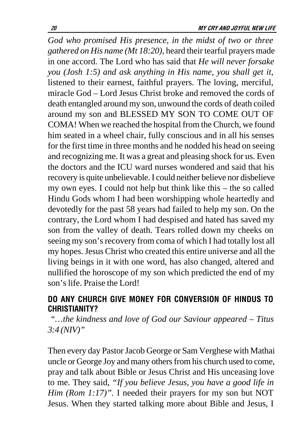<span id="page-19-0"></span>*God who promised His presence, in the midst of two or three gathered on His name (Mt 18:20),* heard their tearful prayers made in one accord. The Lord who has said that *He will never forsake you (Josh 1:5) and ask anything in His name, you shall get it*, listened to their earnest, faithful prayers. The loving, merciful, miracle God – Lord Jesus Christ broke and removed the cords of death entangled around my son, unwound the cords of death coiled around my son and BLESSED MY SON TO COME OUT OF COMA! When we reached the hospital from the Church, we found him seated in a wheel chair, fully conscious and in all his senses for the first time in three months and he nodded his head on seeing and recognizing me. It was a great and pleasing shock for us. Even the doctors and the ICU ward nurses wondered and said that his recovery is quite unbelievable. I could neither believe nor disbelieve my own eyes. I could not help but think like this – the so called Hindu Gods whom I had been worshipping whole heartedly and devotedly for the past 58 years had failed to help my son. On the contrary, the Lord whom I had despised and hated has saved my son from the valley of death. Tears rolled down my cheeks on seeing my son's recovery from coma of which I had totally lost all my hopes. Jesus Christ who created this entire universe and all the living beings in it with one word, has also changed, altered and nullified the horoscope of my son which predicted the end of my son's life. Praise the Lord!

# DO ANY CHURCH GIVE MONEY FOR CONVERSION OF HINDUS TO **CHRISTIANITY?**

 *"…the kindness and love of God our Saviour appeared – Titus 3:4 (NIV)"*

Then every day Pastor Jacob George or Sam Verghese with Mathai uncle or George Joy and many others from his church used to come, pray and talk about Bible or Jesus Christ and His unceasing love to me. They said, *"If you believe Jesus, you have a good life in Him (Rom 1:17)"*. I needed their prayers for my son but NOT Jesus. When they started talking more about Bible and Jesus, I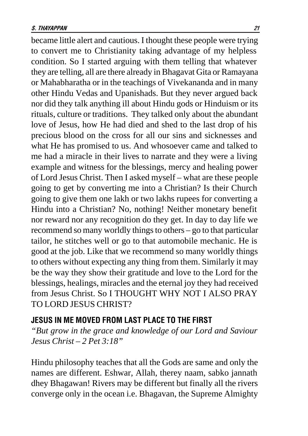<span id="page-20-0"></span>became little alert and cautious. I thought these people were trying to convert me to Christianity taking advantage of my helpless condition. So I started arguing with them telling that whatever they are telling, all are there already in Bhagavat Gita or Ramayana or Mahabharatha or in the teachings of Vivekananda and in many other Hindu Vedas and Upanishads. But they never argued back nor did they talk anything ill about Hindu gods or Hinduism or its rituals, culture or traditions. They talked only about the abundant love of Jesus, how He had died and shed to the last drop of his precious blood on the cross for all our sins and sicknesses and what He has promised to us. And whosoever came and talked to me had a miracle in their lives to narrate and they were a living example and witness for the blessings, mercy and healing power of Lord Jesus Christ. Then I asked myself – what are these people going to get by converting me into a Christian? Is their Church going to give them one lakh or two lakhs rupees for converting a Hindu into a Christian? No, nothing! Neither monetary benefit nor reward nor any recognition do they get. In day to day life we recommend so many worldly things to others – go to that particular tailor, he stitches well or go to that automobile mechanic. He is good at the job. Like that we recommend so many worldly things to others without expecting any thing from them. Similarly it may be the way they show their gratitude and love to the Lord for the blessings, healings, miracles and the eternal joy they had received from Jesus Christ. So I THOUGHT WHY NOT I ALSO PRAY TO LORD JESUS CHRIST?

#### Jesus in me moved from last place to the first

*"But grow in the grace and knowledge of our Lord and Saviour Jesus Christ – 2 Pet 3:18"*

Hindu philosophy teaches that all the Gods are same and only the names are different. Eshwar, Allah, therey naam, sabko jannath dhey Bhagawan! Rivers may be different but finally all the rivers converge only in the ocean i.e. Bhagavan, the Supreme Almighty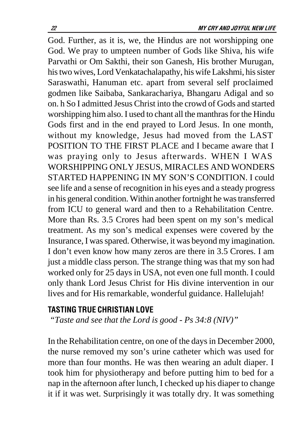<span id="page-21-0"></span>God. Further, as it is, we, the Hindus are not worshipping one God. We pray to umpteen number of Gods like Shiva, his wife Parvathi or Om Sakthi, their son Ganesh, His brother Murugan, his two wives, Lord Venkatachalapathy, his wife Lakshmi, his sister Saraswathi, Hanuman etc. apart from several self proclaimed godmen like Saibaba, Sankarachariya, Bhangaru Adigal and so on. h So I admitted Jesus Christ into the crowd of Gods and started worshipping him also. I used to chant all the manthras for the Hindu Gods first and in the end prayed to Lord Jesus. In one month, without my knowledge, Jesus had moved from the LAST POSITION TO THE FIRST PLACE and I became aware that I was praying only to Jesus afterwards. WHEN I WAS WORSHIPPING ONLY JESUS, MIRACLES AND WONDERS STARTED HAPPENING IN MY SON'S CONDITION. I could see life and a sense of recognition in his eyes and a steady progress in his general condition. Within another fortnight he was transferred from ICU to general ward and then to a Rehabilitation Centre. More than Rs. 3.5 Crores had been spent on my son's medical treatment. As my son's medical expenses were covered by the Insurance, I was spared. Otherwise, it was beyond my imagination. I don't even know how many zeros are there in 3.5 Crores. I am just a middle class person. The strange thing was that my son had worked only for 25 days in USA, not even one full month. I could only thank Lord Jesus Christ for His divine intervention in our lives and for His remarkable, wonderful guidance. Hallelujah!

#### **TASTING TRUE CHRISTIAN LOVE**

 *"Taste and see that the Lord is good - Ps 34:8 (NIV)"*

In the Rehabilitation centre, on one of the days in December 2000, the nurse removed my son's urine catheter which was used for more than four months. He was then wearing an adult diaper. I took him for physiotherapy and before putting him to bed for a nap in the afternoon after lunch, I checked up his diaper to change it if it was wet. Surprisingly it was totally dry. It was something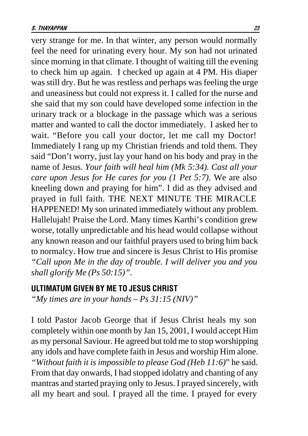<span id="page-22-0"></span>very strange for me. In that winter, any person would normally feel the need for urinating every hour. My son had not urinated since morning in that climate. I thought of waiting till the evening to check him up again. I checked up again at 4 PM. His diaper was still dry. But he was restless and perhaps was feeling the urge and uneasiness but could not express it. I called for the nurse and she said that my son could have developed some infection in the urinary track or a blockage in the passage which was a serious matter and wanted to call the doctor immediately. I asked her to wait. "Before you call your doctor, let me call my Doctor! Immediately I rang up my Christian friends and told them. They said "Don't worry, just lay your hand on his body and pray in the name of Jesus. *Your faith will heal him (Mk 5:34). Cast all your care upon Jesus for He cares for you (1 Pet 5:7)*. We are also kneeling down and praying for him". I did as they advised and prayed in full faith. THE NEXT MINUTE THE MIRACLE HAPPENED! My son urinated immediately without any problem. Hallelujah! Praise the Lord. Many times Karthi's condition grew worse, totally unpredictable and his head would collapse without any known reason and our faithful prayers used to bring him back to normalcy. How true and sincere is Jesus Christ to His promise *"Call upon Me in the day of trouble. I will deliver you and you shall glorify Me (Ps 50:15)".*

#### ULTIMATUM GIVEN BY ME TO JESUS CHRIST

*"My times are in your hands – Ps 31:15 (NIV)"*

I told Pastor Jacob George that if Jesus Christ heals my son completely within one month by Jan 15, 2001, I would accept Him as my personal Saviour. He agreed but told me to stop worshipping any idols and have complete faith in Jesus and worship Him alone. *"Without faith it is impossible to please God (Heb 11:6)*" he said. From that day onwards, I had stopped idolatry and chanting of any mantras and started praying only to Jesus. I prayed sincerely, with all my heart and soul. I prayed all the time. I prayed for every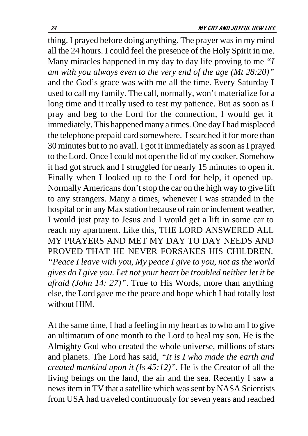thing. I prayed before doing anything. The prayer was in my mind all the 24 hours. I could feel the presence of the Holy Spirit in me. Many miracles happened in my day to day life proving to me *"I am with you always even to the very end of the age (Mt 28:20)"* and the God's grace was with me all the time. Every Saturday I used to call my family. The call, normally, won't materialize for a long time and it really used to test my patience. But as soon as I pray and beg to the Lord for the connection, I would get it immediately. This happened many a times. One day I had misplaced the telephone prepaid card somewhere. I searched it for more than 30 minutes but to no avail. I got it immediately as soon as I prayed to the Lord. Once I could not open the lid of my cooker. Somehow it had got struck and I struggled for nearly 15 minutes to open it. Finally when I looked up to the Lord for help, it opened up. Normally Americans don't stop the car on the high way to give lift to any strangers. Many a times, whenever I was stranded in the hospital or in any Max station because of rain or inclement weather, I would just pray to Jesus and I would get a lift in some car to reach my apartment. Like this, THE LORD ANSWERED ALL MY PRAYERS AND MET MY DAY TO DAY NEEDS AND PROVED THAT HE NEVER FORSAKES HIS CHILDREN. *"Peace I leave with you, My peace I give to you, not as the world gives do I give you. Let not your heart be troubled neither let it be afraid (John 14: 27)"*. True to His Words, more than anything else, the Lord gave me the peace and hope which I had totally lost without HIM.

At the same time, I had a feeling in my heart as to who am I to give an ultimatum of one month to the Lord to heal my son. He is the Almighty God who created the whole universe, millions of stars and planets. The Lord has said, *"It is I who made the earth and created mankind upon it (Is 45:12)".* He is the Creator of all the living beings on the land, the air and the sea. Recently I saw a news item in TV that a satellite which was sent by NASA Scientists from USA had traveled continuously for seven years and reached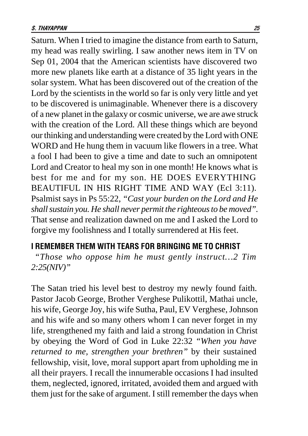<span id="page-24-0"></span>Saturn. When I tried to imagine the distance from earth to Saturn, my head was really swirling. I saw another news item in TV on Sep 01, 2004 that the American scientists have discovered two more new planets like earth at a distance of 35 light years in the solar system. What has been discovered out of the creation of the Lord by the scientists in the world so far is only very little and yet to be discovered is unimaginable. Whenever there is a discovery of a new planet in the galaxy or cosmic universe, we are awe struck with the creation of the Lord. All these things which are beyond our thinking and understanding were created by the Lord with ONE WORD and He hung them in vacuum like flowers in a tree. What a fool I had been to give a time and date to such an omnipotent Lord and Creator to heal my son in one month! He knows what is best for me and for my son. HE DOES EVERYTHING BEAUTIFUL IN HIS RIGHT TIME AND WAY (Ecl 3:11). Psalmist says in Ps 55:22, *"Cast your burden on the Lord and He shall sustain you. He shall never permit the righteous to be moved".* That sense and realization dawned on me and I asked the Lord to forgive my foolishness and I totally surrendered at His feet.

#### I REMEMBER THEM WITH TEARS FOR BRINGING ME TO CHRIST

*"Those who oppose him he must gently instruct…2 Tim 2:25(NIV)"*

The Satan tried his level best to destroy my newly found faith. Pastor Jacob George, Brother Verghese Pulikottil, Mathai uncle, his wife, George Joy, his wife Sutha, Paul, EV Verghese, Johnson and his wife and so many others whom I can never forget in my life, strengthened my faith and laid a strong foundation in Christ by obeying the Word of God in Luke 22:32 *"When you have returned to me, strengthen your brethren"* by their sustained fellowship, visit, love, moral support apart from upholding me in all their prayers. I recall the innumerable occasions I had insulted them, neglected, ignored, irritated, avoided them and argued with them just for the sake of argument. I still remember the days when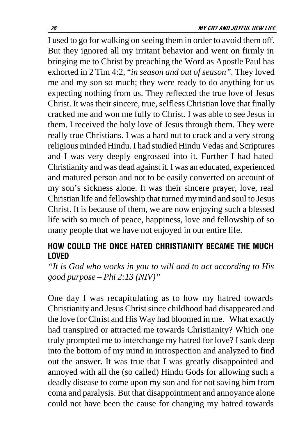<span id="page-25-0"></span>I used to go for walking on seeing them in order to avoid them off. But they ignored all my irritant behavior and went on firmly in bringing me to Christ by preaching the Word as Apostle Paul has exhorted in 2 Tim 4:2, "*in season and out of season".* They loved me and my son so much; they were ready to do anything for us expecting nothing from us. They reflected the true love of Jesus Christ. It was their sincere, true, selfless Christian love that finally cracked me and won me fully to Christ. I was able to see Jesus in them. I received the holy love of Jesus through them. They were really true Christians. I was a hard nut to crack and a very strong religious minded Hindu. I had studied Hindu Vedas and Scriptures and I was very deeply engrossed into it. Further I had hated Christianity and was dead against it. I was an educated, experienced and matured person and not to be easily converted on account of my son's sickness alone. It was their sincere prayer, love, real Christian life and fellowship that turned my mind and soul to Jesus Christ. It is because of them, we are now enjoying such a blessed life with so much of peace, happiness, love and fellowship of so many people that we have not enjoyed in our entire life.

# HOW COULD THE ONCE HATED CHRISTIANITY BECAME THE MUCH **LOVED**

*"It is God who works in you to will and to act according to His good purpose – Phi 2:13 (NIV)"*

One day I was recapitulating as to how my hatred towards Christianity and Jesus Christ since childhood had disappeared and the love for Christ and His Way had bloomed in me. What exactly had transpired or attracted me towards Christianity? Which one truly prompted me to interchange my hatred for love? I sank deep into the bottom of my mind in introspection and analyzed to find out the answer. It was true that I was greatly disappointed and annoyed with all the (so called) Hindu Gods for allowing such a deadly disease to come upon my son and for not saving him from coma and paralysis. But that disappointment and annoyance alone could not have been the cause for changing my hatred towards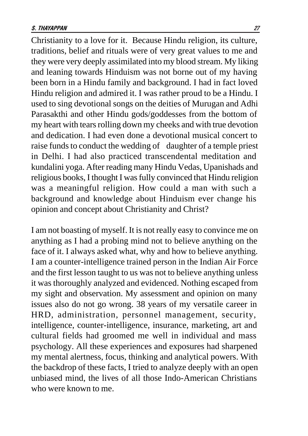Christianity to a love for it. Because Hindu religion, its culture, traditions, belief and rituals were of very great values to me and they were very deeply assimilated into my blood stream. My liking and leaning towards Hinduism was not borne out of my having been born in a Hindu family and background. I had in fact loved Hindu religion and admired it. I was rather proud to be a Hindu. I used to sing devotional songs on the deities of Murugan and Adhi Parasakthi and other Hindu gods/goddesses from the bottom of my heart with tears rolling down my cheeks and with true devotion and dedication. I had even done a devotional musical concert to raise funds to conduct the wedding of daughter of a temple priest in Delhi. I had also practiced transcendental meditation and kundalini yoga. After reading many Hindu Vedas, Upanishads and religious books, I thought I was fully convinced that Hindu religion was a meaningful religion. How could a man with such a background and knowledge about Hinduism ever change his opinion and concept about Christianity and Christ?

I am not boasting of myself. It is not really easy to convince me on anything as I had a probing mind not to believe anything on the face of it. I always asked what, why and how to believe anything. I am a counter-intelligence trained person in the Indian Air Force and the first lesson taught to us was not to believe anything unless it was thoroughly analyzed and evidenced. Nothing escaped from my sight and observation. My assessment and opinion on many issues also do not go wrong. 38 years of my versatile career in HRD, administration, personnel management, security, intelligence, counter-intelligence, insurance, marketing, art and cultural fields had groomed me well in individual and mass psychology. All these experiences and exposures had sharpened my mental alertness, focus, thinking and analytical powers. With the backdrop of these facts, I tried to analyze deeply with an open unbiased mind, the lives of all those Indo-American Christians who were known to me.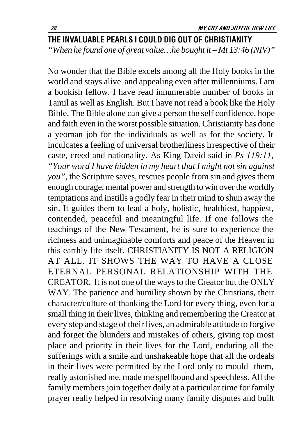# <span id="page-27-0"></span>THE INVALUABLE PEARLS I COULD DIG OUT OF CHRISTIANITY *"When he found one of great value…he bought it – Mt 13:46 (NIV)"*

No wonder that the Bible excels among all the Holy books in the world and stays alive and appealing even after millenniums. I am a bookish fellow. I have read innumerable number of books in Tamil as well as English. But I have not read a book like the Holy Bible. The Bible alone can give a person the self confidence, hope and faith even in the worst possible situation. Christianity has done a yeoman job for the individuals as well as for the society. It inculcates a feeling of universal brotherliness irrespective of their caste, creed and nationality. As King David said in *Ps 119:11, "Your word I have hidden in my heart that I might not sin against you",* the Scripture saves, rescues people from sin and gives them enough courage, mental power and strength to win over the worldly temptations and instills a godly fear in their mind to shun away the sin. It guides them to lead a holy, holistic, healthiest, happiest, contended, peaceful and meaningful life. If one follows the teachings of the New Testament, he is sure to experience the richness and unimaginable comforts and peace of the Heaven in this earthly life itself. CHRISTIANITY IS NOT A RELIGION AT ALL. IT SHOWS THE WAY TO HAVE A CLOSE ETERNAL PERSONAL RELATIONSHIP WITH THE CREATOR. It is not one of the ways to the Creator but the ONLY WAY. The patience and humility shown by the Christians, their character/culture of thanking the Lord for every thing, even for a small thing in their lives, thinking and remembering the Creator at every step and stage of their lives, an admirable attitude to forgive and forget the blunders and mistakes of others, giving top most place and priority in their lives for the Lord, enduring all the sufferings with a smile and unshakeable hope that all the ordeals in their lives were permitted by the Lord only to mould them, really astonished me, made me spellbound and speechless. All the family members join together daily at a particular time for family prayer really helped in resolving many family disputes and built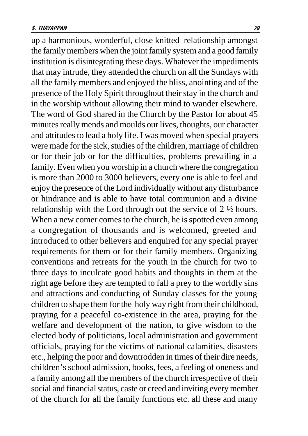up a harmonious, wonderful, close knitted relationship amongst the family members when the joint family system and a good family institution is disintegrating these days. Whatever the impediments that may intrude, they attended the church on all the Sundays with all the family members and enjoyed the bliss, anointing and of the presence of the Holy Spirit throughout their stay in the church and in the worship without allowing their mind to wander elsewhere. The word of God shared in the Church by the Pastor for about 45 minutes really mends and moulds our lives, thoughts, our character and attitudes to lead a holy life. I was moved when special prayers were made for the sick, studies of the children, marriage of children or for their job or for the difficulties, problems prevailing in a family. Even when you worship in a church where the congregation is more than 2000 to 3000 believers, every one is able to feel and enjoy the presence of the Lord individually without any disturbance or hindrance and is able to have total communion and a divine relationship with the Lord through out the service of 2 ½ hours. When a new comer comes to the church, he is spotted even among a congregation of thousands and is welcomed, greeted and introduced to other believers and enquired for any special prayer requirements for them or for their family members. Organizing conventions and retreats for the youth in the church for two to three days to inculcate good habits and thoughts in them at the right age before they are tempted to fall a prey to the worldly sins and attractions and conducting of Sunday classes for the young children to shape them for the holy way right from their childhood, praying for a peaceful co-existence in the area, praying for the welfare and development of the nation, to give wisdom to the elected body of politicians, local administration and government officials, praying for the victims of national calamities, disasters etc., helping the poor and downtrodden in times of their dire needs, children's school admission, books, fees, a feeling of oneness and a family among all the members of the church irrespective of their social and financial status, caste or creed and inviting every member of the church for all the family functions etc. all these and many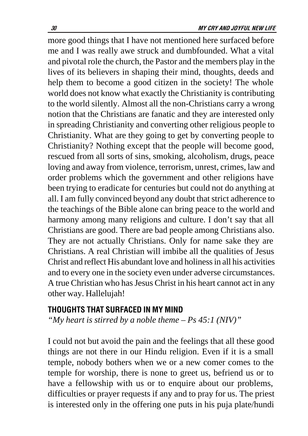<span id="page-29-0"></span>more good things that I have not mentioned here surfaced before me and I was really awe struck and dumbfounded. What a vital and pivotal role the church, the Pastor and the members play in the lives of its believers in shaping their mind, thoughts, deeds and help them to become a good citizen in the society! The whole world does not know what exactly the Christianity is contributing to the world silently. Almost all the non-Christians carry a wrong notion that the Christians are fanatic and they are interested only in spreading Christianity and converting other religious people to Christianity. What are they going to get by converting people to Christianity? Nothing except that the people will become good, rescued from all sorts of sins, smoking, alcoholism, drugs, peace loving and away from violence, terrorism, unrest, crimes, law and order problems which the government and other religions have been trying to eradicate for centuries but could not do anything at all. I am fully convinced beyond any doubt that strict adherence to the teachings of the Bible alone can bring peace to the world and harmony among many religions and culture. I don't say that all Christians are good. There are bad people among Christians also. They are not actually Christians. Only for name sake they are Christians. A real Christian will imbibe all the qualities of Jesus Christ and reflect His abundant love and holiness in all his activities and to every one in the society even under adverse circumstances. A true Christian who has Jesus Christ in his heart cannot act in any other way. Hallelujah!

#### THOUGHTS THAT SURFACED IN MY MIND

*"My heart is stirred by a noble theme – Ps 45:1 (NIV)"*

I could not but avoid the pain and the feelings that all these good things are not there in our Hindu religion. Even if it is a small temple, nobody bothers when we or a new comer comes to the temple for worship, there is none to greet us, befriend us or to have a fellowship with us or to enquire about our problems, difficulties or prayer requests if any and to pray for us. The priest is interested only in the offering one puts in his puja plate/hundi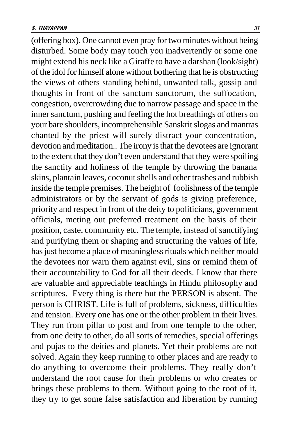(offering box). One cannot even pray for two minutes without being disturbed. Some body may touch you inadvertently or some one might extend his neck like a Giraffe to have a darshan (look/sight) of the idol for himself alone without bothering that he is obstructing the views of others standing behind, unwanted talk, gossip and thoughts in front of the sanctum sanctorum, the suffocation, congestion, overcrowding due to narrow passage and space in the inner sanctum, pushing and feeling the hot breathings of others on your bare shoulders, incomprehensible Sanskrit slogas and mantras chanted by the priest will surely distract your concentration, devotion and meditation.. The irony is that the devotees are ignorant to the extent that they don't even understand that they were spoiling the sanctity and holiness of the temple by throwing the banana skins, plantain leaves, coconut shells and other trashes and rubbish inside the temple premises. The height of foolishness of the temple administrators or by the servant of gods is giving preference, priority and respect in front of the deity to politicians, government officials, meting out preferred treatment on the basis of their position, caste, community etc. The temple, instead of sanctifying and purifying them or shaping and structuring the values of life, has just become a place of meaningless rituals which neither mould the devotees nor warn them against evil, sins or remind them of their accountability to God for all their deeds. I know that there are valuable and appreciable teachings in Hindu philosophy and scriptures. Every thing is there but the PERSON is absent. The person is CHRIST. Life is full of problems, sickness, difficulties and tension. Every one has one or the other problem in their lives. They run from pillar to post and from one temple to the other, from one deity to other, do all sorts of remedies, special offerings and pujas to the deities and planets. Yet their problems are not solved. Again they keep running to other places and are ready to do anything to overcome their problems. They really don't understand the root cause for their problems or who creates or brings these problems to them. Without going to the root of it, they try to get some false satisfaction and liberation by running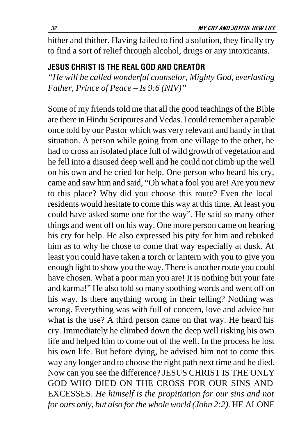<span id="page-31-0"></span>hither and thither. Having failed to find a solution, they finally try to find a sort of relief through alcohol, drugs or any intoxicants.

#### JESUS CHRIST IS THE REAL GOD AND CREATOR

*"He will be called wonderful counselor, Mighty God, everlasting Father, Prince of Peace – Is 9:6 (NIV)"*

Some of my friends told me that all the good teachings of the Bible are there in Hindu Scriptures and Vedas. I could remember a parable once told by our Pastor which was very relevant and handy in that situation. A person while going from one village to the other, he had to cross an isolated place full of wild growth of vegetation and he fell into a disused deep well and he could not climb up the well on his own and he cried for help. One person who heard his cry, came and saw him and said, "Oh what a fool you are! Are you new to this place? Why did you choose this route? Even the local residents would hesitate to come this way at this time. At least you could have asked some one for the way". He said so many other things and went off on his way. One more person came on hearing his cry for help. He also expressed his pity for him and rebuked him as to why he chose to come that way especially at dusk. At least you could have taken a torch or lantern with you to give you enough light to show you the way. There is another route you could have chosen. What a poor man you are! It is nothing but your fate and karma!" He also told so many soothing words and went off on his way. Is there anything wrong in their telling? Nothing was wrong. Everything was with full of concern, love and advice but what is the use? A third person came on that way. He heard his cry. Immediately he climbed down the deep well risking his own life and helped him to come out of the well. In the process he lost his own life. But before dying, he advised him not to come this way any longer and to choose the right path next time and he died. Now can you see the difference? JESUS CHRIST IS THE ONLY GOD WHO DIED ON THE CROSS FOR OUR SINS AND EXCESSES. *He himself is the propitiation for our sins and not for ours only, but also for the whole world (John 2:2).* HE ALONE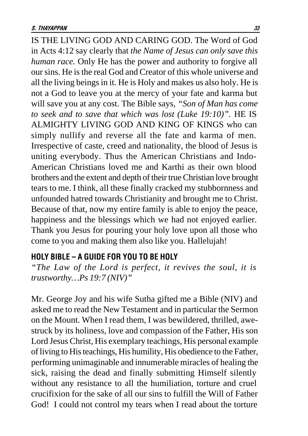<span id="page-32-0"></span>IS THE LIVING GOD AND CARING GOD. The Word of God in Acts 4:12 say clearly that *the Name of Jesus can only save this human race.* Only He has the power and authority to forgive all our sins. He is the real God and Creator of this whole universe and all the living beings in it. He is Holy and makes us also holy. He is not a God to leave you at the mercy of your fate and karma but will save you at any cost. The Bible says, *"Son of Man has come to seek and to save that which was lost (Luke 19:10)".* HE IS ALMIGHTY LIVING GOD AND KING OF KINGS who can simply nullify and reverse all the fate and karma of men. Irrespective of caste, creed and nationality, the blood of Jesus is uniting everybody. Thus the American Christians and Indo-American Christians loved me and Karthi as their own blood brothers and the extent and depth of their true Christian love brought tears to me. I think, all these finally cracked my stubbornness and unfounded hatred towards Christianity and brought me to Christ. Because of that, now my entire family is able to enjoy the peace, happiness and the blessings which we had not enjoyed earlier. Thank you Jesus for pouring your holy love upon all those who come to you and making them also like you. Hallelujah!

#### HOLY BIBLE – A GUIDE FOR YOU TO BE HOLY

*"The Law of the Lord is perfect, it revives the soul, it is trustworthy…Ps 19:7 (NIV)"*

Mr. George Joy and his wife Sutha gifted me a Bible (NIV) and asked me to read the New Testament and in particular the Sermon on the Mount. When I read them, I was bewildered, thrilled, awestruck by its holiness, love and compassion of the Father, His son Lord Jesus Christ, His exemplary teachings, His personal example of living to His teachings, His humility, His obedience to the Father, performing unimaginable and innumerable miracles of healing the sick, raising the dead and finally submitting Himself silently without any resistance to all the humiliation, torture and cruel crucifixion for the sake of all our sins to fulfill the Will of Father God! I could not control my tears when I read about the torture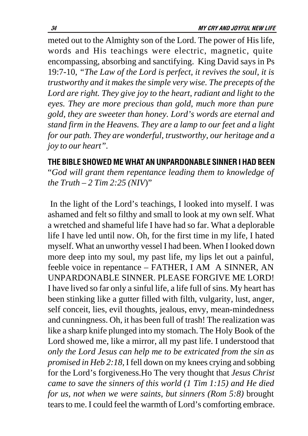<span id="page-33-0"></span>meted out to the Almighty son of the Lord. The power of His life, words and His teachings were electric, magnetic, quite encompassing, absorbing and sanctifying. King David says in Ps 19:7-10, *"The Law of the Lord is perfect, it revives the soul, it is trustworthy and it makes the simple very wise. The precepts of the Lord are right. They give joy to the heart, radiant and light to the eyes. They are more precious than gold, much more than pure gold, they are sweeter than honey. Lord's words are eternal and stand firm in the Heavens. They are a lamp to our feet and a light for our path. They are wonderful, trustworthy, our heritage and a joy to our heart".*

# THE BIBLE SHOWED ME WHAT AN UNPARDONABLE SINNER I HAD BEEN

"*God will grant them repentance leading them to knowledge of the Truth – 2 Tim 2:25 (NIV*)"

 In the light of the Lord's teachings, I looked into myself. I was ashamed and felt so filthy and small to look at my own self. What a wretched and shameful life I have had so far. What a deplorable life I have led until now. Oh, for the first time in my life, I hated myself. What an unworthy vessel I had been. When I looked down more deep into my soul, my past life, my lips let out a painful, feeble voice in repentance – FATHER, I AM A SINNER, AN UNPARDONABLE SINNER. PLEASE FORGIVE ME LORD! I have lived so far only a sinful life, a life full of sins. My heart has been stinking like a gutter filled with filth, vulgarity, lust, anger, self conceit, lies, evil thoughts, jealous, envy, mean-mindedness and cunningness. Oh, it has been full of trash! The realization was like a sharp knife plunged into my stomach. The Holy Book of the Lord showed me, like a mirror, all my past life. I understood that *only the Lord Jesus can help me to be extricated from the sin as promised in Heb 2:18,* I fell down on my knees crying and sobbing for the Lord's forgiveness.Ho The very thought that *Jesus Christ came to save the sinners of this world (1 Tim 1:15) and He died for us, not when we were saints, but sinners (Rom 5:8)* brought tears to me. I could feel the warmth of Lord's comforting embrace.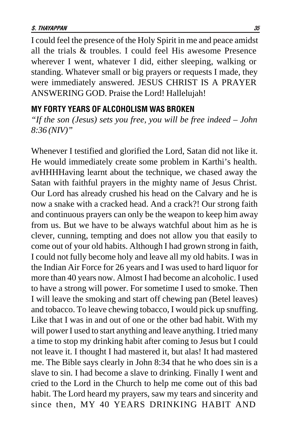<span id="page-34-0"></span>I could feel the presence of the Holy Spirit in me and peace amidst all the trials & troubles. I could feel His awesome Presence wherever I went, whatever I did, either sleeping, walking or standing. Whatever small or big prayers or requests I made, they were immediately answered. JESUS CHRIST IS A PRAYER ANSWERING GOD. Praise the Lord! Hallelujah!

#### MY FORTY YEARS OF ALCOHOLISM WAS BROKEN

*"If the son (Jesus) sets you free, you will be free indeed – John 8:36 (NIV)"*

Whenever I testified and glorified the Lord, Satan did not like it. He would immediately create some problem in Karthi's health. avHHHHaving learnt about the technique, we chased away the Satan with faithful prayers in the mighty name of Jesus Christ. Our Lord has already crushed his head on the Calvary and he is now a snake with a cracked head. And a crack?! Our strong faith and continuous prayers can only be the weapon to keep him away from us. But we have to be always watchful about him as he is clever, cunning, tempting and does not allow you that easily to come out of your old habits. Although I had grown strong in faith, I could not fully become holy and leave all my old habits. I was in the Indian Air Force for 26 years and I was used to hard liquor for more than 40 years now. Almost I had become an alcoholic. I used to have a strong will power. For sometime I used to smoke. Then I will leave the smoking and start off chewing pan (Betel leaves) and tobacco. To leave chewing tobacco, I would pick up snuffing. Like that I was in and out of one or the other bad habit. With my will power I used to start anything and leave anything. I tried many a time to stop my drinking habit after coming to Jesus but I could not leave it. I thought I had mastered it, but alas! It had mastered me. The Bible says clearly in John 8:34 that he who does sin is a slave to sin. I had become a slave to drinking. Finally I went and cried to the Lord in the Church to help me come out of this bad habit. The Lord heard my prayers, saw my tears and sincerity and since then, MY 40 YEARS DRINKING HABIT AND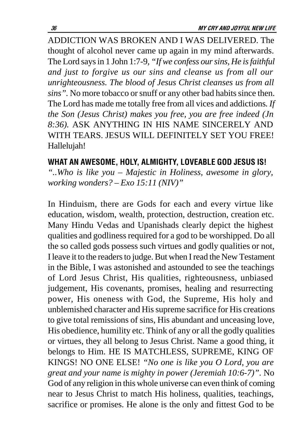<span id="page-35-0"></span>ADDICTION WAS BROKEN AND I WAS DELIVERED. The thought of alcohol never came up again in my mind afterwards. The Lord says in 1 John 1:7-9*, "If we confess our sins, He is faithful and just to forgive us our sins and cleanse us from all our unrighteousness. The blood of Jesus Christ cleanses us from all sins".* No more tobacco or snuff or any other bad habits since then. The Lord has made me totally free from all vices and addictions*. If the Son (Jesus Christ) makes you free, you are free indeed (Jn 8:36).* ASK ANYTHING IN HIS NAME SINCERELY AND WITH TEARS. JESUS WILL DEFINITELY SET YOU FREE! Hallelujah!

#### WHAT AN AWESOME, HOLY, ALMIGHTY, LOVEABLE GOD JESUS IS!

*"..Who is like you – Majestic in Holiness, awesome in glory, working wonders? – Exo 15:11 (NIV)"*

In Hinduism, there are Gods for each and every virtue like education, wisdom, wealth, protection, destruction, creation etc. Many Hindu Vedas and Upanishads clearly depict the highest qualities and godliness required for a god to be worshipped. Do all the so called gods possess such virtues and godly qualities or not, I leave it to the readers to judge. But when I read the New Testament in the Bible, I was astonished and astounded to see the teachings of Lord Jesus Christ, His qualities, righteousness, unbiased judgement, His covenants, promises, healing and resurrecting power, His oneness with God, the Supreme, His holy and unblemished character and His supreme sacrifice for His creations to give total remissions of sins, His abundant and unceasing love, His obedience, humility etc. Think of any or all the godly qualities or virtues, they all belong to Jesus Christ. Name a good thing, it belongs to Him. HE IS MATCHLESS, SUPREME, KING OF KINGS! NO ONE ELSE! *"No one is like you O Lord, you are great and your name is mighty in power (Jeremiah 10:6-7)".* No God of any religion in this whole universe can even think of coming near to Jesus Christ to match His holiness, qualities, teachings, sacrifice or promises. He alone is the only and fittest God to be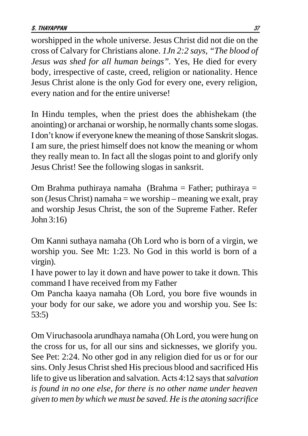worshipped in the whole universe. Jesus Christ did not die on the cross of Calvary for Christians alone. *1Jn 2:2 says, "The blood of Jesus was shed for all human beings".* Yes, He died for every body, irrespective of caste, creed, religion or nationality. Hence Jesus Christ alone is the only God for every one, every religion, every nation and for the entire universe!

In Hindu temples, when the priest does the abhishekam (the anointing) or archanai or worship, he normally chants some slogas. I don't know if everyone knew the meaning of those Sanskrit slogas. I am sure, the priest himself does not know the meaning or whom they really mean to. In fact all the slogas point to and glorify only Jesus Christ! See the following slogas in sanksrit.

Om Brahma puthiraya namaha (Brahma = Father; puthiraya = son (Jesus Christ) namaha = we worship – meaning we exalt, pray and worship Jesus Christ, the son of the Supreme Father. Refer John 3:16)

Om Kanni suthaya namaha (Oh Lord who is born of a virgin, we worship you. See Mt: 1:23. No God in this world is born of a virgin).

I have power to lay it down and have power to take it down. This command I have received from my Father

Om Pancha kaaya namaha (Oh Lord, you bore five wounds in your body for our sake, we adore you and worship you. See Is: 53:5)

Om Viruchasoola arundhaya namaha (Oh Lord, you were hung on the cross for us, for all our sins and sicknesses, we glorify you. See Pet: 2:24. No other god in any religion died for us or for our sins. Only Jesus Christ shed His precious blood and sacrificed His life to give us liberation and salvation. Acts 4:12 says that *salvation is found in no one else, for there is no other name under heaven given to men by which we must be saved. He is the atoning sacrifice*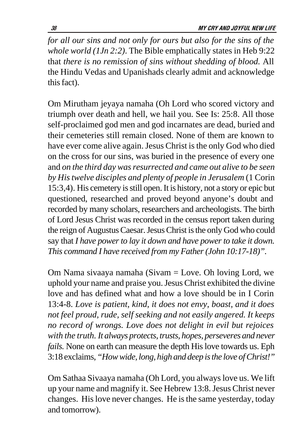*for all our sins and not only for ours but also for the sins of the whole world (1Jn 2:2)*. The Bible emphatically states in Heb 9:22 that *there is no remission of sins without shedding of blood.* All the Hindu Vedas and Upanishads clearly admit and acknowledge this fact).

Om Mirutham jeyaya namaha (Oh Lord who scored victory and triumph over death and hell, we hail you. See Is: 25:8. All those self-proclaimed god men and god incarnates are dead, buried and their cemeteries still remain closed. None of them are known to have ever come alive again. Jesus Christ is the only God who died on the cross for our sins, was buried in the presence of every one and *on the third day was resurrected and came out alive to be seen by His twelve disciples and plenty of people in Jerusalem* (1 Corin 15:3,4). His cemetery is still open. It is history, not a story or epic but questioned, researched and proved beyond anyone's doubt and recorded by many scholars, researchers and archeologists. The birth of Lord Jesus Christ was recorded in the census report taken during the reign of Augustus Caesar. Jesus Christ is the only God who could say that *I have power to lay it down and have power to take it down. This command I have received from my Father (John 10:17-18)".*

Om Nama sivaaya namaha (Sivam = Love. Oh loving Lord, we uphold your name and praise you. Jesus Christ exhibited the divine love and has defined what and how a love should be in I Corin 13:4-8. *Love is patient, kind, it does not envy, boast, and it does not feel proud, rude, self seeking and not easily angered. It keeps no record of wrongs. Love does not delight in evil but rejoices with the truth. It always protects, trusts, hopes, perseveres and never fails.* None on earth can measure the depth His love towards us. Eph 3:18 exclaims, *"How wide, long, high and deep is the love of Christ!"*

Om Sathaa Sivaaya namaha (Oh Lord, you always love us. We lift up your name and magnify it. See Hebrew 13:8. Jesus Christ never changes. His love never changes. He is the same yesterday, today and tomorrow).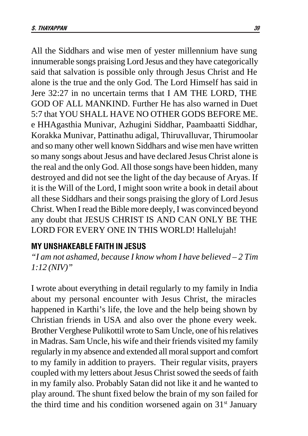All the Siddhars and wise men of yester millennium have sung innumerable songs praising Lord Jesus and they have categorically said that salvation is possible only through Jesus Christ and He alone is the true and the only God. The Lord Himself has said in Jere 32:27 in no uncertain terms that I AM THE LORD, THE GOD OF ALL MANKIND. Further He has also warned in Duet 5:7 that YOU SHALL HAVE NO OTHER GODS BEFORE ME. e HHAgasthia Munivar, Azhugini Siddhar, Paambaatti Siddhar, Korakka Munivar, Pattinathu adigal, Thiruvalluvar, Thirumoolar and so many other well known Siddhars and wise men have written so many songs about Jesus and have declared Jesus Christ alone is the real and the only God. All those songs have been hidden, many destroyed and did not see the light of the day because of Aryas. If it is the Will of the Lord, I might soon write a book in detail about all these Siddhars and their songs praising the glory of Lord Jesus Christ. When I read the Bible more deeply, I was convinced beyond any doubt that JESUS CHRIST IS AND CAN ONLY BE THE LORD FOR EVERY ONE IN THIS WORLD! Hallelujah!

### **MY UNSHAKEABLE FAITH IN JESUS**

*"I am not ashamed, because I know whom I have believed – 2 Tim 1:12 (NIV)"*

I wrote about everything in detail regularly to my family in India about my personal encounter with Jesus Christ, the miracles happened in Karthi's life, the love and the help being shown by Christian friends in USA and also over the phone every week. Brother Verghese Pulikottil wrote to Sam Uncle, one of his relatives in Madras. Sam Uncle, his wife and their friends visited my family regularly in my absence and extended all moral support and comfort to my family in addition to prayers. Their regular visits, prayers coupled with my letters about Jesus Christ sowed the seeds of faith in my family also. Probably Satan did not like it and he wanted to play around. The shunt fixed below the brain of my son failed for the third time and his condition worsened again on  $31<sup>st</sup>$  January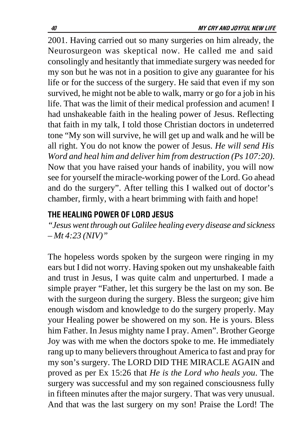2001. Having carried out so many surgeries on him already, the Neurosurgeon was skeptical now. He called me and said consolingly and hesitantly that immediate surgery was needed for my son but he was not in a position to give any guarantee for his life or for the success of the surgery. He said that even if my son survived, he might not be able to walk, marry or go for a job in his life. That was the limit of their medical profession and acumen! I had unshakeable faith in the healing power of Jesus. Reflecting that faith in my talk, I told those Christian doctors in undeterred tone "My son will survive, he will get up and walk and he will be all right. You do not know the power of Jesus. *He will send His Word and heal him and deliver him from destruction (Ps 107:20)*. Now that you have raised your hands of inability, you will now see for yourself the miracle-working power of the Lord. Go ahead and do the surgery". After telling this I walked out of doctor's chamber, firmly, with a heart brimming with faith and hope!

## The Healing Power of Lord Jesus

*"Jesus went through out Galilee healing every disease and sickness – Mt 4:23 (NIV)"*

The hopeless words spoken by the surgeon were ringing in my ears but I did not worry. Having spoken out my unshakeable faith and trust in Jesus, I was quite calm and unperturbed. I made a simple prayer "Father, let this surgery be the last on my son. Be with the surgeon during the surgery. Bless the surgeon; give him enough wisdom and knowledge to do the surgery properly. May your Healing power be showered on my son. He is yours. Bless him Father. In Jesus mighty name I pray. Amen". Brother George Joy was with me when the doctors spoke to me. He immediately rang up to many believers throughout America to fast and pray for my son's surgery. The LORD DID THE MIRACLE AGAIN and proved as per Ex 15:26 that *He is the Lord who heals you*. The surgery was successful and my son regained consciousness fully in fifteen minutes after the major surgery. That was very unusual. And that was the last surgery on my son! Praise the Lord! The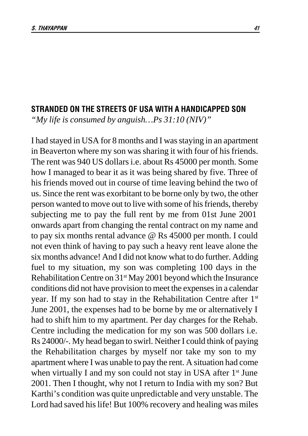#### STRANDED ON THE STREETS OF USA WITH A HANDICAPPED SON

*"My life is consumed by anguish…Ps 31:10 (NIV)"*

I had stayed in USA for 8 months and I was staying in an apartment in Beaverton where my son was sharing it with four of his friends. The rent was 940 US dollars i.e. about Rs 45000 per month. Some how I managed to bear it as it was being shared by five. Three of his friends moved out in course of time leaving behind the two of us. Since the rent was exorbitant to be borne only by two, the other person wanted to move out to live with some of his friends, thereby subjecting me to pay the full rent by me from 01st June 2001 onwards apart from changing the rental contract on my name and to pay six months rental advance @ Rs 45000 per month. I could not even think of having to pay such a heavy rent leave alone the six months advance! And I did not know what to do further. Adding fuel to my situation, my son was completing 100 days in the Rehabilitation Centre on 31<sup>st</sup> May 2001 beyond which the Insurance conditions did not have provision to meet the expenses in a calendar year. If my son had to stay in the Rehabilitation Centre after 1<sup>st</sup> June 2001, the expenses had to be borne by me or alternatively I had to shift him to my apartment. Per day charges for the Rehab. Centre including the medication for my son was 500 dollars i.e. Rs 24000/-. My head began to swirl. Neither I could think of paying the Rehabilitation charges by myself nor take my son to my apartment where I was unable to pay the rent. A situation had come when virtually I and my son could not stay in USA after 1<sup>st</sup> June 2001. Then I thought, why not I return to India with my son? But Karthi's condition was quite unpredictable and very unstable. The Lord had saved his life! But 100% recovery and healing was miles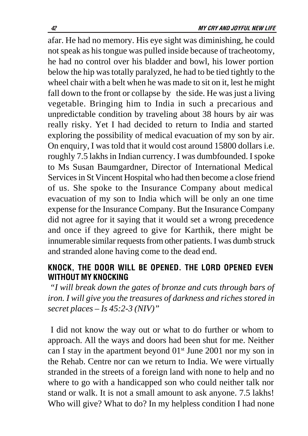afar. He had no memory. His eye sight was diminishing, he could not speak as his tongue was pulled inside because of tracheotomy, he had no control over his bladder and bowl, his lower portion below the hip was totally paralyzed, he had to be tied tightly to the wheel chair with a belt when he was made to sit on it, lest he might fall down to the front or collapse by the side. He was just a living vegetable. Bringing him to India in such a precarious and unpredictable condition by traveling about 38 hours by air was really risky. Yet I had decided to return to India and started exploring the possibility of medical evacuation of my son by air. On enquiry, I was told that it would cost around 15800 dollars i.e. roughly 7.5 lakhs in Indian currency. I was dumbfounded. I spoke to Ms Susan Baumgardner, Director of International Medical Services in St Vincent Hospital who had then become a close friend of us. She spoke to the Insurance Company about medical evacuation of my son to India which will be only an one time expense for the Insurance Company. But the Insurance Company did not agree for it saying that it would set a wrong precedence and once if they agreed to give for Karthik, there might be innumerable similar requests from other patients. I was dumb struck and stranded alone having come to the dead end.

## KNOCK, THE DOOR WILL BE OPENED. THE LORD OPENED EVEN WITHOUT MY KNOCKING

 *"I will break down the gates of bronze and cuts through bars of iron. I will give you the treasures of darkness and riches stored in secret places – Is 45:2-3 (NIV)"*

 I did not know the way out or what to do further or whom to approach. All the ways and doors had been shut for me. Neither can I stay in the apartment beyond  $01<sup>st</sup>$  June 2001 nor my son in the Rehab. Centre nor can we return to India. We were virtually stranded in the streets of a foreign land with none to help and no where to go with a handicapped son who could neither talk nor stand or walk. It is not a small amount to ask anyone. 7.5 lakhs! Who will give? What to do? In my helpless condition I had none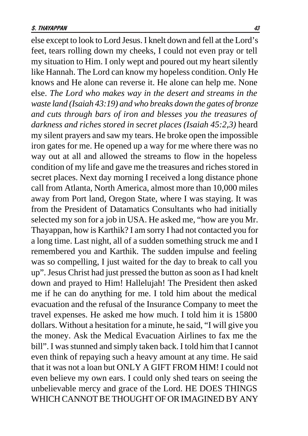else except to look to Lord Jesus. I knelt down and fell at the Lord's feet, tears rolling down my cheeks, I could not even pray or tell my situation to Him. I only wept and poured out my heart silently like Hannah. The Lord can know my hopeless condition. Only He knows and He alone can reverse it. He alone can help me. None else. *The Lord who makes way in the desert and streams in the waste land (Isaiah 43:19) and who breaks down the gates of bronze and cuts through bars of iron and blesses you the treasures of darkness and riches stored in secret places (Isaiah 45:2,3)* heard my silent prayers and saw my tears. He broke open the impossible iron gates for me. He opened up a way for me where there was no way out at all and allowed the streams to flow in the hopeless condition of my life and gave me the treasures and riches stored in secret places. Next day morning I received a long distance phone call from Atlanta, North America, almost more than 10,000 miles away from Port land, Oregon State, where I was staying. It was from the President of Datamatics Consultants who had initially selected my son for a job in USA. He asked me, "how are you Mr. Thayappan, how is Karthik? I am sorry I had not contacted you for a long time. Last night, all of a sudden something struck me and I remembered you and Karthik. The sudden impulse and feeling was so compelling, I just waited for the day to break to call you up". Jesus Christ had just pressed the button as soon as I had knelt down and prayed to Him! Hallelujah! The President then asked me if he can do anything for me. I told him about the medical evacuation and the refusal of the Insurance Company to meet the travel expenses. He asked me how much. I told him it is 15800 dollars. Without a hesitation for a minute, he said, "I will give you the money. Ask the Medical Evacuation Airlines to fax me the bill". I was stunned and simply taken back. I told him that I cannot even think of repaying such a heavy amount at any time. He said that it was not a loan but ONLY A GIFT FROM HIM! I could not even believe my own ears. I could only shed tears on seeing the unbelievable mercy and grace of the Lord. HE DOES THINGS WHICH CANNOT BE THOUGHT OF OR IMAGINED BY ANY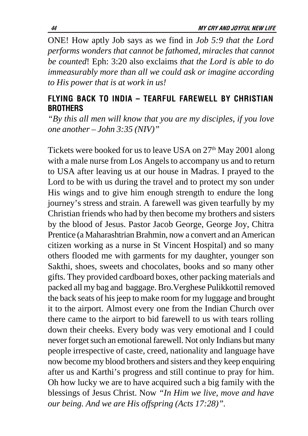ONE! How aptly Job says as we find in *Job 5:9 that the Lord performs wonders that cannot be fathomed, miracles that cannot be counted*! Eph: 3:20 also exclaims *that the Lord is able to do immeasurably more than all we could ask or imagine according to His power that is at work in us!*

### FLYING BACK TO INDIA – TEARFUL FAREWELL BY CHRISTIAN **BROTHERS**

*"By this all men will know that you are my disciples, if you love one another – John 3:35 (NIV)"*

Tickets were booked for us to leave USA on  $27<sup>th</sup>$  May 2001 along with a male nurse from Los Angels to accompany us and to return to USA after leaving us at our house in Madras. I prayed to the Lord to be with us during the travel and to protect my son under His wings and to give him enough strength to endure the long journey's stress and strain. A farewell was given tearfully by my Christian friends who had by then become my brothers and sisters by the blood of Jesus. Pastor Jacob George, George Joy, Chitra Prentice (a Maharashtrian Brahmin, now a convert and an American citizen working as a nurse in St Vincent Hospital) and so many others flooded me with garments for my daughter, younger son Sakthi, shoes, sweets and chocolates, books and so many other gifts. They provided cardboard boxes, other packing materials and packed all my bag and baggage. Bro.Verghese Pulikkottil removed the back seats of his jeep to make room for my luggage and brought it to the airport. Almost every one from the Indian Church over there came to the airport to bid farewell to us with tears rolling down their cheeks. Every body was very emotional and I could never forget such an emotional farewell. Not only Indians but many people irrespective of caste, creed, nationality and language have now become my blood brothers and sisters and they keep enquiring after us and Karthi's progress and still continue to pray for him. Oh how lucky we are to have acquired such a big family with the blessings of Jesus Christ. Now *"In Him we live, move and have our being. And we are His offspring (Acts 17:28)".*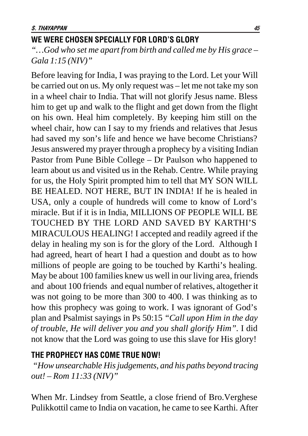## We were chosen specially for lord's glory

*"…God who set me apart from birth and called me by His grace – Gala 1:15 (NIV)"*

Before leaving for India, I was praying to the Lord. Let your Will be carried out on us. My only request was – let me not take my son in a wheel chair to India. That will not glorify Jesus name. Bless him to get up and walk to the flight and get down from the flight on his own. Heal him completely. By keeping him still on the wheel chair, how can I say to my friends and relatives that Jesus had saved my son's life and hence we have become Christians? Jesus answered my prayer through a prophecy by a visiting Indian Pastor from Pune Bible College – Dr Paulson who happened to learn about us and visited us in the Rehab. Centre. While praying for us, the Holy Spirit prompted him to tell that MY SON WILL BE HEALED. NOT HERE, BUT IN INDIA! If he is healed in USA, only a couple of hundreds will come to know of Lord's miracle. But if it is in India, MILLIONS OF PEOPLE WILL BE TOUCHED BY THE LORD AND SAVED BY KARTHI'S MIRACULOUS HEALING! I accepted and readily agreed if the delay in healing my son is for the glory of the Lord. Although I had agreed, heart of heart I had a question and doubt as to how millions of people are going to be touched by Karthi's healing. May be about 100 families knew us well in our living area, friends and about 100 friends and equal number of relatives, altogether it was not going to be more than 300 to 400. I was thinking as to how this prophecy was going to work. I was ignorant of God's plan and Psalmist sayings in Ps 50:15 *"Call upon Him in the day of trouble, He will deliver you and you shall glorify Him".* I did not know that the Lord was going to use this slave for His glory!

#### THE PROPHECY HAS COME TRUE NOW!

*"How unsearchable His judgements, and his paths beyond tracing out! – Rom 11:33 (NIV)"*

When Mr. Lindsey from Seattle, a close friend of Bro.Verghese Pulikkottil came to India on vacation, he came to see Karthi. After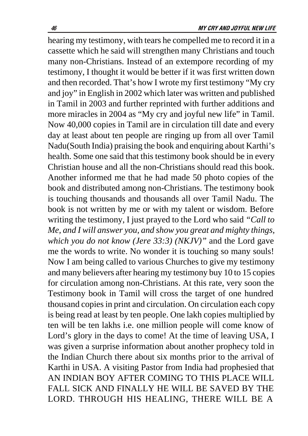hearing my testimony, with tears he compelled me to record it in a cassette which he said will strengthen many Christians and touch many non-Christians. Instead of an extempore recording of my testimony, I thought it would be better if it was first written down and then recorded. That's how I wrote my first testimony "My cry and joy" in English in 2002 which later was written and published in Tamil in 2003 and further reprinted with further additions and more miracles in 2004 as "My cry and joyful new life" in Tamil. Now 40,000 copies in Tamil are in circulation till date and every day at least about ten people are ringing up from all over Tamil Nadu(South India) praising the book and enquiring about Karthi's health. Some one said that this testimony book should be in every Christian house and all the non-Christians should read this book. Another informed me that he had made 50 photo copies of the book and distributed among non-Christians. The testimony book is touching thousands and thousands all over Tamil Nadu. The book is not written by me or with my talent or wisdom. Before writing the testimony, I just prayed to the Lord who said *"Call to Me, and I will answer you, and show you great and mighty things, which you do not know (Jere 33:3) (NKJV)"* and the Lord gave me the words to write. No wonder it is touching so many souls! Now I am being called to various Churches to give my testimony and many believers after hearing my testimony buy 10 to 15 copies for circulation among non-Christians. At this rate, very soon the Testimony book in Tamil will cross the target of one hundred thousand copies in print and circulation. On circulation each copy is being read at least by ten people. One lakh copies multiplied by ten will be ten lakhs i.e. one million people will come know of Lord's glory in the days to come! At the time of leaving USA, I was given a surprise information about another prophecy told in the Indian Church there about six months prior to the arrival of Karthi in USA. A visiting Pastor from India had prophesied that AN INDIAN BOY AFTER COMING TO THIS PLACE WILL FALL SICK AND FINALLY HE WILL BE SAVED BY THE LORD. THROUGH HIS HEALING, THERE WILL BE A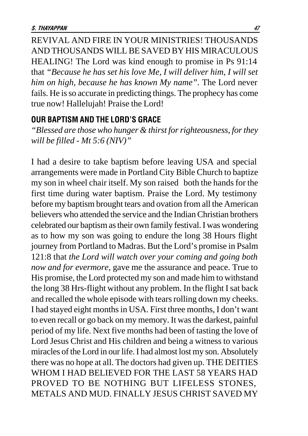REVIVAL AND FIRE IN YOUR MINISTRIES! THOUSANDS AND THOUSANDS WILL BE SAVED BY HIS MIRACULOUS HEALING! The Lord was kind enough to promise in Ps 91:14 that *"Because he has set his love Me, I will deliver him, I will set him on high, because he has known My name".* The Lord never fails. He is so accurate in predicting things. The prophecy has come true now! Hallelujah! Praise the Lord!

#### OUR BAPTISM AND THE LORD'S GRACE

*"Blessed are those who hunger & thirst for righteousness, for they will be filled - Mt 5:6 (NIV)"*

I had a desire to take baptism before leaving USA and special arrangements were made in Portland City Bible Church to baptize my son in wheel chair itself. My son raised both the hands for the first time during water baptism. Praise the Lord. My testimony before my baptism brought tears and ovation from all the American believers who attended the service and the Indian Christian brothers celebrated our baptism as their own family festival. I was wondering as to how my son was going to endure the long 38 Hours flight journey from Portland to Madras. But the Lord's promise in Psalm 121:8 that *the Lord will watch over your coming and going both now and for evermore,* gave me the assurance and peace. True to His promise, the Lord protected my son and made him to withstand the long 38 Hrs-flight without any problem. In the flight I sat back and recalled the whole episode with tears rolling down my cheeks. I had stayed eight months in USA. First three months, I don't want to even recall or go back on my memory. It was the darkest, painful period of my life. Next five months had been of tasting the love of Lord Jesus Christ and His children and being a witness to various miracles of the Lord in our life. I had almost lost my son. Absolutely there was no hope at all. The doctors had given up. THE DEITIES WHOM I HAD BELIEVED FOR THE LAST 58 YEARS HAD PROVED TO BE NOTHING BUT LIFELESS STONES. METALS AND MUD. FINALLY JESUS CHRIST SAVED MY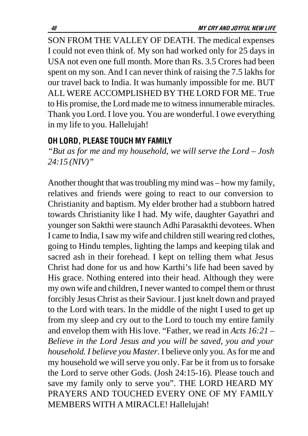SON FROM THE VALLEY OF DEATH. The medical expenses I could not even think of. My son had worked only for 25 days in USA not even one full month. More than Rs. 3.5 Crores had been spent on my son. And I can never think of raising the 7.5 lakhs for our travel back to India. It was humanly impossible for me. BUT ALL WERE ACCOMPLISHED BY THE LORD FOR ME. True to His promise, the Lord made me to witness innumerable miracles. Thank you Lord. I love you. You are wonderful. I owe everything in my life to you. Hallelujah!

### OH LORD, PLEASE TOUCH MY FAMILY

*"But as for me and my household, we will serve the Lord – Josh 24:15 (NIV)"*

Another thought that was troubling my mind was – how my family, relatives and friends were going to react to our conversion to Christianity and baptism. My elder brother had a stubborn hatred towards Christianity like I had. My wife, daughter Gayathri and younger son Sakthi were staunch Adhi Parasakthi devotees. When I came to India, I saw my wife and children still wearing red clothes, going to Hindu temples, lighting the lamps and keeping tilak and sacred ash in their forehead. I kept on telling them what Jesus Christ had done for us and how Karthi's life had been saved by His grace. Nothing entered into their head. Although they were my own wife and children, I never wanted to compel them or thrust forcibly Jesus Christ as their Saviour. I just knelt down and prayed to the Lord with tears. In the middle of the night I used to get up from my sleep and cry out to the Lord to touch my entire family and envelop them with His love. "Father, we read in *Acts 16:21 – Believe in the Lord Jesus and you will be saved, you and your household. I believe you Master*. I believe only you. As for me and my household we will serve you only. Far be it from us to forsake the Lord to serve other Gods. (Josh 24:15-16). Please touch and save my family only to serve you". THE LORD HEARD MY PRAYERS AND TOUCHED EVERY ONE OF MY FAMILY MEMBERS WITH A MIRACLE! Hallelujah!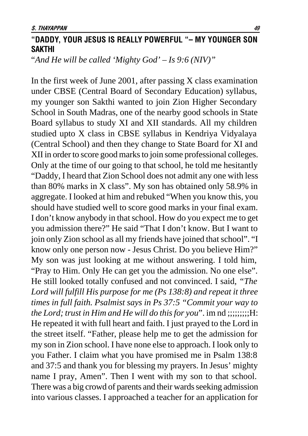## "DADDY, YOUR JESUS IS REALLY POWERFUL "– MY YOUNGER SON **SAKTHI**

"*And He will be called 'Mighty God' – Is 9:6 (NIV)"*

In the first week of June 2001, after passing X class examination under CBSE (Central Board of Secondary Education) syllabus, my younger son Sakthi wanted to join Zion Higher Secondary School in South Madras, one of the nearby good schools in State Board syllabus to study XI and XII standards. All my children studied upto X class in CBSE syllabus in Kendriya Vidyalaya (Central School) and then they change to State Board for XI and XII in order to score good marks to join some professional colleges. Only at the time of our going to that school, he told me hesitantly "Daddy, I heard that Zion School does not admit any one with less than 80% marks in X class". My son has obtained only 58.9% in aggregate. I looked at him and rebuked "When you know this, you should have studied well to score good marks in your final exam. I don't know anybody in that school. How do you expect me to get you admission there?" He said "That I don't know. But I want to join only Zion school as all my friends have joined that school". "I know only one person now - Jesus Christ. Do you believe Him?" My son was just looking at me without answering. I told him, "Pray to Him. Only He can get you the admission. No one else". He still looked totally confused and not convinced. I said*, "The Lord will fulfill His purpose for me (Ps 138:8) and repeat it three times in full faith. Psalmist says in Ps 37:5 "Commit your way to the Lord; trust in Him and He will do this for you*". im nd :::::::::::H: He repeated it with full heart and faith. I just prayed to the Lord in the street itself. "Father, please help me to get the admission for my son in Zion school. I have none else to approach. I look only to you Father. I claim *w*hat you have promised me in Psalm 138:8 and 37:5 and thank you for blessing my prayers. In Jesus' mighty name I pray, Amen". Then I went with my son to that school. There was a big crowd of parents and their wards seeking admission into various classes. I approached a teacher for an application for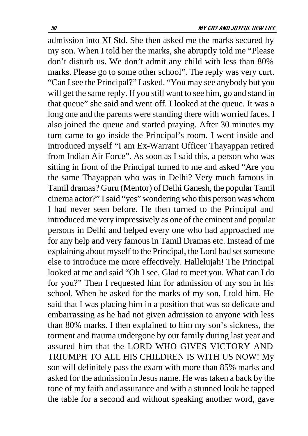admission into XI Std. She then asked me the marks secured by my son. When I told her the marks, she abruptly told me "Please don't disturb us. We don't admit any child with less than 80% marks. Please go to some other school". The reply was very curt. "Can I see the Principal?" I asked. "You may see anybody but you will get the same reply. If you still want to see him, go and stand in that queue" she said and went off. I looked at the queue. It was a long one and the parents were standing there with worried faces. I also joined the queue and started praying. After 30 minutes my turn came to go inside the Principal's room. I went inside and introduced myself "I am Ex-Warrant Officer Thayappan retired from Indian Air Force". As soon as I said this, a person who was sitting in front of the Principal turned to me and asked "Are you the same Thayappan who was in Delhi? Very much famous in Tamil dramas? Guru (Mentor) of Delhi Ganesh, the popular Tamil cinema actor?" I said "yes" wondering who this person was whom I had never seen before. He then turned to the Principal and introduced me very impressively as one of the eminent and popular persons in Delhi and helped every one who had approached me for any help and very famous in Tamil Dramas etc. Instead of me explaining about myself to the Principal, the Lord had set someone else to introduce me more effectively. Hallelujah! The Principal looked at me and said "Oh I see. Glad to meet you. What can I do for you?" Then I requested him for admission of my son in his school. When he asked for the marks of my son, I told him. He said that I was placing him in a position that was so delicate and embarrassing as he had not given admission to anyone with less than 80% marks. I then explained to him my son's sickness, the torment and trauma undergone by our family during last year and assured him that the LORD WHO GIVES VICTORY AND TRIUMPH TO ALL HIS CHILDREN IS WITH US NOW! My son will definitely pass the exam with more than 85% marks and asked for the admission in Jesus name. He was taken a back by the tone of my faith and assurance and with a stunned look he tapped the table for a second and without speaking another word, gave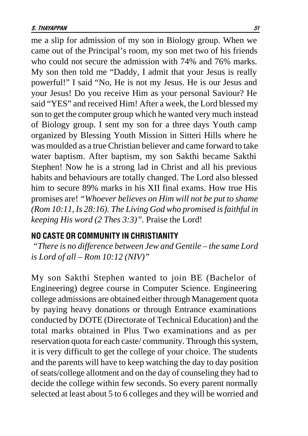me a slip for admission of my son in Biology group. When we came out of the Principal's room, my son met two of his friends who could not secure the admission with 74% and 76% marks. My son then told me "Daddy, I admit that your Jesus is really powerful!" I said "No, He is not my Jesus. He is our Jesus and your Jesus! Do you receive Him as your personal Saviour? He said "YES" and received Him! After a week, the Lord blessed my son to get the computer group which he wanted very much instead of Biology group. I sent my son for a three days Youth camp organized by Blessing Youth Mission in Sitteri Hills where he was moulded as a true Christian believer and came forward to take water baptism. After baptism, my son Sakthi became Sakthi Stephen! Now he is a strong lad in Christ and all his previous habits and behaviours are totally changed. The Lord also blessed him to secure 89% marks in his XII final exams. How true His promises are! *"Whoever believes on Him will not be put to shame (Rom 10:11, Is 28:16). The Living God who promised is faithful in keeping His word (2 Thes 3:3)".* Praise the Lord!

#### NO CASTE OR COMMUNITY IN CHRISTIANITY

*"There is no difference between Jew and Gentile – the same Lord is Lord of all – Rom 10:12 (NIV)"*

My son Sakthi Stephen wanted to join BE (Bachelor of Engineering) degree course in Computer Science. Engineering college admissions are obtained either through Management quota by paying heavy donations or through Entrance examinations conducted by DOTE (Directorate of Technical Education) and the total marks obtained in Plus Two examinations and as per reservation quota for each caste/ community. Through this system, it is very difficult to get the college of your choice. The students and the parents will have to keep watching the day to day position of seats/college allotment and on the day of counseling they had to decide the college within few seconds. So every parent normally selected at least about 5 to 6 colleges and they will be worried and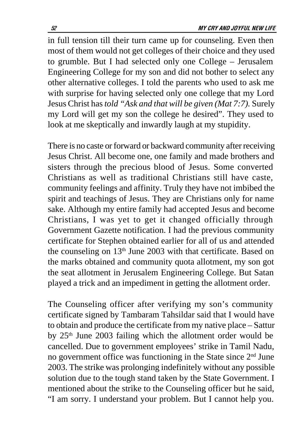in full tension till their turn came up for counseling. Even then most of them would not get colleges of their choice and they used to grumble. But I had selected only one College – Jerusalem Engineering College for my son and did not bother to select any other alternative colleges. I told the parents who used to ask me with surprise for having selected only one college that my Lord Jesus Christ has *told "Ask and that will be given (Mat 7:7).* Surely my Lord will get my son the college he desired". They used to look at me skeptically and inwardly laugh at my stupidity.

There is no caste or forward or backward community after receiving Jesus Christ. All become one, one family and made brothers and sisters through the precious blood of Jesus. Some converted Christians as well as traditional Christians still have caste, community feelings and affinity. Truly they have not imbibed the spirit and teachings of Jesus. They are Christians only for name sake. Although my entire family had accepted Jesus and become Christians, I was yet to get it changed officially through Government Gazette notification. I had the previous community certificate for Stephen obtained earlier for all of us and attended the counseling on 13<sup>th</sup> June 2003 with that certificate. Based on the marks obtained and community quota allotment, my son got the seat allotment in Jerusalem Engineering College. But Satan played a trick and an impediment in getting the allotment order.

The Counseling officer after verifying my son's community certificate signed by Tambaram Tahsildar said that I would have to obtain and produce the certificate from my native place – Sattur by 25<sup>th</sup> June 2003 failing which the allotment order would be cancelled. Due to government employees' strike in Tamil Nadu, no government office was functioning in the State since 2nd June 2003. The strike was prolonging indefinitely without any possible solution due to the tough stand taken by the State Government. I mentioned about the strike to the Counseling officer but he said, "I am sorry. I understand your problem. But I cannot help you.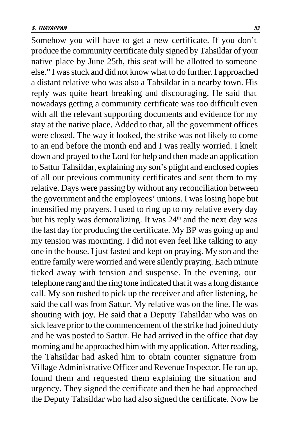Somehow you will have to get a new certificate. If you don't produce the community certificate duly signed by Tahsildar of your native place by June 25th, this seat will be allotted to someone else." I was stuck and did not know what to do further. I approached a distant relative who was also a Tahsildar in a nearby town. His reply was quite heart breaking and discouraging. He said that nowadays getting a community certificate was too difficult even with all the relevant supporting documents and evidence for my stay at the native place. Added to that, all the government offices were closed. The way it looked, the strike was not likely to come to an end before the month end and I was really worried. I knelt down and prayed to the Lord for help and then made an application to Sattur Tahsildar, explaining my son's plight and enclosed copies of all our previous community certificates and sent them to my relative. Days were passing by without any reconciliation between the government and the employees' unions. I was losing hope but intensified my prayers. I used to ring up to my relative every day but his reply was demoralizing. It was 24<sup>th</sup> and the next day was the last day for producing the certificate. My BP was going up and my tension was mounting. I did not even feel like talking to any one in the house. I just fasted and kept on praying. My son and the entire family were worried and were silently praying. Each minute ticked away with tension and suspense. In the evening, our telephone rang and the ring tone indicated that it was a long distance call. My son rushed to pick up the receiver and after listening, he said the call was from Sattur. My relative was on the line. He was shouting with joy. He said that a Deputy Tahsildar who was on sick leave prior to the commencement of the strike had joined duty and he was posted to Sattur. He had arrived in the office that day morning and he approached him with my application. After reading, the Tahsildar had asked him to obtain counter signature from Village Administrative Officer and Revenue Inspector. He ran up, found them and requested them explaining the situation and urgency. They signed the certificate and then he had approached the Deputy Tahsildar who had also signed the certificate. Now he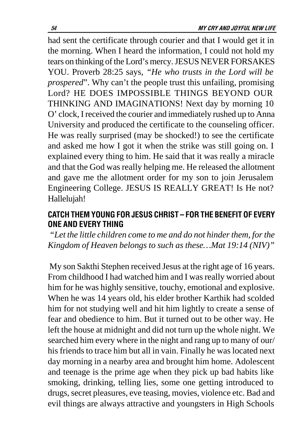had sent the certificate through courier and that I would get it in the morning. When I heard the information, I could not hold my tears on thinking of the Lord's mercy. JESUS NEVER FORSAKES YOU. Proverb 28:25 says*, "He who trusts in the Lord will be prospered*". Why can't the people trust this unfailing, promising Lord? HE DOES IMPOSSIBLE THINGS BEYOND OUR THINKING AND IMAGINATIONS! Next day by morning 10 O' clock, I received the courier and immediately rushed up to Anna University and produced the certificate to the counseling officer. He was really surprised (may be shocked!) to see the certificate and asked me how I got it when the strike was still going on. I explained every thing to him. He said that it was really a miracle and that the God was really helping me. He released the allotment and gave me the allotment order for my son to join Jerusalem Engineering College. JESUS IS REALLY GREAT! Is He not? Hallelujah!

# CATCH THEM YOUNG FOR JESUS CHRIST - FOR THE BENEFIT OF EVERY ONE AND EVERY THING

*"Let the little children come to me and do not hinder them, for the Kingdom of Heaven belongs to such as these…Mat 19:14 (NIV)"*

 My son Sakthi Stephen received Jesus at the right age of 16 years. From childhood I had watched him and I was really worried about him for he was highly sensitive, touchy, emotional and explosive. When he was 14 years old, his elder brother Karthik had scolded him for not studying well and hit him lightly to create a sense of fear and obedience to him. But it turned out to be other way. He left the house at midnight and did not turn up the whole night. We searched him every where in the night and rang up to many of our/ his friends to trace him but all in vain. Finally he was located next day morning in a nearby area and brought him home. Adolescent and teenage is the prime age when they pick up bad habits like smoking, drinking, telling lies, some one getting introduced to drugs, secret pleasures, eve teasing, movies, violence etc. Bad and evil things are always attractive and youngsters in High Schools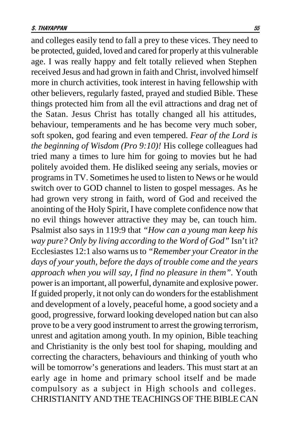and colleges easily tend to fall a prey to these vices. They need to be protected, guided, loved and cared for properly at this vulnerable age. I was really happy and felt totally relieved when Stephen received Jesus and had grown in faith and Christ, involved himself more in church activities, took interest in having fellowship with other believers, regularly fasted, prayed and studied Bible. These things protected him from all the evil attractions and drag net of the Satan. Jesus Christ has totally changed all his attitudes, behaviour, temperaments and he has become very much sober, soft spoken, god fearing and even tempered. *Fear of the Lord is the beginning of Wisdom (Pro 9:10)!* His college colleagues had tried many a times to lure him for going to movies but he had politely avoided them. He disliked seeing any serials, movies or programs in TV. Sometimes he used to listen to News or he would switch over to GOD channel to listen to gospel messages. As he had grown very strong in faith, word of God and received the anointing of the Holy Spirit, I have complete confidence now that no evil things however attractive they may be, can touch him. Psalmist also says in 119:9 that *"How can a young man keep his way pure? Only by living according to the Word of God"* Isn't it? Ecclesiastes 12:1 also warns us to *"Remember your Creator in the days of your youth, before the days of trouble come and the years approach when you will say, I find no pleasure in them".* Youth power is an important, all powerful, dynamite and explosive power. If guided properly, it not only can do wonders for the establishment and development of a lovely, peaceful home, a good society and a good, progressive, forward looking developed nation but can also prove to be a very good instrument to arrest the growing terrorism, unrest and agitation among youth. In my opinion, Bible teaching and Christianity is the only best tool for shaping, moulding and correcting the characters, behaviours and thinking of youth who will be tomorrow's generations and leaders. This must start at an early age in home and primary school itself and be made compulsory as a subject in High schools and colleges. CHRISTIANITY AND THE TEACHINGS OF THE BIBLE CAN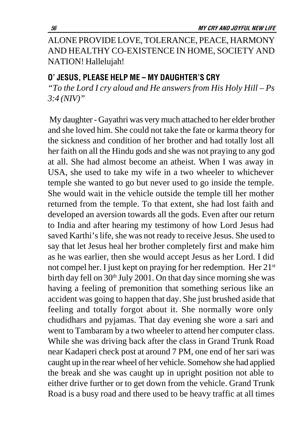ALONE PROVIDE LOVE, TOLERANCE, PEACE, HARMONY AND HEALTHY CO-EXISTENCE IN HOME, SOCIETY AND NATION! Hallelujah!

#### O' JESUS, PLEASE HELP ME – MY DAUGHTER'S CRY

*"To the Lord I cry aloud and He answers from His Holy Hill – Ps 3:4 (NIV)"*

 My daughter - Gayathri was very much attached to her elder brother and she loved him. She could not take the fate or karma theory for the sickness and condition of her brother and had totally lost all her faith on all the Hindu gods and she was not praying to any god at all. She had almost become an atheist. When I was away in USA, she used to take my wife in a two wheeler to whichever temple she wanted to go but never used to go inside the temple. She would wait in the vehicle outside the temple till her mother returned from the temple. To that extent, she had lost faith and developed an aversion towards all the gods. Even after our return to India and after hearing my testimony of how Lord Jesus had saved Karthi's life, she was not ready to receive Jesus. She used to say that let Jesus heal her brother completely first and make him as he was earlier, then she would accept Jesus as her Lord. I did not compel her. I just kept on praying for her redemption. Her 21st birth day fell on  $30<sup>th</sup>$  July 2001. On that day since morning she was having a feeling of premonition that something serious like an accident was going to happen that day. She just brushed aside that feeling and totally forgot about it. She normally wore only chudidhars and pyjamas. That day evening she wore a sari and went to Tambaram by a two wheeler to attend her computer class. While she was driving back after the class in Grand Trunk Road near Kadaperi check post at around 7 PM, one end of her sari was caught up in the rear wheel of her vehicle. Somehow she had applied the break and she was caught up in upright position not able to either drive further or to get down from the vehicle. Grand Trunk Road is a busy road and there used to be heavy traffic at all times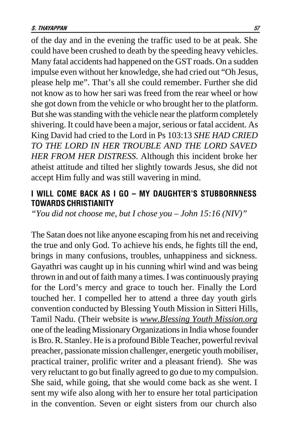of the day and in the evening the traffic used to be at peak. She could have been crushed to death by the speeding heavy vehicles. Many fatal accidents had happened on the GST roads. On a sudden impulse even without her knowledge, she had cried out "Oh Jesus, please help me". That's all she could remember. Further she did not know as to how her sari was freed from the rear wheel or how she got down from the vehicle or who brought her to the platform. But she was standing with the vehicle near the platform completely shivering. It could have been a major, serious or fatal accident. As King David had cried to the Lord in Ps 103:13 *SHE HAD CRIED TO THE LORD IN HER TROUBLE AND THE LORD SAVED HER FROM HER DISTRESS*. Although this incident broke her atheist attitude and tilted her slightly towards Jesus, she did not accept Him fully and was still wavering in mind.

### I WILL COME BACK AS I GO – MY DAUGHTER'S STUBBORNNESS TOWARDS CHRISTIANITY

*"You did not choose me, but I chose you – John 15:16 (NIV)"*

The Satan does not like anyone escaping from his net and receiving the true and only God. To achieve his ends, he fights till the end, brings in many confusions, troubles, unhappiness and sickness. Gayathri was caught up in his cunning whirl wind and was being thrown in and out of faith many a times. I was continuously praying for the Lord's mercy and grace to touch her. Finally the Lord touched her. I compelled her to attend a three day youth girls convention conducted by Blessing Youth Mission in Sitteri Hills, Tamil Nadu. (Their website is *www.Blessing Youth Mission.org* one of the leading Missionary Organizations in India whose founder is Bro. R. Stanley. He is a profound Bible Teacher, powerful revival preacher, passionate mission challenger, energetic youth mobiliser, practical trainer, prolific writer and a pleasant friend). She was very reluctant to go but finally agreed to go due to my compulsion. She said, while going, that she would come back as she went. I sent my wife also along with her to ensure her total participation in the convention. Seven or eight sisters from our church also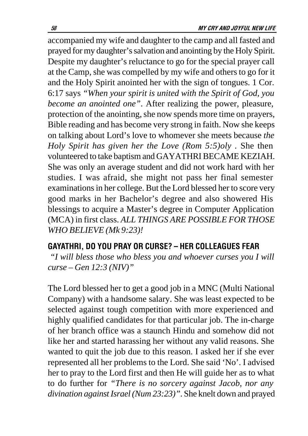accompanied my wife and daughter to the camp and all fasted and prayed for my daughter's salvation and anointing by the Holy Spirit. Despite my daughter's reluctance to go for the special prayer call at the Camp, she was compelled by my wife and others to go for it and the Holy Spirit anointed her with the sign of tongues. 1 Cor. 6:17 says *"When your spirit is united with the Spirit of God, you become an anointed one"*. After realizing the power, pleasure, protection of the anointing, she now spends more time on prayers, Bible reading and has become very strong in faith. Now she keeps on talking about Lord's love to whomever she meets because *the Holy Spirit has given her the Love (Rom 5:5)oly .* She then volunteered to take baptism and GAYATHRI BECAME KEZIAH. She was only an average student and did not work hard with her studies. I was afraid, she might not pass her final semester examinations in her college. But the Lord blessed her to score very good marks in her Bachelor's degree and also showered His blessings to acquire a Master's degree in Computer Application (MCA) in first class. *ALL THINGS ARE POSSIBLE FOR THOSE WHO BELIEVE (Mk 9:23)!*

# GAYATHRI, DO YOU PRAY OR CURSE? – HER COLLEAGUES FEAR

*"I will bless those who bless you and whoever curses you I will curse – Gen 12:3 (NIV)"*

The Lord blessed her to get a good job in a MNC (Multi National Company) with a handsome salary. She was least expected to be selected against tough competition with more experienced and highly qualified candidates for that particular job. The in-charge of her branch office was a staunch Hindu and somehow did not like her and started harassing her without any valid reasons. She wanted to quit the job due to this reason. I asked her if she ever represented all her problems to the Lord. She said 'No'. I advised her to pray to the Lord first and then He will guide her as to what to do further for *"There is no sorcery against Jacob, nor any divination against Israel (Num 23:23)"*. She knelt down and prayed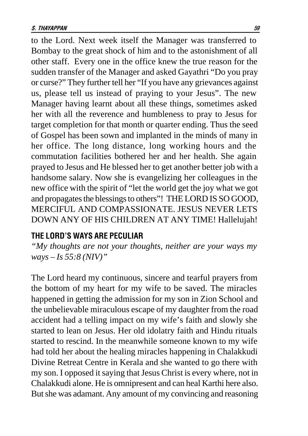to the Lord. Next week itself the Manager was transferred to Bombay to the great shock of him and to the astonishment of all other staff. Every one in the office knew the true reason for the sudden transfer of the Manager and asked Gayathri "Do you pray or curse?" They further tell her "If you have any grievances against us, please tell us instead of praying to your Jesus". The new Manager having learnt about all these things, sometimes asked her with all the reverence and humbleness to pray to Jesus for target completion for that month or quarter ending. Thus the seed of Gospel has been sown and implanted in the minds of many in her office. The long distance, long working hours and the commutation facilities bothered her and her health. She again prayed to Jesus and He blessed her to get another better job with a handsome salary. Now she is evangelizing her colleagues in the new office with the spirit of "let the world get the joy what we got and propagates the blessings to others"! THE LORD IS SO GOOD, MERCIFUL AND COMPASSIONATE. JESUS NEVER LETS DOWN ANY OF HIS CHILDREN AT ANY TIME! Hallelujah!

#### THE LORD'S WAYS ARE PECULIAR

*"My thoughts are not your thoughts, neither are your ways my ways – Is 55:8 (NIV)"*

The Lord heard my continuous, sincere and tearful prayers from the bottom of my heart for my wife to be saved. The miracles happened in getting the admission for my son in Zion School and the unbelievable miraculous escape of my daughter from the road accident had a telling impact on my wife's faith and slowly she started to lean on Jesus. Her old idolatry faith and Hindu rituals started to rescind. In the meanwhile someone known to my wife had told her about the healing miracles happening in Chalakkudi Divine Retreat Centre in Kerala and she wanted to go there with my son. I opposed it saying that Jesus Christ is every where, not in Chalakkudi alone. He is omnipresent and can heal Karthi here also. But she was adamant. Any amount of my convincing and reasoning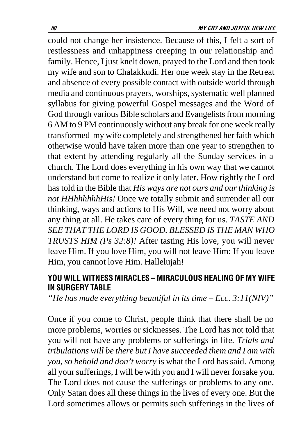could not change her insistence. Because of this, I felt a sort of restlessness and unhappiness creeping in our relationship and family. Hence, I just knelt down, prayed to the Lord and then took my wife and son to Chalakkudi. Her one week stay in the Retreat and absence of every possible contact with outside world through media and continuous prayers, worships, systematic well planned syllabus for giving powerful Gospel messages and the Word of God through various Bible scholars and Evangelists from morning 6 AM to 9 PM continuously without any break for one week really transformed my wife completely and strengthened her faith which otherwise would have taken more than one year to strengthen to that extent by attending regularly all the Sunday services in a church. The Lord does everything in his own way that we cannot understand but come to realize it only later. How rightly the Lord has told in the Bible that *His ways are not ours and our thinking is not HHhhhhhhHis!* Once we totally submit and surrender all our thinking, ways and actions to His Will, we need not worry about any thing at all. He takes care of every thing for us*. TASTE AND SEE THAT THE LORD IS GOOD. BLESSED IS THE MAN WHO TRUSTS HIM (Ps 32:8)!* After tasting His love, you will never leave Him. If you love Him, you will not leave Him: If you leave Him, you cannot love Him. Hallelujah!

### YOU WILL WITNESS MIRACLES - MIRACULOUS HEALING OF MY WIFE **IN SURGERY TABLE**

*"He has made everything beautiful in its time – Ecc. 3:11(NIV)"*

Once if you come to Christ, people think that there shall be no more problems, worries or sicknesses. The Lord has not told that you will not have any problems or sufferings in life*. Trials and tribulations will be there but I have succeeded them and I am with you, so behold and don't worry* is what the Lord has said. Among all your sufferings, I will be with you and I will never forsake you. The Lord does not cause the sufferings or problems to any one. Only Satan does all these things in the lives of every one. But the Lord sometimes allows or permits such sufferings in the lives of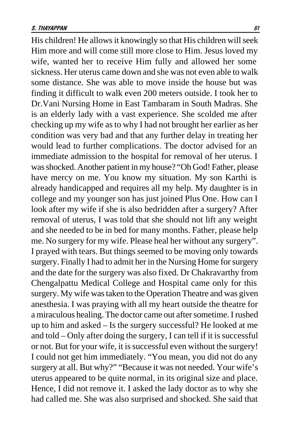His children! He allows it knowingly so that His children will seek Him more and will come still more close to Him. Jesus loved my wife, wanted her to receive Him fully and allowed her some sickness. Her uterus came down and she was not even able to walk some distance. She was able to move inside the house but was finding it difficult to walk even 200 meters outside. I took her to Dr.Vani Nursing Home in East Tambaram in South Madras. She is an elderly lady with a vast experience. She scolded me after checking up my wife as to why I had not brought her earlier as her condition was very bad and that any further delay in treating her would lead to further complications. The doctor advised for an immediate admission to the hospital for removal of her uterus. I was shocked. Another patient in my house? "Oh God! Father, please have mercy on me. You know my situation. My son Karthi is already handicapped and requires all my help. My daughter is in college and my younger son has just joined Plus One. How can I look after my wife if she is also bedridden after a surgery? After removal of uterus, I was told that she should not lift any weight and she needed to be in bed for many months. Father, please help me. No surgery for my wife. Please heal her without any surgery". I prayed with tears. But things seemed to be moving only towards surgery. Finally I had to admit her in the Nursing Home for surgery and the date for the surgery was also fixed. Dr Chakravarthy from Chengalpattu Medical College and Hospital came only for this surgery. My wife was taken to the Operation Theatre and was given anesthesia. I was praying with all my heart outside the theatre for a miraculous healing. The doctor came out after sometime. I rushed up to him and asked – Is the surgery successful? He looked at me and told – Only after doing the surgery, I can tell if it is successful or not. But for your wife, it is successful even without the surgery! I could not get him immediately. "You mean, you did not do any surgery at all. But why?" "Because it was not needed. Your wife's uterus appeared to be quite normal, in its original size and place. Hence, I did not remove it. I asked the lady doctor as to why she had called me. She was also surprised and shocked. She said that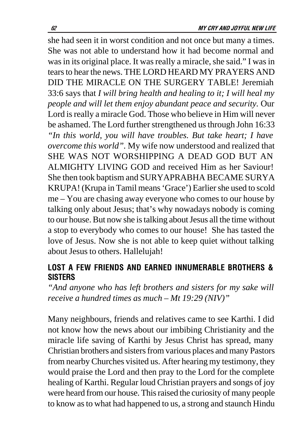she had seen it in worst condition and not once but many a times. She was not able to understand how it had become normal and was in its original place. It was really a miracle, she said." I was in tears to hear the news. THE LORD HEARD MY PRAYERS AND DID THE MIRACLE ON THE SURGERY TABLE! Jeremiah 33:6 says that *I will bring health and healing to it; I will heal my people and will let them enjoy abundant peace and security.* Our Lord is really a miracle God. Those who believe in Him will never be ashamed. The Lord further strengthened us through John 16:33 *"In this world, you will have troubles. But take heart; I have overcome this world".* My wife now understood and realized that SHE WAS NOT WORSHIPPING A DEAD GOD BUT AN ALMIGHTY LIVING GOD and received Him as her Saviour! She then took baptism and SURYAPRABHA BECAME SURYA KRUPA! (Krupa in Tamil means 'Grace') Earlier she used to scold me – You are chasing away everyone who comes to our house by talking only about Jesus; that's why nowadays nobody is coming to our house. But now she is talking about Jesus all the time without a stop to everybody who comes to our house! She has tasted the love of Jesus. Now she is not able to keep quiet without talking about Jesus to others. Hallelujah!

# LOST A FEW FRIENDS AND EARNED INNUMERABLE BROTHERS & **SISTERS**

*"And anyone who has left brothers and sisters for my sake will receive a hundred times as much – Mt 19:29 (NIV)"*

Many neighbours, friends and relatives came to see Karthi. I did not know how the news about our imbibing Christianity and the miracle life saving of Karthi by Jesus Christ has spread, many Christian brothers and sisters from various places and many Pastors from nearby Churches visited us. After hearing my testimony, they would praise the Lord and then pray to the Lord for the complete healing of Karthi. Regular loud Christian prayers and songs of joy were heard from our house. This raised the curiosity of many people to know as to what had happened to us, a strong and staunch Hindu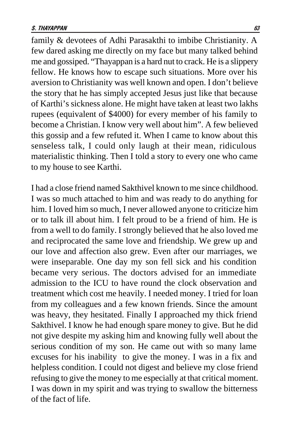family & devotees of Adhi Parasakthi to imbibe Christianity. A few dared asking me directly on my face but many talked behind me and gossiped. "Thayappan is a hard nut to crack. He is a slippery fellow. He knows how to escape such situations. More over his aversion to Christianity was well known and open. I don't believe the story that he has simply accepted Jesus just like that because of Karthi's sickness alone. He might have taken at least two lakhs rupees (equivalent of \$4000) for every member of his family to become a Christian. I know very well about him". A few believed this gossip and a few refuted it. When I came to know about this senseless talk, I could only laugh at their mean, ridiculous materialistic thinking. Then I told a story to every one who came to my house to see Karthi.

I had a close friend named Sakthivel known to me since childhood. I was so much attached to him and was ready to do anything for him. I loved him so much, I never allowed anyone to criticize him or to talk ill about him. I felt proud to be a friend of him. He is from a well to do family. I strongly believed that he also loved me and reciprocated the same love and friendship. We grew up and our love and affection also grew. Even after our marriages, we were inseparable. One day my son fell sick and his condition became very serious. The doctors advised for an immediate admission to the ICU to have round the clock observation and treatment which cost me heavily. I needed money. I tried for loan from my colleagues and a few known friends. Since the amount was heavy, they hesitated. Finally I approached my thick friend Sakthivel. I know he had enough spare money to give. But he did not give despite my asking him and knowing fully well about the serious condition of my son. He came out with so many lame excuses for his inability to give the money. I was in a fix and helpless condition. I could not digest and believe my close friend refusing to give the money to me especially at that critical moment. I was down in my spirit and was trying to swallow the bitterness of the fact of life.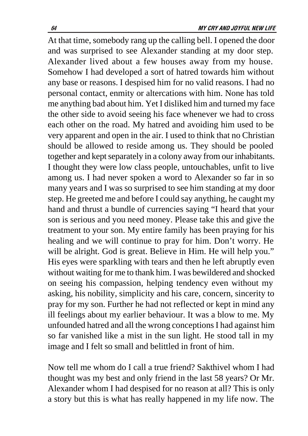At that time, somebody rang up the calling bell. I opened the door and was surprised to see Alexander standing at my door step. Alexander lived about a few houses away from my house. Somehow I had developed a sort of hatred towards him without any base or reasons. I despised him for no valid reasons. I had no personal contact, enmity or altercations with him. None has told me anything bad about him. Yet I disliked him and turned my face the other side to avoid seeing his face whenever we had to cross each other on the road. My hatred and avoiding him used to be very apparent and open in the air. I used to think that no Christian should be allowed to reside among us. They should be pooled together and kept separately in a colony away from our inhabitants. I thought they were low class people, untouchables, unfit to live among us. I had never spoken a word to Alexander so far in so many years and I was so surprised to see him standing at my door step. He greeted me and before I could say anything, he caught my hand and thrust a bundle of currencies saying "I heard that your son is serious and you need money. Please take this and give the treatment to your son. My entire family has been praying for his healing and we will continue to pray for him. Don't worry. He will be alright. God is great. Believe in Him. He will help you." His eyes were sparkling with tears and then he left abruptly even without waiting for me to thank him. I was bewildered and shocked on seeing his compassion, helping tendency even without my asking, his nobility, simplicity and his care, concern, sincerity to pray for my son. Further he had not reflected or kept in mind any ill feelings about my earlier behaviour. It was a blow to me. My unfounded hatred and all the wrong conceptions I had against him so far vanished like a mist in the sun light. He stood tall in my image and I felt so small and belittled in front of him.

Now tell me whom do I call a true friend? Sakthivel whom I had thought was my best and only friend in the last 58 years? Or Mr. Alexander whom I had despised for no reason at all? This is only a story but this is what has really happened in my life now. The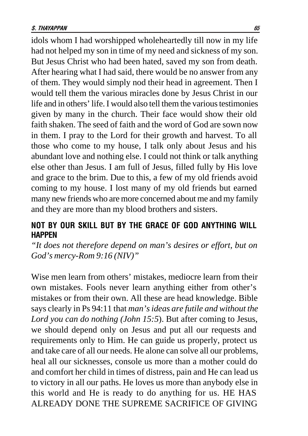idols whom I had worshipped wholeheartedly till now in my life had not helped my son in time of my need and sickness of my son. But Jesus Christ who had been hated, saved my son from death. After hearing what I had said, there would be no answer from any of them. They would simply nod their head in agreement. Then I would tell them the various miracles done by Jesus Christ in our life and in others' life. I would also tell them the various testimonies given by many in the church. Their face would show their old faith shaken. The seed of faith and the word of God are sown now in them. I pray to the Lord for their growth and harvest. To all those who come to my house, I talk only about Jesus and his abundant love and nothing else. I could not think or talk anything else other than Jesus. I am full of Jesus, filled fully by His love and grace to the brim. Due to this, a few of my old friends avoid coming to my house. I lost many of my old friends but earned many new friends who are more concerned about me and my family and they are more than my blood brothers and sisters.

## NOT BY OUR SKILL BUT BY THE GRACE OF GOD ANYTHING WILL HAPPEN

*"It does not therefore depend on man's desires or effort, but on God's mercy-Rom 9:16 (NIV)"*

Wise men learn from others' mistakes, mediocre learn from their own mistakes. Fools never learn anything either from other's mistakes or from their own. All these are head knowledge. Bible says clearly in Ps 94:11 that *man's ideas are futile and without the Lord you can do nothing (John 15:5*). But after coming to Jesus, we should depend only on Jesus and put all our requests and requirements only to Him. He can guide us properly, protect us and take care of all our needs. He alone can solve all our problems, heal all our sicknesses, console us more than a mother could do and comfort her child in times of distress, pain and He can lead us to victory in all our paths. He loves us more than anybody else in this world and He is ready to do anything for us. HE HAS ALREADY DONE THE SUPREME SACRIFICE OF GIVING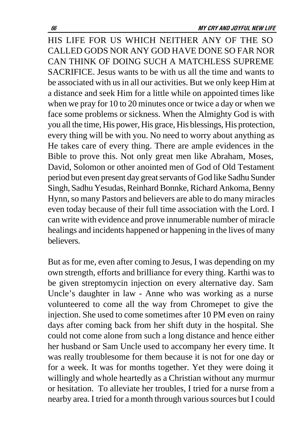HIS LIFE FOR US WHICH NEITHER ANY OF THE SO CALLED GODS NOR ANY GOD HAVE DONE SO FAR NOR CAN THINK OF DOING SUCH A MATCHLESS SUPREME SACRIFICE. Jesus wants to be with us all the time and wants to be associated with us in all our activities. But we only keep Him at a distance and seek Him for a little while on appointed times like when we pray for 10 to 20 minutes once or twice a day or when we face some problems or sickness. When the Almighty God is with you all the time, His power, His grace, His blessings, His protection, every thing will be with you. No need to worry about anything as He takes care of every thing. There are ample evidences in the Bible to prove this. Not only great men like Abraham, Moses, David, Solomon or other anointed men of God of Old Testament period but even present day great servants of God like Sadhu Sunder Singh, Sadhu Yesudas, Reinhard Bonnke, Richard Ankoma, Benny Hynn, so many Pastors and believers are able to do many miracles even today because of their full time association with the Lord. I can write with evidence and prove innumerable number of miracle healings and incidents happened or happening in the lives of many believers.

But as for me, even after coming to Jesus, I was depending on my own strength, efforts and brilliance for every thing. Karthi was to be given streptomycin injection on every alternative day. Sam Uncle's daughter in law - Anne who was working as a nurse volunteered to come all the way from Chromepet to give the injection. She used to come sometimes after 10 PM even on rainy days after coming back from her shift duty in the hospital. She could not come alone from such a long distance and hence either her husband or Sam Uncle used to accompany her every time. It was really troublesome for them because it is not for one day or for a week. It was for months together. Yet they were doing it willingly and whole heartedly as a Christian without any murmur or hesitation. To alleviate her troubles, I tried for a nurse from a nearby area. I tried for a month through various sources but I could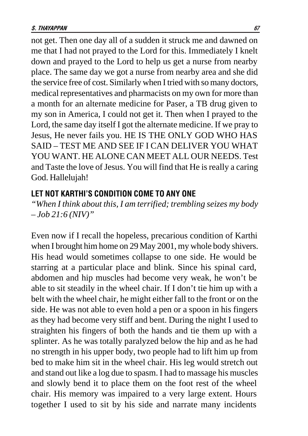not get. Then one day all of a sudden it struck me and dawned on me that I had not prayed to the Lord for this. Immediately I knelt down and prayed to the Lord to help us get a nurse from nearby place. The same day we got a nurse from nearby area and she did the service free of cost. Similarly when I tried with so many doctors, medical representatives and pharmacists on my own for more than a month for an alternate medicine for Paser, a TB drug given to my son in America, I could not get it. Then when I prayed to the Lord, the same day itself I got the alternate medicine. If we pray to Jesus, He never fails you. HE IS THE ONLY GOD WHO HAS SAID – TEST ME AND SEE IF I CAN DELIVER YOU WHAT YOU WANT. HE ALONE CAN MEET ALL OUR NEEDS. Test and Taste the love of Jesus. You will find that He is really a caring God. Hallelujah!

#### LET NOT KARTHI'S CONDITION COME TO ANY ONE

*"When I think about this, I am terrified; trembling seizes my body – Job 21:6 (NIV)"*

Even now if I recall the hopeless, precarious condition of Karthi when I brought him home on 29 May 2001, my whole body shivers. His head would sometimes collapse to one side. He would be starring at a particular place and blink. Since his spinal card, abdomen and hip muscles had become very weak, he won't be able to sit steadily in the wheel chair. If I don't tie him up with a belt with the wheel chair, he might either fall to the front or on the side. He was not able to even hold a pen or a spoon in his fingers as they had become very stiff and bent. During the night I used to straighten his fingers of both the hands and tie them up with a splinter. As he was totally paralyzed below the hip and as he had no strength in his upper body, two people had to lift him up from bed to make him sit in the wheel chair. His leg would stretch out and stand out like a log due to spasm. I had to massage his muscles and slowly bend it to place them on the foot rest of the wheel chair. His memory was impaired to a very large extent. Hours together I used to sit by his side and narrate many incidents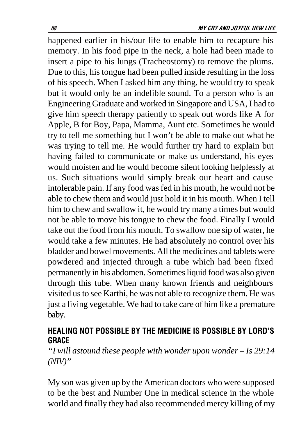happened earlier in his/our life to enable him to recapture his memory. In his food pipe in the neck, a hole had been made to insert a pipe to his lungs (Tracheostomy) to remove the plums. Due to this, his tongue had been pulled inside resulting in the loss of his speech. When I asked him any thing, he would try to speak but it would only be an indelible sound. To a person who is an Engineering Graduate and worked in Singapore and USA, I had to give him speech therapy patiently to speak out words like A for Apple, B for Boy, Papa, Mamma, Aunt etc. Sometimes he would try to tell me something but I won't be able to make out what he was trying to tell me. He would further try hard to explain but having failed to communicate or make us understand, his eyes would moisten and he would become silent looking helplessly at us. Such situations would simply break our heart and cause intolerable pain. If any food was fed in his mouth, he would not be able to chew them and would just hold it in his mouth. When I tell him to chew and swallow it, he would try many a times but would not be able to move his tongue to chew the food. Finally I would take out the food from his mouth. To swallow one sip of water, he would take a few minutes. He had absolutely no control over his bladder and bowel movements. All the medicines and tablets were powdered and injected through a tube which had been fixed permanently in his abdomen. Sometimes liquid food was also given through this tube. When many known friends and neighbours visited us to see Karthi, he was not able to recognize them. He was just a living vegetable. We had to take care of him like a premature baby.

## HEALING NOT POSSIBLE BY THE MEDICINE IS POSSIBLE BY LORD'S **GRACE**

*"I will astound these people with wonder upon wonder – Is 29:14 (NIV)"*

My son was given up by the American doctors who were supposed to be the best and Number One in medical science in the whole world and finally they had also recommended mercy killing of my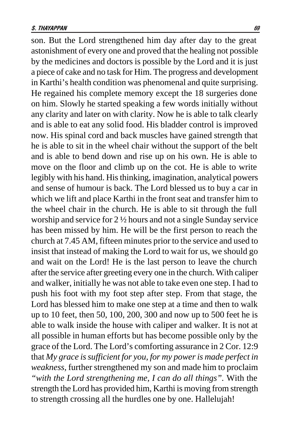son. But the Lord strengthened him day after day to the great astonishment of every one and proved that the healing not possible by the medicines and doctors is possible by the Lord and it is just a piece of cake and no task for Him. The progress and development in Karthi's health condition was phenomenal and quite surprising. He regained his complete memory except the 18 surgeries done on him. Slowly he started speaking a few words initially without any clarity and later on with clarity. Now he is able to talk clearly and is able to eat any solid food. His bladder control is improved now. His spinal cord and back muscles have gained strength that he is able to sit in the wheel chair without the support of the belt and is able to bend down and rise up on his own. He is able to move on the floor and climb up on the cot. He is able to write legibly with his hand. His thinking, imagination, analytical powers and sense of humour is back. The Lord blessed us to buy a car in which we lift and place Karthi in the front seat and transfer him to the wheel chair in the church. He is able to sit through the full worship and service for 2 ½ hours and not a single Sunday service has been missed by him. He will be the first person to reach the church at 7.45 AM, fifteen minutes prior to the service and used to insist that instead of making the Lord to wait for us, we should go and wait on the Lord! He is the last person to leave the church after the service after greeting every one in the church. With caliper and walker, initially he was not able to take even one step. I had to push his foot with my foot step after step. From that stage, the Lord has blessed him to make one step at a time and then to walk up to 10 feet, then 50, 100, 200, 300 and now up to 500 feet he is able to walk inside the house with caliper and walker. It is not at all possible in human efforts but has become possible only by the grace of the Lord. The Lord's comforting assurance in 2 Cor. 12:9 that *My grace is sufficient for you, for my power is made perfect in weakness,* further strengthened my son and made him to proclaim *"with the Lord strengthening me, I can do all things".* With the strength the Lord has provided him, Karthi is moving from strength to strength crossing all the hurdles one by one. Hallelujah!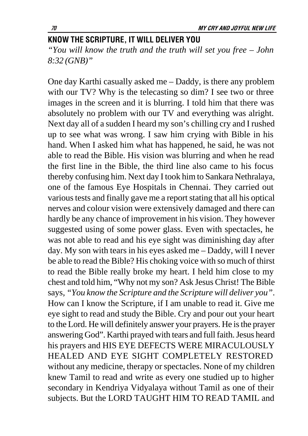### KNOW THE SCRIPTURE, IT WILL DELIVER YOU

*"You will know the truth and the truth will set you free – John 8:32 (GNB)"*

One day Karthi casually asked me – Daddy, is there any problem with our TV? Why is the telecasting so dim? I see two or three images in the screen and it is blurring. I told him that there was absolutely no problem with our TV and everything was alright. Next day all of a sudden I heard my son's chilling cry and I rushed up to see what was wrong. I saw him crying with Bible in his hand. When I asked him what has happened, he said, he was not able to read the Bible. His vision was blurring and when he read the first line in the Bible, the third line also came to his focus thereby confusing him. Next day I took him to Sankara Nethralaya, one of the famous Eye Hospitals in Chennai. They carried out various tests and finally gave me a report stating that all his optical nerves and colour vision were extensively damaged and there can hardly be any chance of improvement in his vision. They however suggested using of some power glass. Even with spectacles, he was not able to read and his eye sight was diminishing day after day. My son with tears in his eyes asked me – Daddy, will I never be able to read the Bible? His choking voice with so much of thirst to read the Bible really broke my heart. I held him close to my chest and told him, "Why not my son? Ask Jesus Christ! The Bible says*, "You know the Scripture and the Scripture will deliver you"*. How can I know the Scripture, if I am unable to read it. Give me eye sight to read and study the Bible. Cry and pour out your heart to the Lord. He will definitely answer your prayers. He is the prayer answering God". Karthi prayed with tears and full faith. Jesus heard his prayers and HIS EYE DEFECTS WERE MIRACULOUSLY HEALED AND EYE SIGHT COMPLETELY RESTORED without any medicine, therapy or spectacles. None of my children knew Tamil to read and write as every one studied up to higher secondary in Kendriya Vidyalaya without Tamil as one of their subjects. But the LORD TAUGHT HIM TO READ TAMIL and

-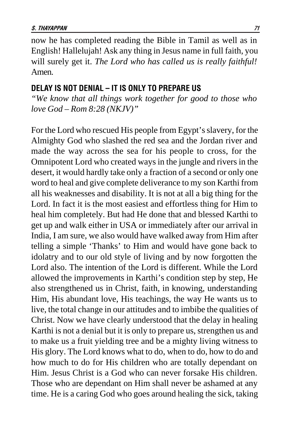now he has completed reading the Bible in Tamil as well as in English! Hallelujah! Ask any thing in Jesus name in full faith, you will surely get it. *The Lord who has called us is really faithful!* Amen.

### Delay is not denial – it is only to prepare us

*"We know that all things work together for good to those who love God – Rom 8:28 (NKJV)"*

For the Lord who rescued His people from Egypt's slavery, for the Almighty God who slashed the red sea and the Jordan river and made the way across the sea for his people to cross, for the Omnipotent Lord who created ways in the jungle and rivers in the desert, it would hardly take only a fraction of a second or only one word to heal and give complete deliverance to my son Karthi from all his weaknesses and disability. It is not at all a big thing for the Lord. In fact it is the most easiest and effortless thing for Him to heal him completely. But had He done that and blessed Karthi to get up and walk either in USA or immediately after our arrival in India, I am sure, we also would have walked away from Him after telling a simple 'Thanks' to Him and would have gone back to idolatry and to our old style of living and by now forgotten the Lord also. The intention of the Lord is different. While the Lord allowed the improvements in Karthi's condition step by step, He also strengthened us in Christ, faith, in knowing, understanding Him, His abundant love, His teachings, the way He wants us to live, the total change in our attitudes and to imbibe the qualities of Christ. Now we have clearly understood that the delay in healing Karthi is not a denial but it is only to prepare us, strengthen us and to make us a fruit yielding tree and be a mighty living witness to His glory. The Lord knows what to do, when to do, how to do and how much to do for His children who are totally dependant on Him. Jesus Christ is a God who can never forsake His children. Those who are dependant on Him shall never be ashamed at any time. He is a caring God who goes around healing the sick, taking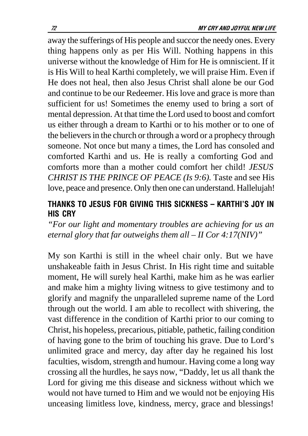away the sufferings of His people and succor the needy ones. Every thing happens only as per His Will. Nothing happens in this universe without the knowledge of Him for He is omniscient. If it is His Will to heal Karthi completely, we will praise Him. Even if He does not heal, then also Jesus Christ shall alone be our God and continue to be our Redeemer. His love and grace is more than sufficient for us! Sometimes the enemy used to bring a sort of mental depression. At that time the Lord used to boost and comfort us either through a dream to Karthi or to his mother or to one of the believers in the church or through a word or a prophecy through someone. Not once but many a times, the Lord has consoled and comforted Karthi and us. He is really a comforting God and comforts more than a mother could comfort her child! *JESUS CHRIST IS THE PRINCE OF PEACE (Is 9:6).* Taste and see His love, peace and presence. Only then one can understand. Hallelujah!

# THANKS TO JESUS FOR GIVING THIS SICKNESS - KARTHI'S JOY IN **HIS CRY**

*"For our light and momentary troubles are achieving for us an eternal glory that far outweighs them all – II Cor 4:17(NIV)"*

My son Karthi is still in the wheel chair only. But we have unshakeable faith in Jesus Christ. In His right time and suitable moment, He will surely heal Karthi, make him as he was earlier and make him a mighty living witness to give testimony and to glorify and magnify the unparalleled supreme name of the Lord through out the world. I am able to recollect with shivering, the vast difference in the condition of Karthi prior to our coming to Christ, his hopeless, precarious, pitiable, pathetic, failing condition of having gone to the brim of touching his grave. Due to Lord's unlimited grace and mercy, day after day he regained his lost faculties, wisdom, strength and humour. Having come a long way crossing all the hurdles, he says now, "Daddy, let us all thank the Lord for giving me this disease and sickness without which we would not have turned to Him and we would not be enjoying His unceasing limitless love, kindness, mercy, grace and blessings!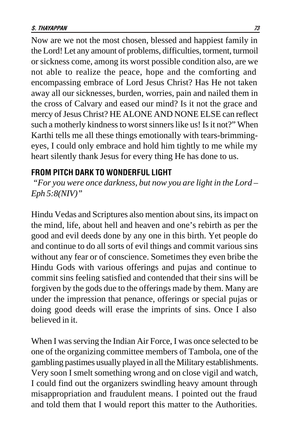Now are we not the most chosen, blessed and happiest family in the Lord! Let any amount of problems, difficulties, torment, turmoil or sickness come, among its worst possible condition also, are we not able to realize the peace, hope and the comforting and encompassing embrace of Lord Jesus Christ? Has He not taken away all our sicknesses, burden, worries, pain and nailed them in the cross of Calvary and eased our mind? Is it not the grace and mercy of Jesus Christ? HE ALONE AND NONE ELSE can reflect such a motherly kindness to worst sinners like us! Is it not?" When Karthi tells me all these things emotionally with tears-brimmingeyes, I could only embrace and hold him tightly to me while my heart silently thank Jesus for every thing He has done to us.

### FROM PITCH DARK TO WONDERFUL LIGHT

*"For you were once darkness, but now you are light in the Lord – Eph 5:8(NIV)"*

Hindu Vedas and Scriptures also mention about sins, its impact on the mind, life, about hell and heaven and one's rebirth as per the good and evil deeds done by any one in this birth. Yet people do and continue to do all sorts of evil things and commit various sins without any fear or of conscience. Sometimes they even bribe the Hindu Gods with various offerings and pujas and continue to commit sins feeling satisfied and contended that their sins will be forgiven by the gods due to the offerings made by them. Many are under the impression that penance, offerings or special pujas or doing good deeds will erase the imprints of sins. Once I also believed in it.

When I was serving the Indian Air Force, I was once selected to be one of the organizing committee members of Tambola, one of the gambling pastimes usually played in all the Military establishments. Very soon I smelt something wrong and on close vigil and watch, I could find out the organizers swindling heavy amount through misappropriation and fraudulent means. I pointed out the fraud and told them that I would report this matter to the Authorities.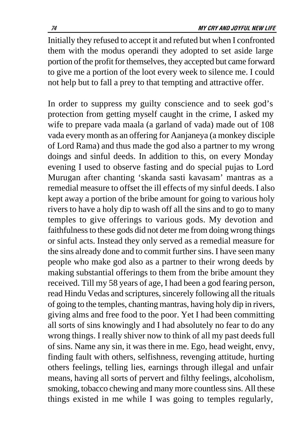Initially they refused to accept it and refuted but when I confronted them with the modus operandi they adopted to set aside large portion of the profit for themselves, they accepted but came forward to give me a portion of the loot every week to silence me. I could not help but to fall a prey to that tempting and attractive offer.

In order to suppress my guilty conscience and to seek god's protection from getting myself caught in the crime, I asked my wife to prepare vada maala (a garland of vada) made out of 108 vada every month as an offering for Aanjaneya (a monkey disciple of Lord Rama) and thus made the god also a partner to my wrong doings and sinful deeds. In addition to this, on every Monday evening I used to observe fasting and do special pujas to Lord Murugan after chanting 'skanda sasti kavasam' mantras as a remedial measure to offset the ill effects of my sinful deeds. I also kept away a portion of the bribe amount for going to various holy rivers to have a holy dip to wash off all the sins and to go to many temples to give offerings to various gods. My devotion and faithfulness to these gods did not deter me from doing wrong things or sinful acts. Instead they only served as a remedial measure for the sins already done and to commit further sins. I have seen many people who make god also as a partner to their wrong deeds by making substantial offerings to them from the bribe amount they received. Till my 58 years of age, I had been a god fearing person, read Hindu Vedas and scriptures, sincerely following all the rituals of going to the temples, chanting mantras, having holy dip in rivers, giving alms and free food to the poor. Yet I had been committing all sorts of sins knowingly and I had absolutely no fear to do any wrong things. I really shiver now to think of all my past deeds full of sins. Name any sin, it was there in me. Ego, head weight, envy, finding fault with others, selfishness, revenging attitude, hurting others feelings, telling lies, earnings through illegal and unfair means, having all sorts of pervert and filthy feelings, alcoholism, smoking, tobacco chewing and many more countless sins. All these things existed in me while I was going to temples regularly,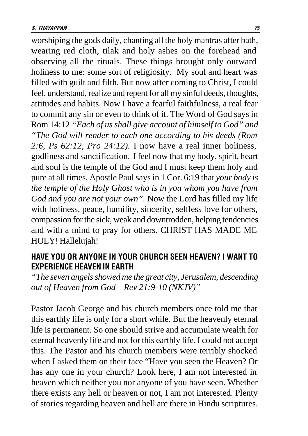worshiping the gods daily, chanting all the holy mantras after bath, wearing red cloth, tilak and holy ashes on the forehead and observing all the rituals. These things brought only outward holiness to me: some sort of religiosity. My soul and heart was filled with guilt and filth. But now after coming to Christ, I could feel, understand, realize and repent for all my sinful deeds, thoughts, attitudes and habits. Now I have a fearful faithfulness, a real fear to commit any sin or even to think of it. The Word of God says in Rom 14:12 *"Each of us shall give account of himself to God" and "The God will render to each one according to his deeds (Rom 2:6, Ps 62:12, Pro 24:12).* I now have a real inner holiness, godliness and sanctification. I feel now that my body, spirit, heart and soul is the temple of the God and I must keep them holy and pure at all times. Apostle Paul says in 1 Cor. 6:19 that *your body is the temple of the Holy Ghost who is in you whom you have from God and you are not your own".* Now the Lord has filled my life with holiness, peace, humility, sincerity, selfless love for others, compassion for the sick, weak and downtrodden, helping tendencies and with a mind to pray for others. CHRIST HAS MADE ME HOLY! Hallelujah!

## HAVE YOU OR ANYONE IN YOUR CHURCH SEEN HEAVEN? I WANT TO EXPERIENCE HEAVEN IN EARTH

*"The seven angels showed me the great city, Jerusalem, descending out of Heaven from God – Rev 21:9-10 (NKJV)"*

Pastor Jacob George and his church members once told me that this earthly life is only for a short while. But the heavenly eternal life is permanent. So one should strive and accumulate wealth for eternal heavenly life and not for this earthly life. I could not accept this. The Pastor and his church members were terribly shocked when I asked them on their face "Have you seen the Heaven? Or has any one in your church? Look here, I am not interested in heaven which neither you nor anyone of you have seen. Whether there exists any hell or heaven or not, I am not interested. Plenty of stories regarding heaven and hell are there in Hindu scriptures.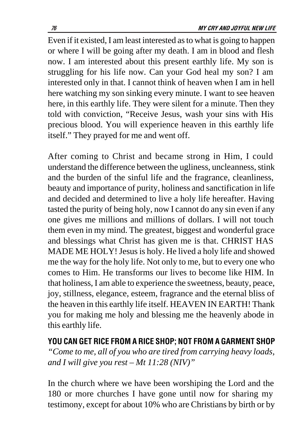Even if it existed, I am least interested as to what is going to happen or where I will be going after my death. I am in blood and flesh now. I am interested about this present earthly life. My son is struggling for his life now. Can your God heal my son? I am interested only in that. I cannot think of heaven when I am in hell here watching my son sinking every minute. I want to see heaven here, in this earthly life. They were silent for a minute. Then they told with conviction, "Receive Jesus, wash your sins with His precious blood. You will experience heaven in this earthly life itself." They prayed for me and went off.

After coming to Christ and became strong in Him, I could understand the difference between the ugliness, uncleanness, stink and the burden of the sinful life and the fragrance, cleanliness, beauty and importance of purity, holiness and sanctification in life and decided and determined to live a holy life hereafter. Having tasted the purity of being holy, now I cannot do any sin even if any one gives me millions and millions of dollars. I will not touch them even in my mind. The greatest, biggest and wonderful grace and blessings what Christ has given me is that. CHRIST HAS MADE ME HOLY! Jesus is holy. He lived a holy life and showed me the way for the holy life. Not only to me, but to every one who comes to Him. He transforms our lives to become like HIM. In that holiness, I am able to experience the sweetness, beauty, peace, joy, stillness, elegance, esteem, fragrance and the eternal bliss of the heaven in this earthly life itself. HEAVEN IN EARTH! Thank you for making me holy and blessing me the heavenly abode in this earthly life.

You can get rice from a rice shop; not from a garment shop *"Come to me, all of you who are tired from carrying heavy loads, and I will give you rest – Mt 11:28 (NIV)"*

In the church where we have been worshiping the Lord and the 180 or more churches I have gone until now for sharing my testimony, except for about 10% who are Christians by birth or by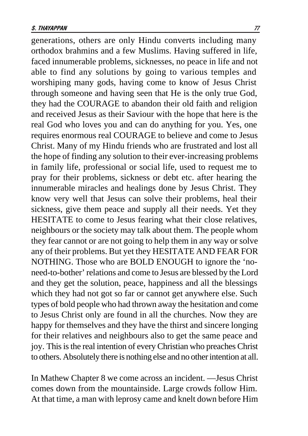generations, others are only Hindu converts including many orthodox brahmins and a few Muslims. Having suffered in life, faced innumerable problems, sicknesses, no peace in life and not able to find any solutions by going to various temples and worshiping many gods, having come to know of Jesus Christ through someone and having seen that He is the only true God, they had the COURAGE to abandon their old faith and religion and received Jesus as their Saviour with the hope that here is the real God who loves you and can do anything for you. Yes, one requires enormous real COURAGE to believe and come to Jesus Christ. Many of my Hindu friends who are frustrated and lost all the hope of finding any solution to their ever-increasing problems in family life, professional or social life, used to request me to pray for their problems, sickness or debt etc. after hearing the innumerable miracles and healings done by Jesus Christ. They know very well that Jesus can solve their problems, heal their sickness, give them peace and supply all their needs. Yet they HESITATE to come to Jesus fearing what their close relatives, neighbours or the society may talk about them. The people whom they fear cannot or are not going to help them in any way or solve any of their problems. But yet they HESITATE AND FEAR FOR NOTHING. Those who are BOLD ENOUGH to ignore the 'noneed-to-bother' relations and come to Jesus are blessed by the Lord and they get the solution, peace, happiness and all the blessings which they had not got so far or cannot get anywhere else. Such types of bold people who had thrown away the hesitation and come to Jesus Christ only are found in all the churches. Now they are happy for themselves and they have the thirst and sincere longing for their relatives and neighbours also to get the same peace and joy. This is the real intention of every Christian who preaches Christ to others. Absolutely there is nothing else and no other intention at all.

In Mathew Chapter 8 we come across an incident. —Jesus Christ comes down from the mountainside. Large crowds follow Him. At that time, a man with leprosy came and knelt down before Him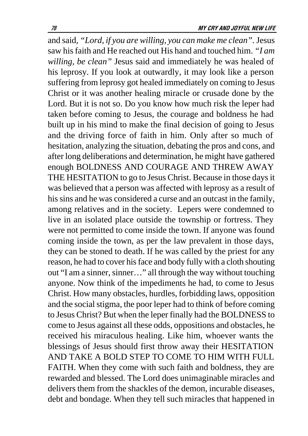and said*, "Lord, if you are willing, you can make me clean".* Jesus saw his faith and He reached out His hand and touched him. *"I am willing, be clean"* Jesus said and immediately he was healed of his leprosy. If you look at outwardly, it may look like a person suffering from leprosy got healed immediately on coming to Jesus Christ or it was another healing miracle or crusade done by the Lord. But it is not so. Do you know how much risk the leper had taken before coming to Jesus, the courage and boldness he had built up in his mind to make the final decision of going to Jesus and the driving force of faith in him. Only after so much of hesitation, analyzing the situation, debating the pros and cons, and after long deliberations and determination, he might have gathered enough BOLDNESS AND COURAGE AND THREW AWAY THE HESITATION to go to Jesus Christ. Because in those days it was believed that a person was affected with leprosy as a result of his sins and he was considered a curse and an outcast in the family, among relatives and in the society. Lepers were condemned to live in an isolated place outside the township or fortress. They were not permitted to come inside the town. If anyone was found coming inside the town, as per the law prevalent in those days, they can be stoned to death. If he was called by the priest for any reason, he had to cover his face and body fully with a cloth shouting out "I am a sinner, sinner…" all through the way without touching anyone. Now think of the impediments he had, to come to Jesus Christ. How many obstacles, hurdles, forbidding laws, opposition and the social stigma, the poor leper had to think of before coming to Jesus Christ? But when the leper finally had the BOLDNESS to come to Jesus against all these odds, oppositions and obstacles, he received his miraculous healing. Like him, whoever wants the blessings of Jesus should first throw away their HESITATION AND TAKE A BOLD STEP TO COME TO HIM WITH FULL FAITH. When they come with such faith and boldness, they are rewarded and blessed. The Lord does unimaginable miracles and delivers them from the shackles of the demon, incurable diseases, debt and bondage. When they tell such miracles that happened in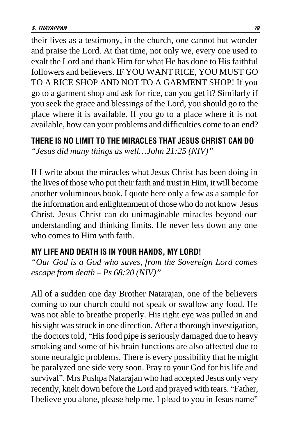their lives as a testimony, in the church, one cannot but wonder and praise the Lord. At that time, not only we, every one used to exalt the Lord and thank Him for what He has done to His faithful followers and believers. IF YOU WANT RICE, YOU MUST GO TO A RICE SHOP AND NOT TO A GARMENT SHOP! If you go to a garment shop and ask for rice, can you get it? Similarly if you seek the grace and blessings of the Lord, you should go to the place where it is available. If you go to a place where it is not available, how can your problems and difficulties come to an end?

## THERE IS NO LIMIT TO THE MIRACLES THAT JESUS CHRIST CAN DO *"Jesus did many things as well…John 21:25 (NIV)"*

If I write about the miracles what Jesus Christ has been doing in the lives of those who put their faith and trust in Him, it will become another voluminous book. I quote here only a few as a sample for the information and enlightenment of those who do not know Jesus Christ. Jesus Christ can do unimaginable miracles beyond our understanding and thinking limits. He never lets down any one who comes to Him with faith.

## MY LIFE AND DEATH IS IN YOUR HANDS, MY LORD!

*"Our God is a God who saves, from the Sovereign Lord comes escape from death – Ps 68:20 (NIV)"*

All of a sudden one day Brother Natarajan, one of the believers coming to our church could not speak or swallow any food. He was not able to breathe properly. His right eye was pulled in and his sight was struck in one direction. After a thorough investigation, the doctors told, "His food pipe is seriously damaged due to heavy smoking and some of his brain functions are also affected due to some neuralgic problems. There is every possibility that he might be paralyzed one side very soon. Pray to your God for his life and survival". Mrs Pushpa Natarajan who had accepted Jesus only very recently, knelt down before the Lord and prayed with tears. "Father, I believe you alone, please help me. I plead to you in Jesus name"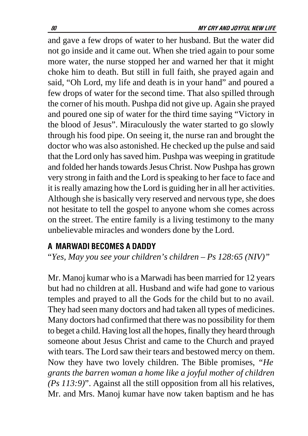and gave a few drops of water to her husband. But the water did not go inside and it came out. When she tried again to pour some more water, the nurse stopped her and warned her that it might choke him to death. But still in full faith, she prayed again and said, "Oh Lord, my life and death is in your hand" and poured a few drops of water for the second time. That also spilled through the corner of his mouth. Pushpa did not give up. Again she prayed and poured one sip of water for the third time saying "Victory in the blood of Jesus". Miraculously the water started to go slowly through his food pipe. On seeing it, the nurse ran and brought the doctor who was also astonished. He checked up the pulse and said that the Lord only has saved him. Pushpa was weeping in gratitude and folded her hands towards Jesus Christ. Now Pushpa has grown very strong in faith and the Lord is speaking to her face to face and it is really amazing how the Lord is guiding her in all her activities. Although she is basically very reserved and nervous type, she does not hesitate to tell the gospel to anyone whom she comes across on the street. The entire family is a living testimony to the many unbelievable miracles and wonders done by the Lord.

#### A MARWADI BECOMES A DADDY

"*Yes, May you see your children's children – Ps 128:65 (NIV)"*

Mr. Manoj kumar who is a Marwadi has been married for 12 years but had no children at all. Husband and wife had gone to various temples and prayed to all the Gods for the child but to no avail. They had seen many doctors and had taken all types of medicines. Many doctors had confirmed that there was no possibility for them to beget a child. Having lost all the hopes, finally they heard through someone about Jesus Christ and came to the Church and prayed with tears. The Lord saw their tears and bestowed mercy on them. Now they have two lovely children. The Bible promises, *"He grants the barren woman a home like a joyful mother of children (Ps 113:9)*". Against all the still opposition from all his relatives, Mr. and Mrs. Manoj kumar have now taken baptism and he has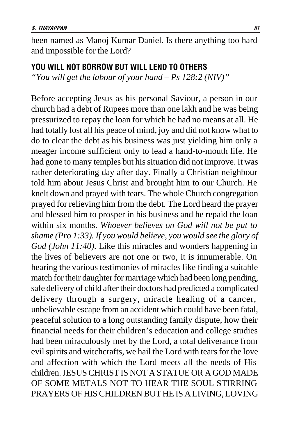been named as Manoj Kumar Daniel. Is there anything too hard and impossible for the Lord?

#### YOU WILL NOT BORROW BUT WILL LEND TO OTHERS

*"You will get the labour of your hand – Ps 128:2 (NIV)"*

Before accepting Jesus as his personal Saviour, a person in our church had a debt of Rupees more than one lakh and he was being pressurized to repay the loan for which he had no means at all. He had totally lost all his peace of mind, joy and did not know what to do to clear the debt as his business was just yielding him only a meager income sufficient only to lead a hand-to-mouth life. He had gone to many temples but his situation did not improve. It was rather deteriorating day after day. Finally a Christian neighbour told him about Jesus Christ and brought him to our Church. He knelt down and prayed with tears. The whole Church congregation prayed for relieving him from the debt. The Lord heard the prayer and blessed him to prosper in his business and he repaid the loan within six months. *Whoever believes on God will not be put to shame (Pro 1:33). If you would believe, you would see the glory of God (John 11:40).* Like this miracles and wonders happening in the lives of believers are not one or two, it is innumerable. On hearing the various testimonies of miracles like finding a suitable match for their daughter for marriage which had been long pending, safe delivery of child after their doctors had predicted a complicated delivery through a surgery, miracle healing of a cancer, unbelievable escape from an accident which could have been fatal, peaceful solution to a long outstanding family dispute, how their financial needs for their children's education and college studies had been miraculously met by the Lord, a total deliverance from evil spirits and witchcrafts, we hail the Lord with tears for the love and affection with which the Lord meets all the needs of His children. JESUS CHRIST IS NOT A STATUE OR A GOD MADE OF SOME METALS NOT TO HEAR THE SOUL STIRRING PRAYERS OF HIS CHILDREN BUT HE IS A LIVING, LOVING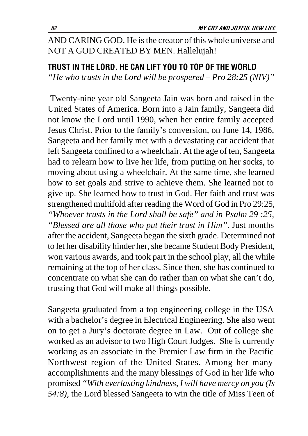# AND CARING GOD. He is the creator of this whole universe and NOT A GOD CREATED BY MEN. Hallelujah!

### TRUST IN THE LORD. HE CAN LIFT YOU TO TOP OF THE WORLD

*"He who trusts in the Lord will be prospered – Pro 28:25 (NIV)"*

 Twenty-nine year old Sangeeta Jain was born and raised in the United States of America. Born into a Jain family, Sangeeta did not know the Lord until 1990, when her entire family accepted Jesus Christ. Prior to the family's conversion, on June 14, 1986, Sangeeta and her family met with a devastating car accident that left Sangeeta confined to a wheelchair. At the age of ten, Sangeeta had to relearn how to live her life, from putting on her socks, to moving about using a wheelchair. At the same time, she learned how to set goals and strive to achieve them. She learned not to give up. She learned how to trust in God. Her faith and trust was strengthened multifold after reading the Word of God in Pro 29:25, *"Whoever trusts in the Lord shall be safe" and in Psalm 29 :25, "Blessed are all those who put their trust in Him"*. Just months after the accident, Sangeeta began the sixth grade. Determined not to let her disability hinder her, she became Student Body President, won various awards, and took part in the school play, all the while remaining at the top of her class. Since then, she has continued to concentrate on what she can do rather than on what she can't do, trusting that God will make all things possible.

Sangeeta graduated from a top engineering college in the USA with a bachelor's degree in Electrical Engineering. She also went on to get a Jury's doctorate degree in Law. Out of college she worked as an advisor to two High Court Judges. She is currently working as an associate in the Premier Law firm in the Pacific Northwest region of the United States. Among her many accomplishments and the many blessings of God in her life who promised *"With everlasting kindness, I will have mercy on you (Is 54:8),* the Lord blessed Sangeeta to win the title of Miss Teen of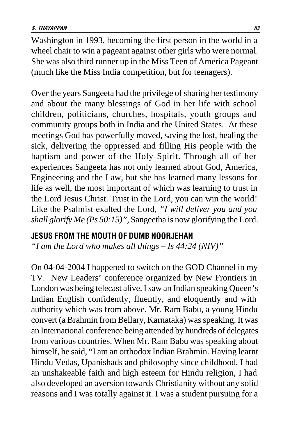Washington in 1993, becoming the first person in the world in a wheel chair to win a pageant against other girls who were normal. She was also third runner up in the Miss Teen of America Pageant (much like the Miss India competition, but for teenagers).

Over the years Sangeeta had the privilege of sharing her testimony and about the many blessings of God in her life with school children, politicians, churches, hospitals, youth groups and community groups both in India and the United States. At these meetings God has powerfully moved, saving the lost, healing the sick, delivering the oppressed and filling His people with the baptism and power of the Holy Spirit. Through all of her experiences Sangeeta has not only learned about God, America, Engineering and the Law, but she has learned many lessons for life as well, the most important of which was learning to trust in the Lord Jesus Christ. Trust in the Lord, you can win the world! Like the Psalmist exalted the Lord, *"I will deliver you and you shall glorify Me (Ps 50:15)",* Sangeetha is now glorifying the Lord.

#### JESUS FROM THE MOUTH OF DUMB NOORJEHAN

*"I am the Lord who makes all things – Is 44:24 (NIV)"*

On 04-04-2004 I happened to switch on the GOD Channel in my TV. New Leaders' conference organized by New Frontiers in London was being telecast alive. I saw an Indian speaking Queen's Indian English confidently, fluently, and eloquently and with authority which was from above. Mr. Ram Babu, a young Hindu convert (a Brahmin from Bellary, Karnataka) was speaking. It was an International conference being attended by hundreds of delegates from various countries. When Mr. Ram Babu was speaking about himself, he said, "I am an orthodox Indian Brahmin. Having learnt Hindu Vedas, Upanishads and philosophy since childhood, I had an unshakeable faith and high esteem for Hindu religion, I had also developed an aversion towards Christianity without any solid reasons and I was totally against it. I was a student pursuing for a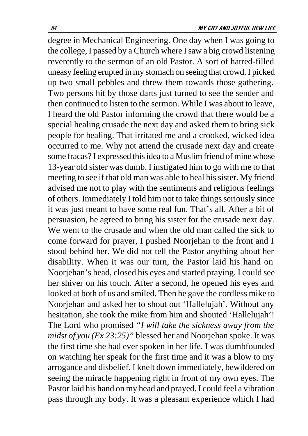degree in Mechanical Engineering. One day when I was going to the college, I passed by a Church where I saw a big crowd listening reverently to the sermon of an old Pastor. A sort of hatred-filled uneasy feeling erupted in my stomach on seeing that crowd. I picked up two small pebbles and threw them towards those gathering. Two persons hit by those darts just turned to see the sender and then continued to listen to the sermon. While I was about to leave, I heard the old Pastor informing the crowd that there would be a special healing crusade the next day and asked them to bring sick people for healing. That irritated me and a crooked, wicked idea occurred to me. Why not attend the crusade next day and create some fracas? I expressed this idea to a Muslim friend of mine whose 13-year old sister was dumb. I instigated him to go with me to that meeting to see if that old man was able to heal his sister. My friend advised me not to play with the sentiments and religious feelings of others. Immediately I told him not to take things seriously since it was just meant to have some real fun. That's all. After a bit of persuasion, he agreed to bring his sister for the crusade next day. We went to the crusade and when the old man called the sick to come forward for prayer, I pushed Noorjehan to the front and I stood behind her. We did not tell the Pastor anything about her disability. When it was our turn, the Pastor laid his hand on Noorjehan's head, closed his eyes and started praying. I could see her shiver on his touch. After a second, he opened his eyes and looked at both of us and smiled. Then he gave the cordless mike to Noorjehan and asked her to shout out 'Hallelujah'. Without any hesitation, she took the mike from him and shouted 'Hallelujah'! The Lord who promised *"I will take the sickness away from the midst of you (Ex 23:25)"* blessed her and Noorjehan spoke. It was the first time she had ever spoken in her life. I was dumbfounded on watching her speak for the first time and it was a blow to my arrogance and disbelief. I knelt down immediately, bewildered on seeing the miracle happening right in front of my own eyes. The Pastor laid his hand on my head and prayed. I could feel a vibration pass through my body. It was a pleasant experience which I had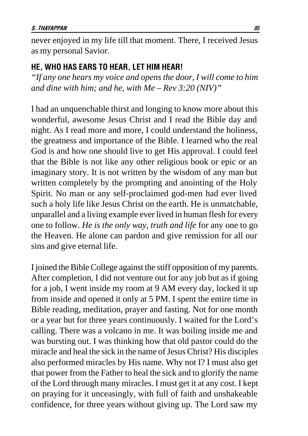never enjoyed in my life till that moment. There, I received Jesus as my personal Savior.

#### HE, WHO HAS EARS TO HEAR, LET HIM HEAR!

*"If any one hears my voice and opens the door, I will come to him and dine with him; and he, with Me – Rev 3:20 (NIV)"*

I had an unquenchable thirst and longing to know more about this wonderful, awesome Jesus Christ and I read the Bible day and night. As I read more and more, I could understand the holiness, the greatness and importance of the Bible. I learned who the real God is and how one should live to get His approval. I could feel that the Bible is not like any other religious book or epic or an imaginary story. It is not written by the wisdom of any man but written completely by the prompting and anointing of the Holy Spirit. No man or any self-proclaimed god-men had ever lived such a holy life like Jesus Christ on the earth. He is unmatchable, unparallel and a living example ever lived in human flesh for every one to follow. *He is the only way, truth and life* for any one to go the Heaven. He alone can pardon and give remission for all our sins and give eternal life.

I joined the Bible College against the stiff opposition of my parents. After completion, I did not venture out for any job but as if going for a job, I went inside my room at 9 AM every day, locked it up from inside and opened it only at 5 PM. I spent the entire time in Bible reading, meditation, prayer and fasting. Not for one month or a year but for three years continuously. I waited for the Lord's calling. There was a volcano in me. It was boiling inside me and was bursting out. I was thinking how that old pastor could do the miracle and heal the sick in the name of Jesus Christ? His disciples also performed miracles by His name. Why not I? I must also get that power from the Father to heal the sick and to glorify the name of the Lord through many miracles. I must get it at any cost. I kept on praying for it unceasingly, with full of faith and unshakeable confidence, for three years without giving up. The Lord saw my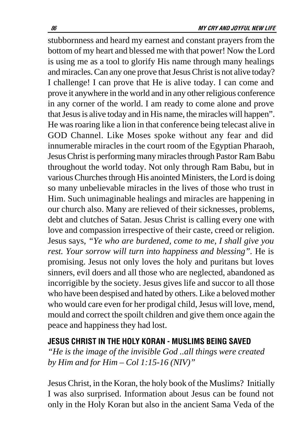stubbornness and heard my earnest and constant prayers from the bottom of my heart and blessed me with that power! Now the Lord is using me as a tool to glorify His name through many healings and miracles. Can any one prove that Jesus Christ is not alive today? I challenge! I can prove that He is alive today. I can come and prove it anywhere in the world and in any other religious conference in any corner of the world. I am ready to come alone and prove that Jesus is alive today and in His name, the miracles will happen". He was roaring like a lion in that conference being telecast alive in GOD Channel. Like Moses spoke without any fear and did innumerable miracles in the court room of the Egyptian Pharaoh, Jesus Christ is performing many miracles through Pastor Ram Babu throughout the world today. Not only through Ram Babu, but in various Churches through His anointed Ministers, the Lord is doing so many unbelievable miracles in the lives of those who trust in Him. Such unimaginable healings and miracles are happening in our church also. Many are relieved of their sicknesses, problems, debt and clutches of Satan. Jesus Christ is calling every one with love and compassion irrespective of their caste, creed or religion. Jesus says, *"Ye who are burdened, come to me, I shall give you rest. Your sorrow will turn into happiness and blessing".* He is promising. Jesus not only loves the holy and puritans but loves sinners, evil doers and all those who are neglected, abandoned as incorrigible by the society. Jesus gives life and succor to all those who have been despised and hated by others. Like a beloved mother who would care even for her prodigal child, Jesus will love, mend, mould and correct the spoilt children and give them once again the peace and happiness they had lost.

## JESUS CHRIST IN THE HOLY KORAN - MUSLIMS BEING SAVED

*"He is the image of the invisible God ..all things were created by Him and for Him – Col 1:15-16 (NIV)"*

Jesus Christ, in the Koran, the holy book of the Muslims? Initially I was also surprised. Information about Jesus can be found not only in the Holy Koran but also in the ancient Sama Veda of the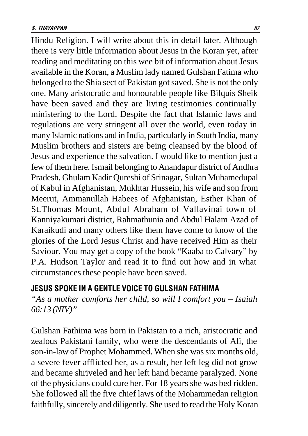Hindu Religion. I will write about this in detail later. Although there is very little information about Jesus in the Koran yet, after reading and meditating on this wee bit of information about Jesus available in the Koran, a Muslim lady named Gulshan Fatima who belonged to the Shia sect of Pakistan got saved. She is not the only one. Many aristocratic and honourable people like Bilquis Sheik have been saved and they are living testimonies continually ministering to the Lord. Despite the fact that Islamic laws and regulations are very stringent all over the world, even today in many Islamic nations and in India, particularly in South India, many Muslim brothers and sisters are being cleansed by the blood of Jesus and experience the salvation. I would like to mention just a few of them here. Ismail belonging to Anandapur district of Andhra Pradesh, Ghulam Kadir Qureshi of Srinagar, Sultan Muhamedupal of Kabul in Afghanistan, Mukhtar Hussein, his wife and son from Meerut, Ammanullah Habees of Afghanistan, Esther Khan of St.Thomas Mount, Abdul Abraham of Vallavinai town of Kanniyakumari district, Rahmathunia and Abdul Halam Azad of Karaikudi and many others like them have come to know of the glories of the Lord Jesus Christ and have received Him as their Saviour. You may get a copy of the book "Kaaba to Calvary" by P.A. Hudson Taylor and read it to find out how and in what circumstances these people have been saved.

### JESUS SPOKE IN A GENTLE VOICE TO GULSHAN FATHIMA

*"As a mother comforts her child, so will I comfort you – Isaiah 66:13 (NIV)"*

Gulshan Fathima was born in Pakistan to a rich, aristocratic and zealous Pakistani family, who were the descendants of Ali, the son-in-law of Prophet Mohammed. When she was six months old, a severe fever afflicted her, as a result, her left leg did not grow and became shriveled and her left hand became paralyzed. None of the physicians could cure her. For 18 years she was bed ridden. She followed all the five chief laws of the Mohammedan religion faithfully, sincerely and diligently. She used to read the Holy Koran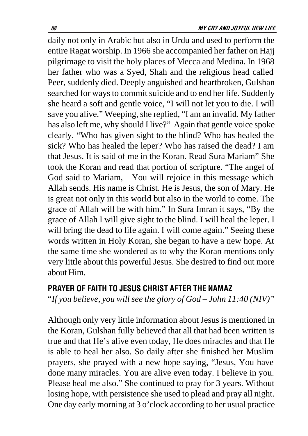daily not only in Arabic but also in Urdu and used to perform the entire Ragat worship. In 1966 she accompanied her father on Hajj pilgrimage to visit the holy places of Mecca and Medina. In 1968 her father who was a Syed, Shah and the religious head called Peer, suddenly died. Deeply anguished and heartbroken, Gulshan searched for ways to commit suicide and to end her life. Suddenly she heard a soft and gentle voice, "I will not let you to die. I will save you alive." Weeping, she replied, "I am an invalid. My father has also left me, why should I live?" Again that gentle voice spoke clearly, "Who has given sight to the blind? Who has healed the sick? Who has healed the leper? Who has raised the dead? I am that Jesus. It is said of me in the Koran. Read Sura Mariam" She took the Koran and read that portion of scripture. "The angel of God said to Mariam, You will rejoice in this message which Allah sends. His name is Christ. He is Jesus, the son of Mary. He is great not only in this world but also in the world to come. The grace of Allah will be with him." In Sura Imran it says, "By the grace of Allah I will give sight to the blind. I will heal the leper. I will bring the dead to life again. I will come again." Seeing these words written in Holy Koran, she began to have a new hope. At the same time she wondered as to why the Koran mentions only very little about this powerful Jesus. She desired to find out more about Him.

#### PRAYER OF FAITH TO JESUS CHRIST AFTER THE NAMAZ

"*If you believe, you will see the glory of God – John 11:40 (NIV)"*

Although only very little information about Jesus is mentioned in the Koran, Gulshan fully believed that all that had been written is true and that He's alive even today, He does miracles and that He is able to heal her also. So daily after she finished her Muslim prayers, she prayed with a new hope saying, "Jesus, You have done many miracles. You are alive even today. I believe in you. Please heal me also." She continued to pray for 3 years. Without losing hope, with persistence she used to plead and pray all night. One day early morning at 3 o'clock according to her usual practice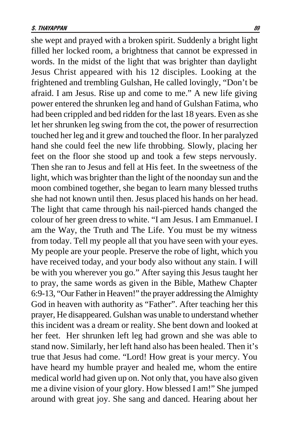she wept and prayed with a broken spirit. Suddenly a bright light filled her locked room, a brightness that cannot be expressed in words. In the midst of the light that was brighter than daylight Jesus Christ appeared with his 12 disciples. Looking at the frightened and trembling Gulshan, He called lovingly, "Don't be afraid. I am Jesus. Rise up and come to me." A new life giving power entered the shrunken leg and hand of Gulshan Fatima, who had been crippled and bed ridden for the last 18 years. Even as she let her shrunken leg swing from the cot, the power of resurrection touched her leg and it grew and touched the floor. In her paralyzed hand she could feel the new life throbbing. Slowly, placing her feet on the floor she stood up and took a few steps nervously. Then she ran to Jesus and fell at His feet. In the sweetness of the light, which was brighter than the light of the noonday sun and the moon combined together, she began to learn many blessed truths she had not known until then. Jesus placed his hands on her head. The light that came through his nail-pierced hands changed the colour of her green dress to white. "I am Jesus. I am Emmanuel. I am the Way, the Truth and The Life. You must be my witness from today. Tell my people all that you have seen with your eyes. My people are your people. Preserve the robe of light, which you have received today, and your body also without any stain. I will be with you wherever you go." After saying this Jesus taught her to pray, the same words as given in the Bible, Mathew Chapter 6:9-13, "Our Father in Heaven!" the prayer addressing the Almighty God in heaven with authority as "Father". After teaching her this prayer, He disappeared. Gulshan was unable to understand whether this incident was a dream or reality. She bent down and looked at her feet. Her shrunken left leg had grown and she was able to stand now. Similarly, her left hand also has been healed. Then it's true that Jesus had come. "Lord! How great is your mercy. You have heard my humble prayer and healed me, whom the entire medical world had given up on. Not only that, you have also given me a divine vision of your glory. How blessed I am!" She jumped around with great joy. She sang and danced. Hearing about her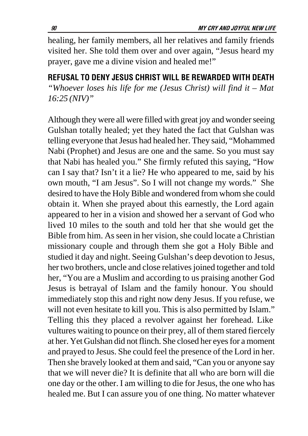healing, her family members, all her relatives and family friends visited her. She told them over and over again, "Jesus heard my prayer, gave me a divine vision and healed me!"

REFUSAL TO DENY JESUS CHRIST WILL BE REWARDED WITH DEATH *"Whoever loses his life for me (Jesus Christ) will find it – Mat 16:25 (NIV)"*

Although they were all were filled with great joy and wonder seeing Gulshan totally healed; yet they hated the fact that Gulshan was telling everyone that Jesus had healed her. They said, "Mohammed Nabi (Prophet) and Jesus are one and the same. So you must say that Nabi has healed you." She firmly refuted this saying, "How can I say that? Isn't it a lie? He who appeared to me, said by his own mouth, "I am Jesus". So I will not change my words." She desired to have the Holy Bible and wondered from whom she could obtain it. When she prayed about this earnestly, the Lord again appeared to her in a vision and showed her a servant of God who lived 10 miles to the south and told her that she would get the Bible from him. As seen in her vision, she could locate a Christian missionary couple and through them she got a Holy Bible and studied it day and night. Seeing Gulshan's deep devotion to Jesus, her two brothers, uncle and close relatives joined together and told her, "You are a Muslim and according to us praising another God Jesus is betrayal of Islam and the family honour. You should immediately stop this and right now deny Jesus. If you refuse, we will not even hesitate to kill you. This is also permitted by Islam." Telling this they placed a revolver against her forehead. Like vultures waiting to pounce on their prey, all of them stared fiercely at her. Yet Gulshan did not flinch. She closed her eyes for a moment and prayed to Jesus. She could feel the presence of the Lord in her. Then she bravely looked at them and said, "Can you or anyone say that we will never die? It is definite that all who are born will die one day or the other. I am willing to die for Jesus, the one who has healed me. But I can assure you of one thing. No matter whatever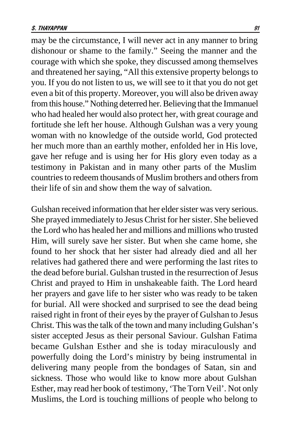may be the circumstance, I will never act in any manner to bring dishonour or shame to the family." Seeing the manner and the courage with which she spoke, they discussed among themselves and threatened her saying, "All this extensive property belongs to you. If you do not listen to us, we will see to it that you do not get even a bit of this property. Moreover, you will also be driven away from this house." Nothing deterred her. Believing that the Immanuel who had healed her would also protect her, with great courage and fortitude she left her house. Although Gulshan was a very young woman with no knowledge of the outside world, God protected her much more than an earthly mother, enfolded her in His love, gave her refuge and is using her for His glory even today as a testimony in Pakistan and in many other parts of the Muslim countries to redeem thousands of Muslim brothers and others from their life of sin and show them the way of salvation.

Gulshan received information that her elder sister was very serious. She prayed immediately to Jesus Christ for her sister. She believed the Lord who has healed her and millions and millions who trusted Him, will surely save her sister. But when she came home, she found to her shock that her sister had already died and all her relatives had gathered there and were performing the last rites to the dead before burial. Gulshan trusted in the resurrection of Jesus Christ and prayed to Him in unshakeable faith. The Lord heard her prayers and gave life to her sister who was ready to be taken for burial. All were shocked and surprised to see the dead being raised right in front of their eyes by the prayer of Gulshan to Jesus Christ. This was the talk of the town and many including Gulshan's sister accepted Jesus as their personal Saviour. Gulshan Fatima became Gulshan Esther and she is today miraculously and powerfully doing the Lord's ministry by being instrumental in delivering many people from the bondages of Satan, sin and sickness. Those who would like to know more about Gulshan Esther, may read her book of testimony, 'The Torn Veil'. Not only Muslims, the Lord is touching millions of people who belong to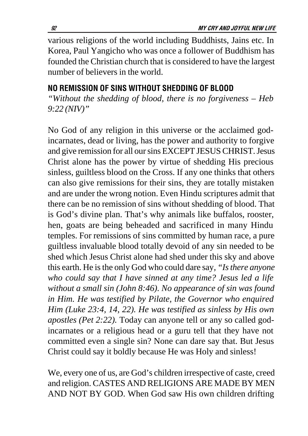various religions of the world including Buddhists, Jains etc. In Korea, Paul Yangicho who was once a follower of Buddhism has founded the Christian church that is considered to have the largest number of believers in the world.

## NO REMISSION OF SINS WITHOUT SHEDDING OF BLOOD

*"Without the shedding of blood, there is no forgiveness – Heb 9:22 (NIV)"*

No God of any religion in this universe or the acclaimed godincarnates, dead or living, has the power and authority to forgive and give remission for all our sins EXCEPT JESUS CHRIST. Jesus Christ alone has the power by virtue of shedding His precious sinless, guiltless blood on the Cross. If any one thinks that others can also give remissions for their sins, they are totally mistaken and are under the wrong notion. Even Hindu scriptures admit that there can be no remission of sins without shedding of blood. That is God's divine plan. That's why animals like buffalos, rooster, hen, goats are being beheaded and sacrificed in many Hindu temples. For remissions of sins committed by human race, a pure guiltless invaluable blood totally devoid of any sin needed to be shed which Jesus Christ alone had shed under this sky and above this earth. He is the only God who could dare say*, "Is there anyone who could say that I have sinned at any time? Jesus led a life without a small sin (John 8:46). No appearance of sin was found in Him. He was testified by Pilate, the Governor who enquired Him (Luke 23:4, 14, 22). He was testified as sinless by His own apostles (Pet 2:22).* Today can anyone tell or any so called godincarnates or a religious head or a guru tell that they have not committed even a single sin? None can dare say that. But Jesus Christ could say it boldly because He was Holy and sinless!

We, every one of us, are God's children irrespective of caste, creed and religion. CASTES AND RELIGIONS ARE MADE BY MEN AND NOT BY GOD. When God saw His own children drifting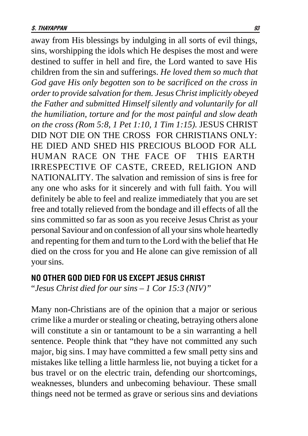away from His blessings by indulging in all sorts of evil things, sins, worshipping the idols which He despises the most and were destined to suffer in hell and fire, the Lord wanted to save His children from the sin and sufferings. *He loved them so much that God gave His only begotten son to be sacrificed on the cross in order to provide salvation for them. Jesus Christ implicitly obeyed the Father and submitted Himself silently and voluntarily for all the humiliation, torture and for the most painful and slow death on the cross (Rom 5:8, 1 Pet 1:10, 1 Tim 1:15).* JESUS CHRIST DID NOT DIE ON THE CROSS FOR CHRISTIANS ONLY: HE DIED AND SHED HIS PRECIOUS BLOOD FOR ALL HUMAN RACE ON THE FACE OF THIS EARTH IRRESPECTIVE OF CASTE, CREED, RELIGION AND NATIONALITY. The salvation and remission of sins is free for any one who asks for it sincerely and with full faith. You will definitely be able to feel and realize immediately that you are set free and totally relieved from the bondage and ill effects of all the sins committed so far as soon as you receive Jesus Christ as your personal Saviour and on confession of all your sins whole heartedly and repenting for them and turn to the Lord with the belief that He died on the cross for you and He alone can give remission of all your sins.

### NO OTHER GOD DIED FOR US EXCEPT JESUS CHRIST

"*Jesus Christ died for our sins – 1 Cor 15:3 (NIV)"*

Many non-Christians are of the opinion that a major or serious crime like a murder or stealing or cheating, betraying others alone will constitute a sin or tantamount to be a sin warranting a hell sentence. People think that "they have not committed any such major, big sins. I may have committed a few small petty sins and mistakes like telling a little harmless lie, not buying a ticket for a bus travel or on the electric train, defending our shortcomings, weaknesses, blunders and unbecoming behaviour. These small things need not be termed as grave or serious sins and deviations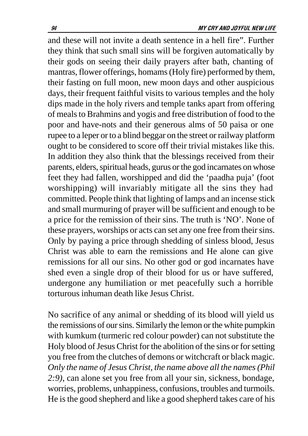and these will not invite a death sentence in a hell fire". Further they think that such small sins will be forgiven automatically by their gods on seeing their daily prayers after bath, chanting of mantras, flower offerings, homams (Holy fire) performed by them, their fasting on full moon, new moon days and other auspicious days, their frequent faithful visits to various temples and the holy dips made in the holy rivers and temple tanks apart from offering of meals to Brahmins and yogis and free distribution of food to the poor and have-nots and their generous alms of 50 paisa or one rupee to a leper or to a blind beggar on the street or railway platform ought to be considered to score off their trivial mistakes like this. In addition they also think that the blessings received from their parents, elders, spiritual heads, gurus or the god incarnates on whose feet they had fallen, worshipped and did the 'paadha puja' (foot worshipping) will invariably mitigate all the sins they had committed. People think that lighting of lamps and an incense stick and small murmuring of prayer will be sufficient and enough to be a price for the remission of their sins. The truth is 'NO'. None of these prayers, worships or acts can set any one free from their sins. Only by paying a price through shedding of sinless blood, Jesus Christ was able to earn the remissions and He alone can give remissions for all our sins. No other god or god incarnates have shed even a single drop of their blood for us or have suffered, undergone any humiliation or met peacefully such a horrible torturous inhuman death like Jesus Christ.

No sacrifice of any animal or shedding of its blood will yield us the remissions of our sins. Similarly the lemon or the white pumpkin with kumkum (turmeric red colour powder) can not substitute the Holy blood of Jesus Christ for the abolition of the sins or for setting you free from the clutches of demons or witchcraft or black magic*. Only the name of Jesus Christ, the name above all the names (Phil 2:9),* can alone set you free from all your sin, sickness, bondage, worries, problems, unhappiness, confusions, troubles and turmoils. He is the good shepherd and like a good shepherd takes care of his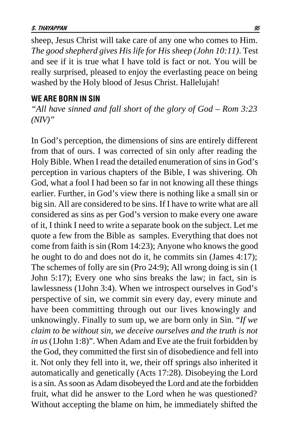sheep, Jesus Christ will take care of any one who comes to Him. *The good shepherd gives His life for His sheep (John 10:11)*. Test and see if it is true what I have told is fact or not. You will be really surprised, pleased to enjoy the everlasting peace on being washed by the Holy blood of Jesus Christ. Hallelujah!

#### WE ARE BORN IN SIN

*"All have sinned and fall short of the glory of God – Rom 3:23 (NIV)"*

In God's perception, the dimensions of sins are entirely different from that of ours. I was corrected of sin only after reading the Holy Bible. When I read the detailed enumeration of sins in God's perception in various chapters of the Bible, I was shivering. Oh God, what a fool I had been so far in not knowing all these things earlier. Further, in God's view there is nothing like a small sin or big sin. All are considered to be sins. If I have to write what are all considered as sins as per God's version to make every one aware of it, I think I need to write a separate book on the subject. Let me quote a few from the Bible as samples. Everything that does not come from faith is sin (Rom 14:23); Anyone who knows the good he ought to do and does not do it, he commits sin (James 4:17); The schemes of folly are sin (Pro 24:9); All wrong doing is sin (1 John 5:17); Every one who sins breaks the law; in fact, sin is lawlessness (1John 3:4). When we introspect ourselves in God's perspective of sin, we commit sin every day, every minute and have been committing through out our lives knowingly and unknowingly. Finally to sum up, we are born only in Sin. "*If we claim to be without sin, we deceive ourselves and the truth is not in us* (1John 1:8)". When Adam and Eve ate the fruit forbidden by the God, they committed the first sin of disobedience and fell into it. Not only they fell into it, we, their off springs also inherited it automatically and genetically (Acts 17:28). Disobeying the Lord is a sin. As soon as Adam disobeyed the Lord and ate the forbidden fruit, what did he answer to the Lord when he was questioned? Without accepting the blame on him, he immediately shifted the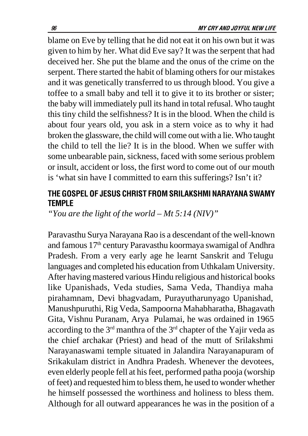blame on Eve by telling that he did not eat it on his own but it was given to him by her. What did Eve say? It was the serpent that had deceived her. She put the blame and the onus of the crime on the serpent. There started the habit of blaming others for our mistakes and it was genetically transferred to us through blood. You give a toffee to a small baby and tell it to give it to its brother or sister; the baby will immediately pull its hand in total refusal. Who taught this tiny child the selfishness? It is in the blood. When the child is about four years old, you ask in a stern voice as to why it had broken the glassware, the child will come out with a lie. Who taught the child to tell the lie? It is in the blood. When we suffer with some unbearable pain, sickness, faced with some serious problem or insult, accident or loss, the first word to come out of our mouth is 'what sin have I committed to earn this sufferings? Isn't it?

## THE GOSPEL OF JESUS CHRIST FROM SRILAKSHMI NARAYANA SWAMY **TEMPLE**

*"You are the light of the world – Mt 5:14 (NIV)"*

Paravasthu Surya Narayana Rao is a descendant of the well-known and famous 17th century Paravasthu koormaya swamigal of Andhra Pradesh. From a very early age he learnt Sanskrit and Telugu languages and completed his education from Uthkalam University. After having mastered various Hindu religious and historical books like Upanishads, Veda studies, Sama Veda, Thandiya maha pirahamnam, Devi bhagvadam, Purayutharunyago Upanishad, Manushpuruthi, Rig Veda, Sampoorna Mahabharatha, Bhagavath Gita, Vishnu Puranam, Arya Pulamai, he was ordained in 1965 according to the 3rd manthra of the 3rd chapter of the Yajir veda as the chief archakar (Priest) and head of the mutt of Srilakshmi Narayanaswami temple situated in Jalandira Narayanapuram of Srikakulam district in Andhra Pradesh. Whenever the devotees, even elderly people fell at his feet, performed patha pooja (worship of feet) and requested him to bless them, he used to wonder whether he himself possessed the worthiness and holiness to bless them. Although for all outward appearances he was in the position of a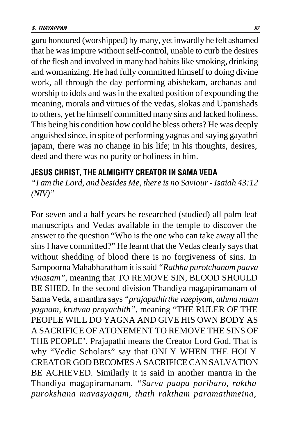guru honoured (worshipped) by many, yet inwardly he felt ashamed that he was impure without self-control, unable to curb the desires of the flesh and involved in many bad habits like smoking, drinking and womanizing. He had fully committed himself to doing divine work, all through the day performing abishekam, archanas and worship to idols and was in the exalted position of expounding the meaning, morals and virtues of the vedas, slokas and Upanishads to others, yet he himself committed many sins and lacked holiness. This being his condition how could he bless others? He was deeply anguished since, in spite of performing yagnas and saying gayathri japam, there was no change in his life; in his thoughts, desires, deed and there was no purity or holiness in him.

### JESUS CHRIST, THE ALMIGHTY CREATOR IN SAMA VEDA

*"I am the Lord, and besides Me, there is no Saviour - Isaiah 43:12 (NIV)"*

For seven and a half years he researched (studied) all palm leaf manuscripts and Vedas available in the temple to discover the answer to the question "Who is the one who can take away all the sins I have committed?" He learnt that the Vedas clearly says that without shedding of blood there is no forgiveness of sins. In Sampoorna Mahabharatham it is said *"Rathha purotchanam paava vinasam",* meaning that TO REMOVE SIN, BLOOD SHOULD BE SHED. In the second division Thandiya magapiramanam of Sama Veda, a manthra says *"prajapathirthe vaepiyam, athma naam yagnam, krutvaa prayachith",* meaning "THE RULER OF THE PEOPLE WILL DO YAGNA AND GIVE HIS OWN BODY AS A SACRIFICE OF ATONEMENT TO REMOVE THE SINS OF THE PEOPLE'. Prajapathi means the Creator Lord God. That is why "Vedic Scholars" say that ONLY WHEN THE HOLY CREATOR GOD BECOMES A SACRIFICE CAN SALVATION BE ACHIEVED. Similarly it is said in another mantra in the Thandiya magapiramanam, *"Sarva paapa pariharo, raktha purokshana mavasyagam, thath raktham paramathmeina,*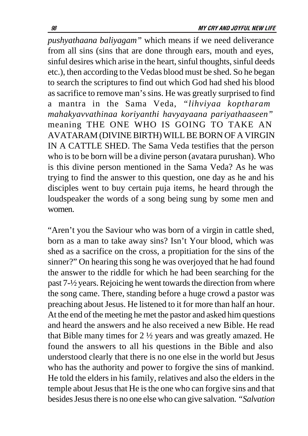*pushyathaana baliyagam"* which means if we need deliverance from all sins (sins that are done through ears, mouth and eyes, sinful desires which arise in the heart, sinful thoughts, sinful deeds etc.), then according to the Vedas blood must be shed. So he began to search the scriptures to find out which God had shed his blood as sacrifice to remove man's sins. He was greatly surprised to find a mantra in the Sama Veda, *"lihviyaa koptharam mahakyavvathinaa koriyanthi havyayaana pariyathaaseen"* meaning THE ONE WHO IS GOING TO TAKE AN AVATARAM (DIVINE BIRTH) WILL BE BORN OF A VIRGIN IN A CATTLE SHED. The Sama Veda testifies that the person who is to be born will be a divine person (avatara purushan). Who is this divine person mentioned in the Sama Veda? As he was trying to find the answer to this question, one day as he and his disciples went to buy certain puja items, he heard through the loudspeaker the words of a song being sung by some men and women.

"Aren't you the Saviour who was born of a virgin in cattle shed, born as a man to take away sins? Isn't Your blood, which was shed as a sacrifice on the cross, a propitiation for the sins of the sinner?" On hearing this song he was overjoyed that he had found the answer to the riddle for which he had been searching for the past 7-½ years. Rejoicing he went towards the direction from where the song came. There, standing before a huge crowd a pastor was preaching about Jesus. He listened to it for more than half an hour. At the end of the meeting he met the pastor and asked him questions and heard the answers and he also received a new Bible. He read that Bible many times for 2 ½ years and was greatly amazed. He found the answers to all his questions in the Bible and also understood clearly that there is no one else in the world but Jesus who has the authority and power to forgive the sins of mankind. He told the elders in his family, relatives and also the elders in the temple about Jesus that He is the one who can forgive sins and that besides Jesus there is no one else who can give salvation. *"Salvation*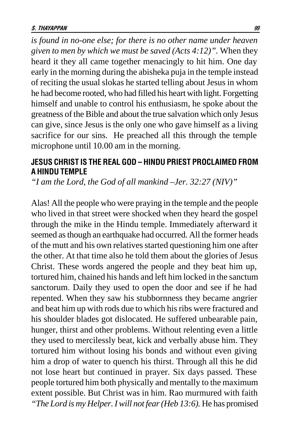*is found in no-one else; for there is no other name under heaven given to men by which we must be saved (Acts 4:12)".* When they heard it they all came together menacingly to hit him. One day early in the morning during the abisheka puja in the temple instead of reciting the usual slokas he started telling about Jesus in whom he had become rooted, who had filled his heart with light. Forgetting himself and unable to control his enthusiasm, he spoke about the greatness of the Bible and about the true salvation which only Jesus can give, since Jesus is the only one who gave himself as a living sacrifice for our sins. He preached all this through the temple microphone until 10.00 am in the morning.

### JESUS CHRIST IS THE REAL GOD – HINDU PRIEST PROCLAIMED FROM A HINDU TEMPLE

*"I am the Lord, the God of all mankind –Jer. 32:27 (NIV)"*

Alas! All the people who were praying in the temple and the people who lived in that street were shocked when they heard the gospel through the mike in the Hindu temple. Immediately afterward it seemed as though an earthquake had occurred. All the former heads of the mutt and his own relatives started questioning him one after the other. At that time also he told them about the glories of Jesus Christ. These words angered the people and they beat him up, tortured him, chained his hands and left him locked in the sanctum sanctorum. Daily they used to open the door and see if he had repented. When they saw his stubbornness they became angrier and beat him up with rods due to which his ribs were fractured and his shoulder blades got dislocated. He suffered unbearable pain, hunger, thirst and other problems. Without relenting even a little they used to mercilessly beat, kick and verbally abuse him. They tortured him without losing his bonds and without even giving him a drop of water to quench his thirst. Through all this he did not lose heart but continued in prayer. Six days passed. These people tortured him both physically and mentally to the maximum extent possible. But Christ was in him. Rao murmured with faith *"The Lord is my Helper. I will not fear (Heb 13:6).* He has promised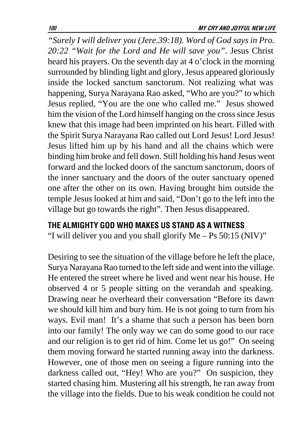*"Surely I will deliver you (Jere.39:18). Word of God says in Pro. 20:22 "Wait for the Lord and He will save you"*. Jesus Christ heard his prayers. On the seventh day at 4 o'clock in the morning surrounded by blinding light and glory, Jesus appeared gloriously inside the locked sanctum sanctorum. Not realizing what was happening, Surya Narayana Rao asked, "Who are you?" to which Jesus replied, "You are the one who called me." Jesus showed him the vision of the Lord himself hanging on the cross since Jesus knew that this image had been imprinted on his heart. Filled with the Spirit Surya Narayana Rao called out Lord Jesus! Lord Jesus! Jesus lifted him up by his hand and all the chains which were binding him broke and fell down. Still holding his hand Jesus went forward and the locked doors of the sanctum sanctorum, doors of the inner sanctuary and the doors of the outer sanctuary opened one after the other on its own. Having brought him outside the temple Jesus looked at him and said, "Don't go to the left into the village but go towards the right". Then Jesus disappeared.

#### THE ALMIGHTY GOD WHO MAKES US STAND AS A WITNESS

"I will deliver you and you shall glorify Me – Ps 50:15 (NIV)"

Desiring to see the situation of the village before he left the place, Surya Narayana Rao turned to the left side and went into the village. He entered the street where he lived and went near his house. He observed 4 or 5 people sitting on the verandah and speaking. Drawing near he overheard their conversation "Before its dawn we should kill him and bury him. He is not going to turn from his ways. Evil man! It's a shame that such a person has been born into our family! The only way we can do some good to our race and our religion is to get rid of him. Come let us go!" On seeing them moving forward he started running away into the darkness. However, one of those men on seeing a figure running into the darkness called out, "Hey! Who are you?" On suspicion, they started chasing him. Mustering all his strength, he ran away from the village into the fields. Due to his weak condition he could not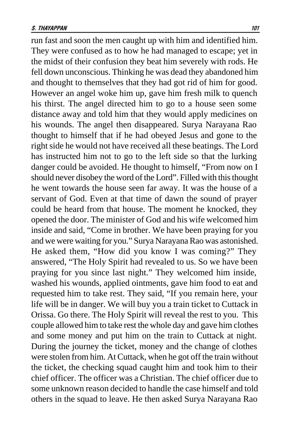run fast and soon the men caught up with him and identified him. They were confused as to how he had managed to escape; yet in the midst of their confusion they beat him severely with rods. He fell down unconscious. Thinking he was dead they abandoned him and thought to themselves that they had got rid of him for good. However an angel woke him up, gave him fresh milk to quench his thirst. The angel directed him to go to a house seen some distance away and told him that they would apply medicines on his wounds. The angel then disappeared. Surya Narayana Rao thought to himself that if he had obeyed Jesus and gone to the right side he would not have received all these beatings. The Lord has instructed him not to go to the left side so that the lurking danger could be avoided. He thought to himself, "From now on I should never disobey the word of the Lord". Filled with this thought he went towards the house seen far away. It was the house of a servant of God. Even at that time of dawn the sound of prayer could be heard from that house. The moment he knocked, they opened the door. The minister of God and his wife welcomed him inside and said, "Come in brother. We have been praying for you and we were waiting for you." Surya Narayana Rao was astonished. He asked them, "How did you know I was coming?" They answered, "The Holy Spirit had revealed to us. So we have been praying for you since last night." They welcomed him inside, washed his wounds, applied ointments, gave him food to eat and requested him to take rest. They said, "If you remain here, your life will be in danger. We will buy you a train ticket to Cuttack in Orissa. Go there. The Holy Spirit will reveal the rest to you. This couple allowed him to take rest the whole day and gave him clothes and some money and put him on the train to Cuttack at night. During the journey the ticket, money and the change of clothes were stolen from him. At Cuttack, when he got off the train without the ticket, the checking squad caught him and took him to their chief officer. The officer was a Christian. The chief officer due to some unknown reason decided to handle the case himself and told others in the squad to leave. He then asked Surya Narayana Rao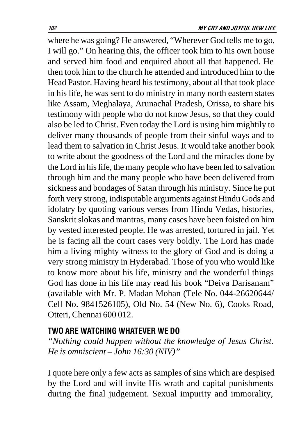where he was going? He answered, "Wherever God tells me to go, I will go." On hearing this, the officer took him to his own house and served him food and enquired about all that happened. He then took him to the church he attended and introduced him to the Head Pastor. Having heard his testimony, about all that took place in his life, he was sent to do ministry in many north eastern states like Assam, Meghalaya, Arunachal Pradesh, Orissa, to share his testimony with people who do not know Jesus, so that they could also be led to Christ. Even today the Lord is using him mightily to deliver many thousands of people from their sinful ways and to lead them to salvation in Christ Jesus. It would take another book to write about the goodness of the Lord and the miracles done by the Lord in his life, the many people who have been led to salvation through him and the many people who have been delivered from sickness and bondages of Satan through his ministry. Since he put forth very strong, indisputable arguments against Hindu Gods and idolatry by quoting various verses from Hindu Vedas, histories, Sanskrit slokas and mantras, many cases have been foisted on him by vested interested people. He was arrested, tortured in jail. Yet he is facing all the court cases very boldly. The Lord has made him a living mighty witness to the glory of God and is doing a very strong ministry in Hyderabad. Those of you who would like to know more about his life, ministry and the wonderful things God has done in his life may read his book "Deiva Darisanam" (available with Mr. P. Madan Mohan (Tele No. 044-26620644/ Cell No. 9841526105), Old No. 54 (New No. 6), Cooks Road, Otteri, Chennai 600 012.

#### TWO ARE WATCHING WHATEVER WE DO

*"Nothing could happen without the knowledge of Jesus Christ. He is omniscient – John 16:30 (NIV)"*

I quote here only a few acts as samples of sins which are despised by the Lord and will invite His wrath and capital punishments during the final judgement. Sexual impurity and immorality,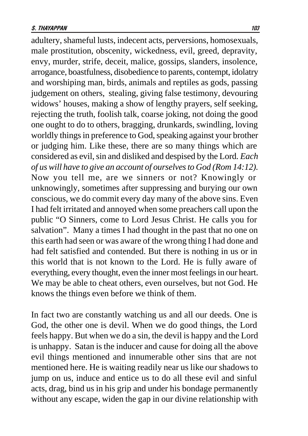adultery, shameful lusts, indecent acts, perversions, homosexuals, male prostitution, obscenity, wickedness, evil, greed, depravity, envy, murder, strife, deceit, malice, gossips, slanders, insolence, arrogance, boastfulness, disobedience to parents, contempt, idolatry and worshiping man, birds, animals and reptiles as gods, passing judgement on others, stealing, giving false testimony, devouring widows' houses, making a show of lengthy prayers, self seeking, rejecting the truth, foolish talk, coarse joking, not doing the good one ought to do to others, bragging, drunkards, swindling, loving worldly things in preference to God, speaking against your brother or judging him. Like these, there are so many things which are considered as evil, sin and disliked and despised by the Lord*. Each of us will have to give an account of ourselves to God (Rom 14:12).* Now you tell me, are we sinners or not? Knowingly or unknowingly, sometimes after suppressing and burying our own conscious, we do commit every day many of the above sins. Even I had felt irritated and annoyed when some preachers call upon the public "O Sinners, come to Lord Jesus Christ. He calls you for salvation". Many a times I had thought in the past that no one on this earth had seen or was aware of the wrong thing I had done and had felt satisfied and contended. But there is nothing in us or in this world that is not known to the Lord. He is fully aware of everything, every thought, even the inner most feelings in our heart. We may be able to cheat others, even ourselves, but not God. He knows the things even before we think of them.

In fact two are constantly watching us and all our deeds. One is God, the other one is devil. When we do good things, the Lord feels happy. But when we do a sin, the devil is happy and the Lord is unhappy. Satan is the inducer and cause for doing all the above evil things mentioned and innumerable other sins that are not mentioned here. He is waiting readily near us like our shadows to jump on us, induce and entice us to do all these evil and sinful acts, drag, bind us in his grip and under his bondage permanently without any escape, widen the gap in our divine relationship with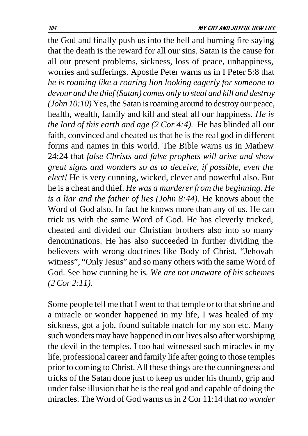the God and finally push us into the hell and burning fire saying that the death is the reward for all our sins. Satan is the cause for all our present problems, sickness, loss of peace, unhappiness, worries and sufferings. Apostle Peter warns us in I Peter 5:8 that *he is roaming like a roaring lion looking eagerly for someone to devour and the thief (Satan) comes only to steal and kill and destroy (John 10:10)* Yes, the Satan is roaming around to destroy our peace, health, wealth, family and kill and steal all our happiness*. He is the lord of this earth and age (2 Cor 4:4).* He has blinded all our faith, convinced and cheated us that he is the real god in different forms and names in this world. The Bible warns us in Mathew 24:24 that *false Christs and false prophets will arise and show great signs and wonders so as to deceive, if possible, even the elect!* He is very cunning, wicked, clever and powerful also. But he is a cheat and thief. *He was a murderer from the beginning. He is a liar and the father of lies (John 8:44).* He knows about the Word of God also. In fact he knows more than any of us. He can trick us with the same Word of God. He has cleverly tricked, cheated and divided our Christian brothers also into so many denominations. He has also succeeded in further dividing the believers with wrong doctrines like Body of Christ, "Jehovah witness", "Only Jesus" and so many others with the same Word of God. See how cunning he is*. We are not unaware of his schemes (2 Cor 2:11).*

Some people tell me that I went to that temple or to that shrine and a miracle or wonder happened in my life, I was healed of my sickness, got a job, found suitable match for my son etc. Many such wonders may have happened in our lives also after worshiping the devil in the temples. I too had witnessed such miracles in my life, professional career and family life after going to those temples prior to coming to Christ. All these things are the cunningness and tricks of the Satan done just to keep us under his thumb, grip and under false illusion that he is the real god and capable of doing the miracles. The Word of God warns us in 2 Cor 11:14 that *no wonder*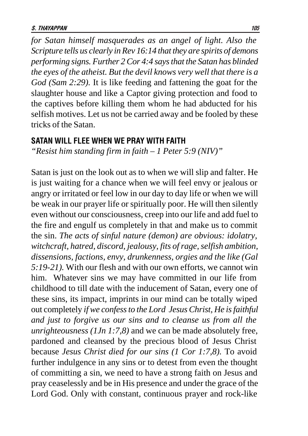*for Satan himself masquerades as an angel of light. Also the Scripture tells us clearly in Rev 16:14 that they are spirits of demons performing signs. Further 2 Cor 4:4 says that the Satan has blinded the eyes of the atheist. But the devil knows very well that there is a God (Sam 2:29).* It is like feeding and fattening the goat for the slaughter house and like a Captor giving protection and food to the captives before killing them whom he had abducted for his selfish motives. Let us not be carried away and be fooled by these tricks of the Satan.

#### SATAN WILL FLEE WHEN WE PRAY WITH FAITH

*"Resist him standing firm in faith – 1 Peter 5:9 (NIV)"*

Satan is just on the look out as to when we will slip and falter. He is just waiting for a chance when we will feel envy or jealous or angry or irritated or feel low in our day to day life or when we will be weak in our prayer life or spiritually poor. He will then silently even without our consciousness, creep into our life and add fuel to the fire and engulf us completely in that and make us to commit the sin. *The acts of sinful nature (demon) are obvious: idolatry, witchcraft, hatred, discord, jealousy, fits of rage, selfish ambition, dissensions, factions, envy, drunkenness, orgies and the like (Gal 5:19-21).* With our flesh and with our own efforts, we cannot win him. Whatever sins we may have committed in our life from childhood to till date with the inducement of Satan, every one of these sins, its impact, imprints in our mind can be totally wiped out completely *if we confess to the Lord Jesus Christ, He is faithful and just to forgive us our sins and to cleanse us from all the unrighteousness (1Jn 1:7,8)* and we can be made absolutely free, pardoned and cleansed by the precious blood of Jesus Christ because *Jesus Christ died for our sins (1 Cor 1:7,8).* To avoid further indulgence in any sins or to detest from even the thought of committing a sin, we need to have a strong faith on Jesus and pray ceaselessly and be in His presence and under the grace of the Lord God. Only with constant, continuous prayer and rock-like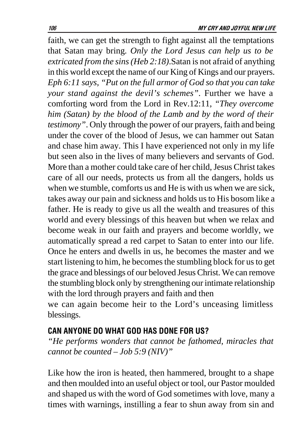faith, we can get the strength to fight against all the temptations that Satan may bring*. Only the Lord Jesus can help us to be extricated from the sins (Heb 2:18)*.Satan is not afraid of anything in this world except the name of our King of Kings and our prayers. *Eph 6:11 says, "Put on the full armor of God so that you can take your stand against the devil's schemes".* Further we have a comforting word from the Lord in Rev.12:11, *"They overcome him (Satan) by the blood of the Lamb and by the word of their testimony"*. Only through the power of our prayers, faith and being under the cover of the blood of Jesus, we can hammer out Satan and chase him away. This I have experienced not only in my life but seen also in the lives of many believers and servants of God. More than a mother could take care of her child, Jesus Christ takes care of all our needs, protects us from all the dangers, holds us when we stumble, comforts us and He is with us when we are sick, takes away our pain and sickness and holds us to His bosom like a father. He is ready to give us all the wealth and treasures of this world and every blessings of this heaven but when we relax and become weak in our faith and prayers and become worldly, we automatically spread a red carpet to Satan to enter into our life. Once he enters and dwells in us, he becomes the master and we start listening to him, he becomes the stumbling block for us to get the grace and blessings of our beloved Jesus Christ. We can remove the stumbling block only by strengthening our intimate relationship with the lord through prayers and faith and then

we can again become heir to the Lord's unceasing limitless blessings.

## CAN ANYONE DO WHAT GOD HAS DONE FOR US?

*"He performs wonders that cannot be fathomed, miracles that cannot be counted – Job 5:9 (NIV)"*

Like how the iron is heated, then hammered, brought to a shape and then moulded into an useful object or tool, our Pastor moulded and shaped us with the word of God sometimes with love, many a times with warnings, instilling a fear to shun away from sin and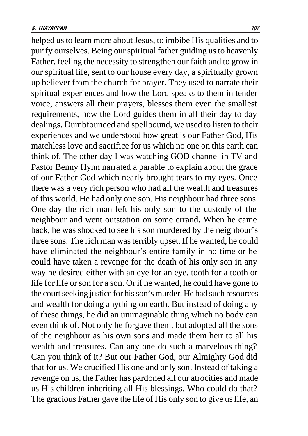helped us to learn more about Jesus, to imbibe His qualities and to purify ourselves. Being our spiritual father guiding us to heavenly Father, feeling the necessity to strengthen our faith and to grow in our spiritual life, sent to our house every day, a spiritually grown up believer from the church for prayer. They used to narrate their spiritual experiences and how the Lord speaks to them in tender voice, answers all their prayers, blesses them even the smallest requirements, how the Lord guides them in all their day to day dealings. Dumbfounded and spellbound, we used to listen to their experiences and we understood how great is our Father God, His matchless love and sacrifice for us which no one on this earth can think of. The other day I was watching GOD channel in TV and Pastor Benny Hynn narrated a parable to explain about the grace of our Father God which nearly brought tears to my eyes. Once there was a very rich person who had all the wealth and treasures of this world. He had only one son. His neighbour had three sons. One day the rich man left his only son to the custody of the neighbour and went outstation on some errand. When he came back, he was shocked to see his son murdered by the neighbour's three sons. The rich man was terribly upset. If he wanted, he could have eliminated the neighbour's entire family in no time or he could have taken a revenge for the death of his only son in any way he desired either with an eye for an eye, tooth for a tooth or life for life or son for a son. Or if he wanted, he could have gone to the court seeking justice for his son's murder. He had such resources and wealth for doing anything on earth. But instead of doing any of these things, he did an unimaginable thing which no body can even think of. Not only he forgave them, but adopted all the sons of the neighbour as his own sons and made them heir to all his wealth and treasures. Can any one do such a marvelous thing? Can you think of it? But our Father God, our Almighty God did that for us. We crucified His one and only son. Instead of taking a revenge on us, the Father has pardoned all our atrocities and made us His children inheriting all His blessings. Who could do that? The gracious Father gave the life of His only son to give us life, an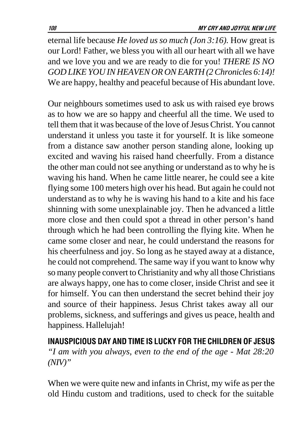eternal life because *He loved us so much (Jon 3:16).* How great is our Lord! Father, we bless you with all our heart with all we have and we love you and we are ready to die for you! *THERE IS NO GOD LIKE YOU IN HEAVEN OR ON EARTH (2 Chronicles 6:14)!* We are happy, healthy and peaceful because of His abundant love.

Our neighbours sometimes used to ask us with raised eye brows as to how we are so happy and cheerful all the time. We used to tell them that it was because of the love of Jesus Christ. You cannot understand it unless you taste it for yourself. It is like someone from a distance saw another person standing alone, looking up excited and waving his raised hand cheerfully. From a distance the other man could not see anything or understand as to why he is waving his hand. When he came little nearer, he could see a kite flying some 100 meters high over his head. But again he could not understand as to why he is waving his hand to a kite and his face shinning with some unexplainable joy. Then he advanced a little more close and then could spot a thread in other person's hand through which he had been controlling the flying kite. When he came some closer and near, he could understand the reasons for his cheerfulness and joy. So long as he stayed away at a distance, he could not comprehend. The same way if you want to know why so many people convert to Christianity and why all those Christians are always happy, one has to come closer, inside Christ and see it for himself. You can then understand the secret behind their joy and source of their happiness. Jesus Christ takes away all our problems, sickness, and sufferings and gives us peace, health and happiness. Hallelujah!

INAUSPICIOUS DAY AND TIME IS LUCKY FOR THE CHILDREN OF JESUS *"I am with you always, even to the end of the age - Mat 28:20 (NIV)"*

When we were quite new and infants in Christ, my wife as per the old Hindu custom and traditions, used to check for the suitable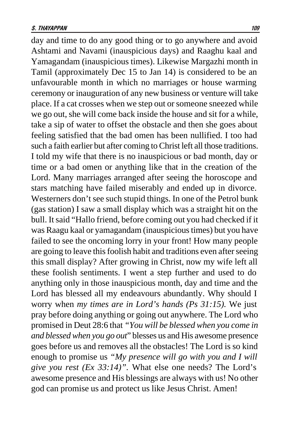day and time to do any good thing or to go anywhere and avoid Ashtami and Navami (inauspicious days) and Raaghu kaal and Yamagandam (inauspicious times). Likewise Margazhi month in Tamil (approximately Dec 15 to Jan 14) is considered to be an unfavourable month in which no marriages or house warming ceremony or inauguration of any new business or venture will take place. If a cat crosses when we step out or someone sneezed while we go out, she will come back inside the house and sit for a while, take a sip of water to offset the obstacle and then she goes about feeling satisfied that the bad omen has been nullified. I too had such a faith earlier but after coming to Christ left all those traditions. I told my wife that there is no inauspicious or bad month, day or time or a bad omen or anything like that in the creation of the Lord. Many marriages arranged after seeing the horoscope and stars matching have failed miserably and ended up in divorce. Westerners don't see such stupid things. In one of the Petrol bunk (gas station) I saw a small display which was a straight hit on the bull. It said "Hallo friend, before coming out you had checked if it was Raagu kaal or yamagandam (inauspicious times) but you have failed to see the oncoming lorry in your front! How many people are going to leave this foolish habit and traditions even after seeing this small display? After growing in Christ, now my wife left all these foolish sentiments. I went a step further and used to do anything only in those inauspicious month, day and time and the Lord has blessed all my endeavours abundantly. Why should I worry when *my times are in Lord's hands (Ps 31:15).* We just pray before doing anything or going out anywhere. The Lord who promised in Deut 28:6 that *"You will be blessed when you come in and blessed when you go out*" blesses us and His awesome presence goes before us and removes all the obstacles! The Lord is so kind enough to promise us *"My presence will go with you and I will give you rest (Ex 33:14)".* What else one needs? The Lord's awesome presence and His blessings are always with us! No other god can promise us and protect us like Jesus Christ. Amen!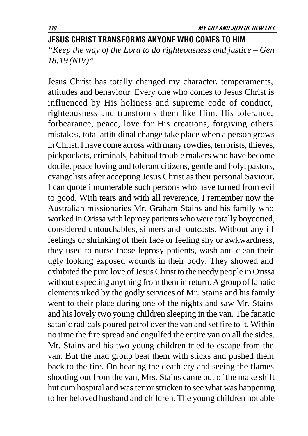### JESUS CHRIST TRANSFORMS ANYONE WHO COMES TO HIM

*"Keep the way of the Lord to do righteousness and justice – Gen 18:19 (NIV)"*

Jesus Christ has totally changed my character, temperaments, attitudes and behaviour. Every one who comes to Jesus Christ is influenced by His holiness and supreme code of conduct, righteousness and transforms them like Him. His tolerance, forbearance, peace, love for His creations, forgiving others mistakes, total attitudinal change take place when a person grows in Christ. I have come across with many rowdies, terrorists, thieves, pickpockets, criminals, habitual trouble makers who have become docile, peace loving and tolerant citizens, gentle and holy, pastors, evangelists after accepting Jesus Christ as their personal Saviour. I can quote innumerable such persons who have turned from evil to good. With tears and with all reverence, I remember now the Australian missionaries Mr. Graham Stains and his family who worked in Orissa with leprosy patients who were totally boycotted, considered untouchables, sinners and outcasts. Without any ill feelings or shrinking of their face or feeling shy or awkwardness, they used to nurse those leprosy patients, wash and clean their ugly looking exposed wounds in their body. They showed and exhibited the pure love of Jesus Christ to the needy people in Orissa without expecting anything from them in return. A group of fanatic elements irked by the godly services of Mr. Stains and his family went to their place during one of the nights and saw Mr. Stains and his lovely two young children sleeping in the van. The fanatic satanic radicals poured petrol over the van and set fire to it. Within no time the fire spread and engulfed the entire van on all the sides. Mr. Stains and his two young children tried to escape from the van. But the mad group beat them with sticks and pushed them back to the fire. On hearing the death cry and seeing the flames shooting out from the van, Mrs. Stains came out of the make shift hut cum hospital and was terror stricken to see what was happening to her beloved husband and children. The young children not able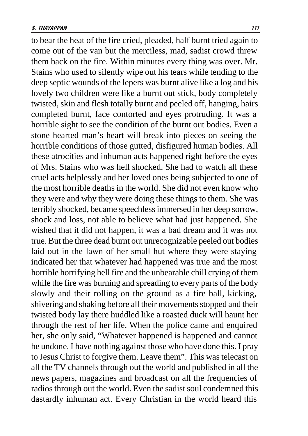to bear the heat of the fire cried, pleaded, half burnt tried again to come out of the van but the merciless, mad, sadist crowd threw them back on the fire. Within minutes every thing was over. Mr. Stains who used to silently wipe out his tears while tending to the deep septic wounds of the lepers was burnt alive like a log and his lovely two children were like a burnt out stick, body completely twisted, skin and flesh totally burnt and peeled off, hanging, hairs completed burnt, face contorted and eyes protruding. It was a horrible sight to see the condition of the burnt out bodies. Even a stone hearted man's heart will break into pieces on seeing the horrible conditions of those gutted, disfigured human bodies. All these atrocities and inhuman acts happened right before the eyes of Mrs. Stains who was hell shocked. She had to watch all these cruel acts helplessly and her loved ones being subjected to one of the most horrible deaths in the world. She did not even know who they were and why they were doing these things to them. She was terribly shocked, became speechless immersed in her deep sorrow, shock and loss, not able to believe what had just happened. She wished that it did not happen, it was a bad dream and it was not true. But the three dead burnt out unrecognizable peeled out bodies laid out in the lawn of her small hut where they were staying indicated her that whatever had happened was true and the most horrible horrifying hell fire and the unbearable chill crying of them while the fire was burning and spreading to every parts of the body slowly and their rolling on the ground as a fire ball, kicking, shivering and shaking before all their movements stopped and their twisted body lay there huddled like a roasted duck will haunt her through the rest of her life. When the police came and enquired her, she only said, "Whatever happened is happened and cannot be undone. I have nothing against those who have done this. I pray to Jesus Christ to forgive them. Leave them". This was telecast on all the TV channels through out the world and published in all the news papers, magazines and broadcast on all the frequencies of radios through out the world. Even the sadist soul condemned this dastardly inhuman act. Every Christian in the world heard this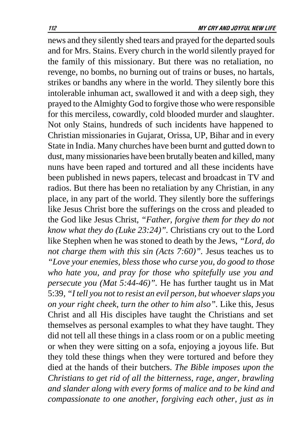news and they silently shed tears and prayed for the departed souls and for Mrs. Stains. Every church in the world silently prayed for the family of this missionary. But there was no retaliation, no revenge, no bombs, no burning out of trains or buses, no hartals, strikes or bandhs any where in the world. They silently bore this intolerable inhuman act, swallowed it and with a deep sigh, they prayed to the Almighty God to forgive those who were responsible for this merciless, cowardly, cold blooded murder and slaughter. Not only Stains, hundreds of such incidents have happened to Christian missionaries in Gujarat, Orissa, UP, Bihar and in every State in India. Many churches have been burnt and gutted down to dust, many missionaries have been brutally beaten and killed, many nuns have been raped and tortured and all these incidents have been published in news papers, telecast and broadcast in TV and radios. But there has been no retaliation by any Christian, in any place, in any part of the world. They silently bore the sufferings like Jesus Christ bore the sufferings on the cross and pleaded to the God like Jesus Christ, *"Father, forgive them for they do not know what they do (Luke 23:24)".* Christians cry out to the Lord like Stephen when he was stoned to death by the Jews, *"Lord, do not charge them with this sin (Acts 7:60)".* Jesus teaches us to *"Love your enemies, bless those who curse you, do good to those who hate you, and pray for those who spitefully use you and persecute you (Mat 5:44-46)".* He has further taught us in Mat 5:39*, "I tell you not to resist an evil person, but whoever slaps you on your right cheek, turn the other to him also".* Like this, Jesus Christ and all His disciples have taught the Christians and set themselves as personal examples to what they have taught. They did not tell all these things in a class room or on a public meeting or when they were sitting on a sofa, enjoying a joyous life. But they told these things when they were tortured and before they died at the hands of their butchers. *The Bible imposes upon the Christians to get rid of all the bitterness, rage, anger, brawling and slander along with every forms of malice and to be kind and compassionate to one another, forgiving each other, just as in*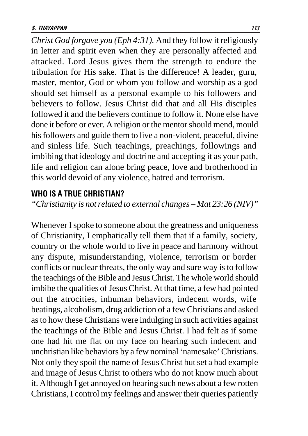*Christ God forgave you (Eph 4:31).* And they follow it religiously in letter and spirit even when they are personally affected and attacked. Lord Jesus gives them the strength to endure the tribulation for His sake. That is the difference! A leader, guru, master, mentor, God or whom you follow and worship as a god should set himself as a personal example to his followers and believers to follow. Jesus Christ did that and all His disciples followed it and the believers continue to follow it. None else have done it before or ever. A religion or the mentor should mend, mould his followers and guide them to live a non-violent, peaceful, divine and sinless life. Such teachings, preachings, followings and imbibing that ideology and doctrine and accepting it as your path, life and religion can alone bring peace, love and brotherhood in this world devoid of any violence, hatred and terrorism.

#### **WHO IS A TRUE CHRISTIAN?**

*"Christianity is not related to external changes – Mat 23:26 (NIV)"*

Whenever I spoke to someone about the greatness and uniqueness of Christianity, I emphatically tell them that if a family, society, country or the whole world to live in peace and harmony without any dispute, misunderstanding, violence, terrorism or border conflicts or nuclear threats, the only way and sure way is to follow the teachings of the Bible and Jesus Christ. The whole world should imbibe the qualities of Jesus Christ. At that time, a few had pointed out the atrocities, inhuman behaviors, indecent words, wife beatings, alcoholism, drug addiction of a few Christians and asked as to how these Christians were indulging in such activities against the teachings of the Bible and Jesus Christ. I had felt as if some one had hit me flat on my face on hearing such indecent and unchristian like behaviors by a few nominal 'namesake' Christians. Not only they spoil the name of Jesus Christ but set a bad example and image of Jesus Christ to others who do not know much about it. Although I get annoyed on hearing such news about a few rotten Christians, I control my feelings and answer their queries patiently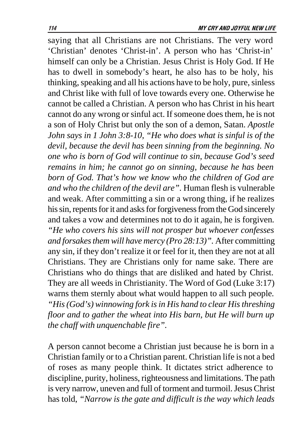saying that all Christians are not Christians. The very word 'Christian' denotes 'Christ-in'. A person who has 'Christ-in' himself can only be a Christian. Jesus Christ is Holy God. If He has to dwell in somebody's heart, he also has to be holy, his thinking, speaking and all his actions have to be holy, pure, sinless and Christ like with full of love towards every one. Otherwise he cannot be called a Christian. A person who has Christ in his heart cannot do any wrong or sinful act. If someone does them, he is not a son of Holy Christ but only the son of a demon, Satan. *Apostle John says in 1 John 3:8-10, "He who does what is sinful is of the devil, because the devil has been sinning from the beginning. No one who is born of God will continue to sin, because God's seed remains in him; he cannot go on sinning, because he has been born of God. That's how we know who the children of God are and who the children of the devil are".* Human flesh is vulnerable and weak. After committing a sin or a wrong thing, if he realizes his sin, repents for it and asks for forgiveness from the God sincerely and takes a vow and determines not to do it again, he is forgiven*. "He who covers his sins will not prosper but whoever confesses and forsakes them will have mercy (Pro 28:13)".* After committing any sin, if they don't realize it or feel for it, then they are not at all Christians. They are Christians only for name sake. There are Christians who do things that are disliked and hated by Christ. They are all weeds in Christianity. The Word of God (Luke 3:17) warns them sternly about what would happen to all such people*. "His (God's) winnowing fork is in His hand to clear His threshing floor and to gather the wheat into His barn, but He will burn up the chaff with unquenchable fire".*

A person cannot become a Christian just because he is born in a Christian family or to a Christian parent. Christian life is not a bed of roses as many people think. It dictates strict adherence to discipline, purity, holiness, righteousness and limitations. The path is very narrow, uneven and full of torment and turmoil. Jesus Christ has told, *"Narrow is the gate and difficult is the way which leads*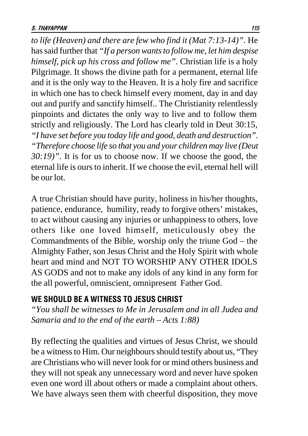*to life (Heaven) and there are few who find it (Mat 7:13-14)".* He has said further that *"If a person wants to follow me, let him despise himself, pick up his cross and follow me".* Christian life is a holy Pilgrimage. It shows the divine path for a permanent, eternal life and it is the only way to the Heaven. It is a holy fire and sacrifice in which one has to check himself every moment, day in and day out and purify and sanctify himself.. The Christianity relentlessly pinpoints and dictates the only way to live and to follow them strictly and religiously. The Lord has clearly told in Deut 30:15*, "I have set before you today life and good, death and destruction". "Therefore choose life so that you and your children may live (Deut 30:19)".* It is for us to choose now. If we choose the good, the eternal life is ours to inherit. If we choose the evil, eternal hell will be our lot.

A true Christian should have purity, holiness in his/her thoughts, patience, endurance, humility, ready to forgive others' mistakes, to act without causing any injuries or unhappiness to others, love others like one loved himself, meticulously obey the Commandments of the Bible, worship only the triune God – the Almighty Father, son Jesus Christ and the Holy Spirit with whole heart and mind and NOT TO WORSHIP ANY OTHER IDOLS AS GODS and not to make any idols of any kind in any form for the all powerful, omniscient, omnipresent Father God.

# WE SHOULD BE A WITNESS TO JESUS CHRIST

*"You shall be witnesses to Me in Jerusalem and in all Judea and Samaria and to the end of the earth – Acts 1:88)*

By reflecting the qualities and virtues of Jesus Christ, we should be a witness to Him. Our neighbours should testify about us, "They are Christians who will never look for or mind others business and they will not speak any unnecessary word and never have spoken even one word ill about others or made a complaint about others. We have always seen them with cheerful disposition, they move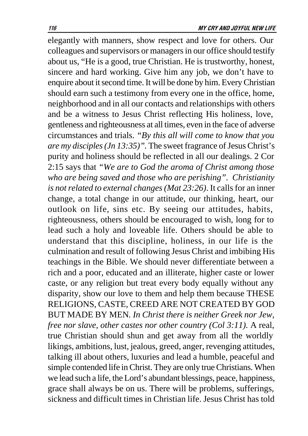elegantly with manners, show respect and love for others. Our colleagues and supervisors or managers in our office should testify about us, "He is a good, true Christian. He is trustworthy, honest, sincere and hard working. Give him any job, we don't have to enquire about it second time. It will be done by him. Every Christian should earn such a testimony from every one in the office, home, neighborhood and in all our contacts and relationships with others and be a witness to Jesus Christ reflecting His holiness, love, gentleness and righteousness at all times, even in the face of adverse circumstances and trials. *"By this all will come to know that you are my disciples (Jn 13:35)".* The sweet fragrance of Jesus Christ's purity and holiness should be reflected in all our dealings. 2 Cor 2:15 says that *"We are to God the aroma of Christ among those who are being saved and those who are perishing". Christianity is not related to external changes (Mat 23:26)*. It calls for an inner change, a total change in our attitude, our thinking, heart, our outlook on life, sins etc. By seeing our attitudes, habits, righteousness, others should be encouraged to wish, long for to lead such a holy and loveable life. Others should be able to understand that this discipline, holiness, in our life is the culmination and result of following Jesus Christ and imbibing His teachings in the Bible. We should never differentiate between a rich and a poor, educated and an illiterate, higher caste or lower caste, or any religion but treat every body equally without any disparity, show our love to them and help them because THESE RELIGIONS, CASTE, CREED ARE NOT CREATED BY GOD BUT MADE BY MEN*. In Christ there is neither Greek nor Jew, free nor slave, other castes nor other country (Col 3:11).* A real, true Christian should shun and get away from all the worldly likings, ambitions, lust, jealous, greed, anger, revenging attitudes, talking ill about others, luxuries and lead a humble, peaceful and simple contended life in Christ. They are only true Christians. When we lead such a life, the Lord's abundant blessings, peace, happiness, grace shall always be on us. There will be problems, sufferings, sickness and difficult times in Christian life. Jesus Christ has told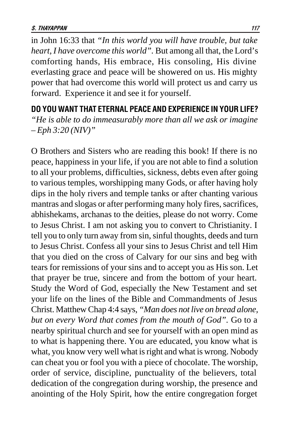in John 16:33 that *"In this world you will have trouble, but take heart, I have overcome this world".* But among all that, the Lord's comforting hands, His embrace, His consoling, His divine everlasting grace and peace will be showered on us. His mighty power that had overcome this world will protect us and carry us forward. Experience it and see it for yourself.

DO YOU WANT THAT ETERNAL PEACE AND EXPERIENCE IN YOUR LIFE? *"He is able to do immeasurably more than all we ask or imagine – Eph 3:20 (NIV)"*

O Brothers and Sisters who are reading this book! If there is no peace, happiness in your life, if you are not able to find a solution to all your problems, difficulties, sickness, debts even after going to various temples, worshipping many Gods, or after having holy dips in the holy rivers and temple tanks or after chanting various mantras and slogas or after performing many holy fires, sacrifices, abhishekams, archanas to the deities, please do not worry. Come to Jesus Christ. I am not asking you to convert to Christianity. I tell you to only turn away from sin, sinful thoughts, deeds and turn to Jesus Christ. Confess all your sins to Jesus Christ and tell Him that you died on the cross of Calvary for our sins and beg with tears for remissions of your sins and to accept you as His son. Let that prayer be true, sincere and from the bottom of your heart. Study the Word of God, especially the New Testament and set your life on the lines of the Bible and Commandments of Jesus Christ. Matthew Chap 4:4 says, *"Man does not live on bread alone, but on every Word that comes from the mouth of God".* Go to a nearby spiritual church and see for yourself with an open mind as to what is happening there. You are educated, you know what is what, you know very well what is right and what is wrong. Nobody can cheat you or fool you with a piece of chocolate. The worship, order of service, discipline, punctuality of the believers, total dedication of the congregation during worship, the presence and anointing of the Holy Spirit, how the entire congregation forget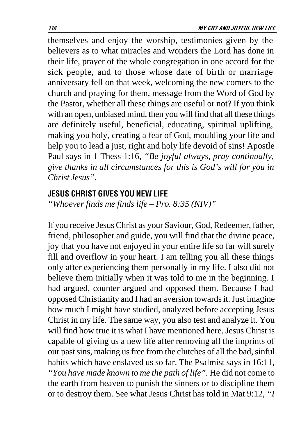themselves and enjoy the worship, testimonies given by the believers as to what miracles and wonders the Lord has done in their life, prayer of the whole congregation in one accord for the sick people, and to those whose date of birth or marriage anniversary fell on that week, welcoming the new comers to the church and praying for them, message from the Word of God by the Pastor, whether all these things are useful or not? If you think with an open, unbiased mind, then you will find that all these things are definitely useful, beneficial, educating, spiritual uplifting, making you holy, creating a fear of God, moulding your life and help you to lead a just, right and holy life devoid of sins! Apostle Paul says in 1 Thess 1:16, *"Be joyful always, pray continually, give thanks in all circumstances for this is God's will for you in Christ Jesus".*

### **JESUS CHRIST GIVES YOU NEW LIFE**

*"Whoever finds me finds life – Pro. 8:35 (NIV)"*

If you receive Jesus Christ as your Saviour, God, Redeemer, father, friend, philosopher and guide, you will find that the divine peace, joy that you have not enjoyed in your entire life so far will surely fill and overflow in your heart. I am telling you all these things only after experiencing them personally in my life. I also did not believe them initially when it was told to me in the beginning. I had argued, counter argued and opposed them. Because I had opposed Christianity and I had an aversion towards it. Just imagine how much I might have studied, analyzed before accepting Jesus Christ in my life. The same way, you also test and analyze it. You will find how true it is what I have mentioned here. Jesus Christ is capable of giving us a new life after removing all the imprints of our past sins, making us free from the clutches of all the bad, sinful habits which have enslaved us so far. The Psalmist says in 16:11*, "You have made known to me the path of life".* He did not come to the earth from heaven to punish the sinners or to discipline them or to destroy them. See what Jesus Christ has told in Mat 9:12, *"I*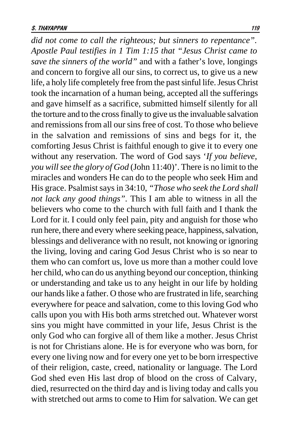*did not come to call the righteous; but sinners to repentance". Apostle Paul testifies in 1 Tim 1:15 that "Jesus Christ came to save the sinners of the world"* and with a father's love, longings and concern to forgive all our sins, to correct us, to give us a new life, a holy life completely free from the past sinful life. Jesus Christ took the incarnation of a human being, accepted all the sufferings and gave himself as a sacrifice, submitted himself silently for all the torture and to the cross finally to give us the invaluable salvation and remissions from all our sins free of cost. To those who believe in the salvation and remissions of sins and begs for it, the comforting Jesus Christ is faithful enough to give it to every one without any reservation. The word of God says '*If you believe, you will see the glory of God* (John 11:40)'. There is no limit to the miracles and wonders He can do to the people who seek Him and His grace. Psalmist says in 34:10, *"Those who seek the Lord shall not lack any good things".* This I am able to witness in all the believers who come to the church with full faith and I thank the Lord for it. I could only feel pain, pity and anguish for those who run here, there and every where seeking peace, happiness, salvation, blessings and deliverance with no result, not knowing or ignoring the living, loving and caring God Jesus Christ who is so near to them who can comfort us, love us more than a mother could love her child, who can do us anything beyond our conception, thinking or understanding and take us to any height in our life by holding our hands like a father. O those who are frustrated in life, searching everywhere for peace and salvation, come to this loving God who calls upon you with His both arms stretched out. Whatever worst sins you might have committed in your life, Jesus Christ is the only God who can forgive all of them like a mother. Jesus Christ is not for Christians alone. He is for everyone who was born, for every one living now and for every one yet to be born irrespective of their religion, caste, creed, nationality or language. The Lord God shed even His last drop of blood on the cross of Calvary, died, resurrected on the third day and is living today and calls you with stretched out arms to come to Him for salvation. We can get